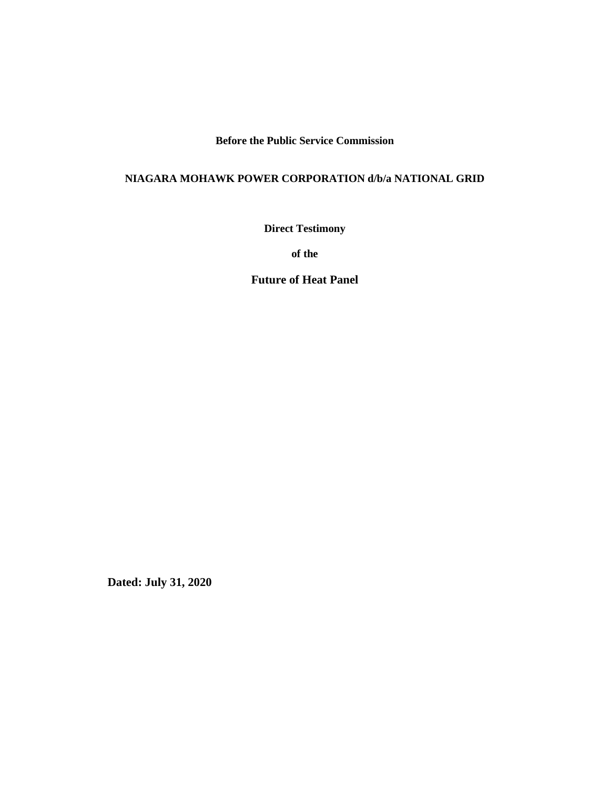**Before the Public Service Commission**

### **NIAGARA MOHAWK POWER CORPORATION d/b/a NATIONAL GRID**

**Direct Testimony**

**of the**

**Future of Heat Panel**

**Dated: July 31, 2020**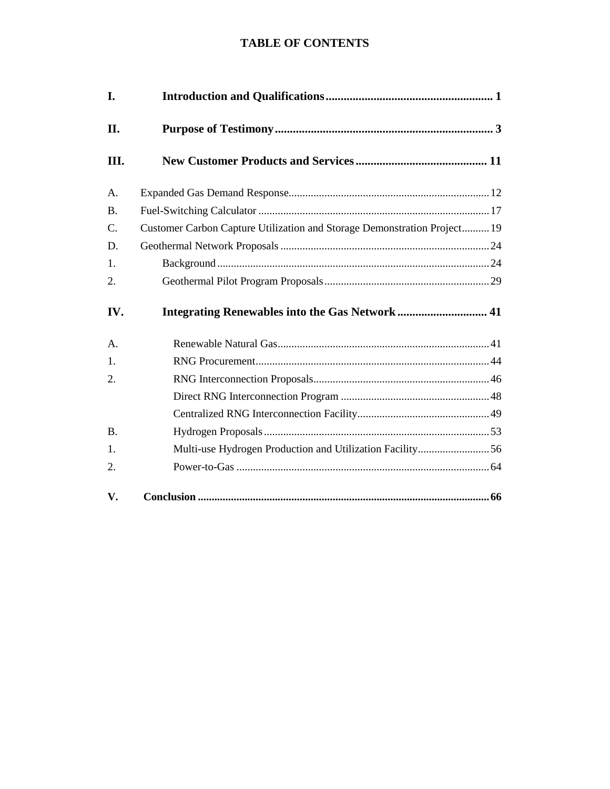### **TABLE OF CONTENTS**

| I.             |                                                                          |  |  |
|----------------|--------------------------------------------------------------------------|--|--|
| П.             |                                                                          |  |  |
| III.           |                                                                          |  |  |
| A <sub>1</sub> |                                                                          |  |  |
| <b>B.</b>      |                                                                          |  |  |
| C.             | Customer Carbon Capture Utilization and Storage Demonstration Project 19 |  |  |
| D.             |                                                                          |  |  |
| 1.             |                                                                          |  |  |
| 2.             |                                                                          |  |  |
| IV.            | Integrating Renewables into the Gas Network  41                          |  |  |
| A.             |                                                                          |  |  |
| 1.             |                                                                          |  |  |
| 2.             |                                                                          |  |  |
|                |                                                                          |  |  |
|                |                                                                          |  |  |
| <b>B.</b>      |                                                                          |  |  |
| 1.             | Multi-use Hydrogen Production and Utilization Facility56                 |  |  |
| 2.             |                                                                          |  |  |
| V.             |                                                                          |  |  |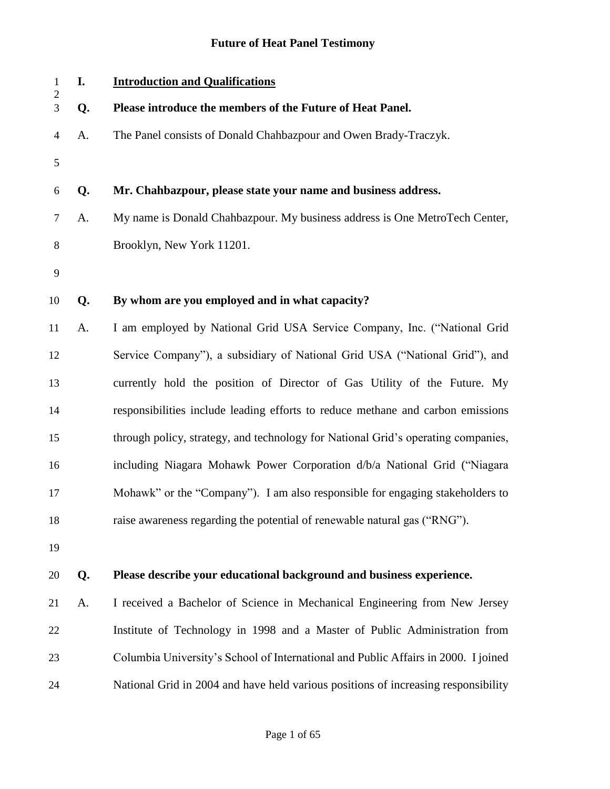## **Future of Heat Panel Testimony**

| $1\,$<br>$\sqrt{2}$ | I. | <b>Introduction and Qualifications</b>                                             |
|---------------------|----|------------------------------------------------------------------------------------|
| $\overline{3}$      | Q. | Please introduce the members of the Future of Heat Panel.                          |
| $\overline{4}$      | A. | The Panel consists of Donald Chahbazpour and Owen Brady-Traczyk.                   |
| $\mathfrak{S}$      |    |                                                                                    |
| 6                   | Q. | Mr. Chahbazpour, please state your name and business address.                      |
| $\tau$              | A. | My name is Donald Chahbazpour. My business address is One MetroTech Center,        |
| 8                   |    | Brooklyn, New York 11201.                                                          |
| $\overline{9}$      |    |                                                                                    |
| 10                  | Q. | By whom are you employed and in what capacity?                                     |
| 11                  | A. | I am employed by National Grid USA Service Company, Inc. ("National Grid           |
| 12                  |    | Service Company"), a subsidiary of National Grid USA ("National Grid"), and        |
| 13                  |    | currently hold the position of Director of Gas Utility of the Future. My           |
| 14                  |    | responsibilities include leading efforts to reduce methane and carbon emissions    |
| 15                  |    | through policy, strategy, and technology for National Grid's operating companies,  |
| 16                  |    | including Niagara Mohawk Power Corporation d/b/a National Grid ("Niagara"          |
| 17                  |    | Mohawk" or the "Company"). I am also responsible for engaging stakeholders to      |
| 18                  |    | raise awareness regarding the potential of renewable natural gas ("RNG").          |
| 19                  |    |                                                                                    |
| 20                  | Q. | Please describe your educational background and business experience.               |
| 21                  | A. | I received a Bachelor of Science in Mechanical Engineering from New Jersey         |
| 22                  |    | Institute of Technology in 1998 and a Master of Public Administration from         |
| 23                  |    | Columbia University's School of International and Public Affairs in 2000. I joined |
| 24                  |    | National Grid in 2004 and have held various positions of increasing responsibility |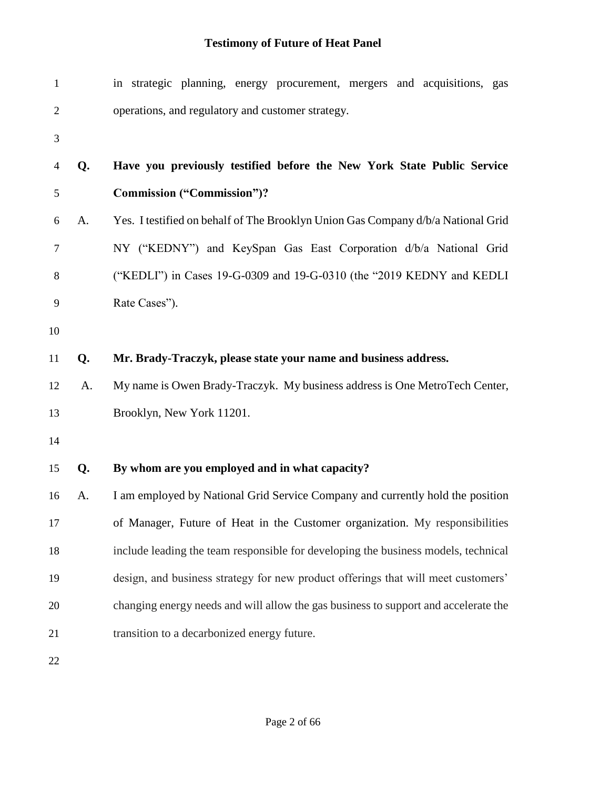| $\mathbf{1}$   |    | in strategic planning, energy procurement, mergers and acquisitions, gas            |
|----------------|----|-------------------------------------------------------------------------------------|
| $\overline{2}$ |    | operations, and regulatory and customer strategy.                                   |
| 3              |    |                                                                                     |
| $\overline{4}$ | Q. | Have you previously testified before the New York State Public Service              |
| 5              |    | <b>Commission ("Commission")?</b>                                                   |
| 6              | A. | Yes. I testified on behalf of The Brooklyn Union Gas Company d/b/a National Grid    |
| 7              |    | NY ("KEDNY") and KeySpan Gas East Corporation d/b/a National Grid                   |
| 8              |    | ("KEDLI") in Cases 19-G-0309 and 19-G-0310 (the "2019 KEDNY and KEDLI               |
| 9              |    | Rate Cases").                                                                       |
| 10             |    |                                                                                     |
| 11             | Q. | Mr. Brady-Traczyk, please state your name and business address.                     |
| 12             | A. | My name is Owen Brady-Traczyk. My business address is One MetroTech Center,         |
| 13             |    | Brooklyn, New York 11201.                                                           |
| 14             |    |                                                                                     |
| 15             | Q. | By whom are you employed and in what capacity?                                      |
| 16             | A. | I am employed by National Grid Service Company and currently hold the position      |
| 17             |    | of Manager, Future of Heat in the Customer organization. My responsibilities        |
| 18             |    | include leading the team responsible for developing the business models, technical  |
| 19             |    | design, and business strategy for new product offerings that will meet customers'   |
| 20             |    | changing energy needs and will allow the gas business to support and accelerate the |
| 21             |    | transition to a decarbonized energy future.                                         |
| 22             |    |                                                                                     |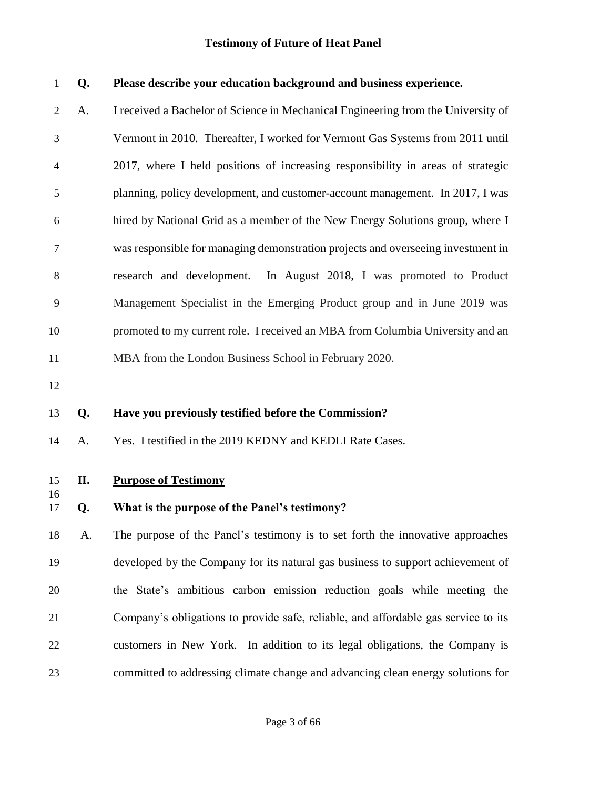| $\mathbf{1}$   | Q. | Please describe your education background and business experience.                 |
|----------------|----|------------------------------------------------------------------------------------|
| $\overline{2}$ | A. | I received a Bachelor of Science in Mechanical Engineering from the University of  |
| 3              |    | Vermont in 2010. Thereafter, I worked for Vermont Gas Systems from 2011 until      |
| 4              |    | 2017, where I held positions of increasing responsibility in areas of strategic    |
| 5              |    | planning, policy development, and customer-account management. In 2017, I was      |
| 6              |    | hired by National Grid as a member of the New Energy Solutions group, where I      |
| $\tau$         |    | was responsible for managing demonstration projects and overseeing investment in   |
| 8              |    | research and development.<br>In August 2018, I was promoted to Product             |
| 9              |    | Management Specialist in the Emerging Product group and in June 2019 was           |
| 10             |    | promoted to my current role. I received an MBA from Columbia University and an     |
| 11             |    | MBA from the London Business School in February 2020.                              |
| 12             |    |                                                                                    |
| 13             | Q. | Have you previously testified before the Commission?                               |
| 14             | A. | Yes. I testified in the 2019 KEDNY and KEDLI Rate Cases.                           |
| 15             | П. | <b>Purpose of Testimony</b>                                                        |
| 16<br>17       | Q. | What is the purpose of the Panel's testimony?                                      |
|                |    |                                                                                    |
| 18             | A. | The purpose of the Panel's testimony is to set forth the innovative approaches     |
| 19             |    | developed by the Company for its natural gas business to support achievement of    |
| 20             |    | the State's ambitious carbon emission reduction goals while meeting the            |
| 21             |    | Company's obligations to provide safe, reliable, and affordable gas service to its |
| 22             |    | customers in New York. In addition to its legal obligations, the Company is        |
| 23             |    | committed to addressing climate change and advancing clean energy solutions for    |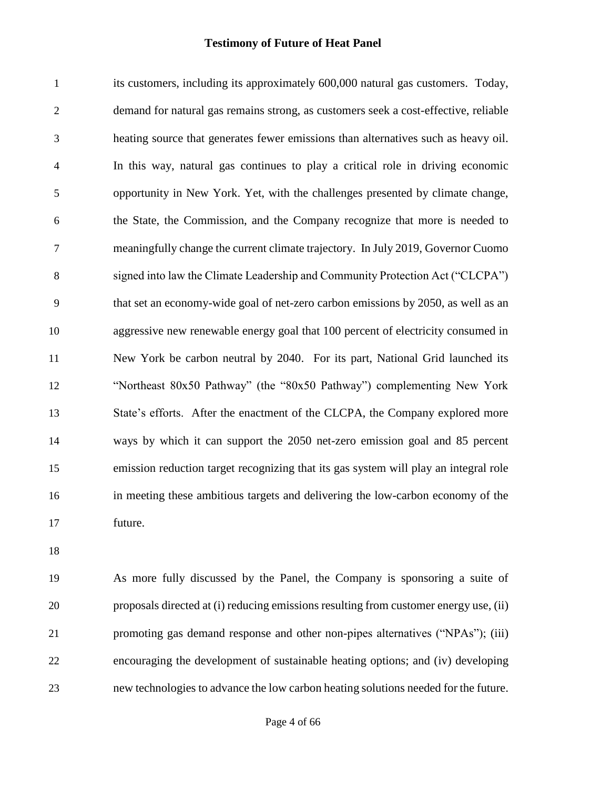its customers, including its approximately 600,000 natural gas customers. Today, demand for natural gas remains strong, as customers seek a cost-effective, reliable heating source that generates fewer emissions than alternatives such as heavy oil. In this way, natural gas continues to play a critical role in driving economic opportunity in New York. Yet, with the challenges presented by climate change, the State, the Commission, and the Company recognize that more is needed to meaningfully change the current climate trajectory. In July 2019, Governor Cuomo signed into law the Climate Leadership and Community Protection Act ("CLCPA") that set an economy-wide goal of net-zero carbon emissions by 2050, as well as an aggressive new renewable energy goal that 100 percent of electricity consumed in New York be carbon neutral by 2040. For its part, National Grid launched its "Northeast 80x50 Pathway" (the "80x50 Pathway") complementing New York State's efforts. After the enactment of the CLCPA, the Company explored more ways by which it can support the 2050 net-zero emission goal and 85 percent emission reduction target recognizing that its gas system will play an integral role in meeting these ambitious targets and delivering the low-carbon economy of the future.

 As more fully discussed by the Panel, the Company is sponsoring a suite of proposals directed at (i) reducing emissions resulting from customer energy use, (ii) promoting gas demand response and other non-pipes alternatives ("NPAs"); (iii) encouraging the development of sustainable heating options; and (iv) developing new technologies to advance the low carbon heating solutions needed for the future.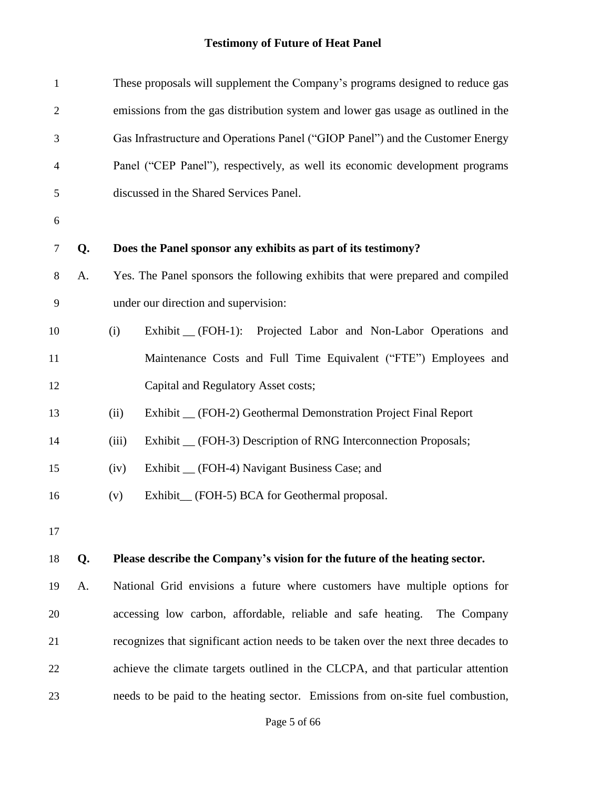| $\mathbf{1}$   |                                                                                | These proposals will supplement the Company's programs designed to reduce gas       |  |  |
|----------------|--------------------------------------------------------------------------------|-------------------------------------------------------------------------------------|--|--|
| $\mathfrak{2}$ |                                                                                | emissions from the gas distribution system and lower gas usage as outlined in the   |  |  |
| 3              | Gas Infrastructure and Operations Panel ("GIOP Panel") and the Customer Energy |                                                                                     |  |  |
| 4              |                                                                                | Panel ("CEP Panel"), respectively, as well its economic development programs        |  |  |
| 5              |                                                                                | discussed in the Shared Services Panel.                                             |  |  |
| 6              |                                                                                |                                                                                     |  |  |
| 7              | Q.                                                                             | Does the Panel sponsor any exhibits as part of its testimony?                       |  |  |
| $8\,$          | A.                                                                             | Yes. The Panel sponsors the following exhibits that were prepared and compiled      |  |  |
| 9              |                                                                                | under our direction and supervision:                                                |  |  |
| 10             |                                                                                | Exhibit _ (FOH-1): Projected Labor and Non-Labor Operations and<br>(i)              |  |  |
| 11             |                                                                                | Maintenance Costs and Full Time Equivalent ("FTE") Employees and                    |  |  |
| 12             |                                                                                | Capital and Regulatory Asset costs;                                                 |  |  |
| 13             |                                                                                | Exhibit _ (FOH-2) Geothermal Demonstration Project Final Report<br>(ii)             |  |  |
| 14             |                                                                                | Exhibit _ (FOH-3) Description of RNG Interconnection Proposals;<br>(iii)            |  |  |
| 15             |                                                                                | Exhibit _ (FOH-4) Navigant Business Case; and<br>(iv)                               |  |  |
| 16             |                                                                                | Exhibit <sub>—</sub> (FOH-5) BCA for Geothermal proposal.<br>(v)                    |  |  |
| 17             |                                                                                |                                                                                     |  |  |
| 18             | Q.                                                                             | Please describe the Company's vision for the future of the heating sector.          |  |  |
| 19             | A.                                                                             | National Grid envisions a future where customers have multiple options for          |  |  |
| 20             |                                                                                | accessing low carbon, affordable, reliable and safe heating.<br>The Company         |  |  |
| 21             |                                                                                | recognizes that significant action needs to be taken over the next three decades to |  |  |
| 22             |                                                                                | achieve the climate targets outlined in the CLCPA, and that particular attention    |  |  |
| 23             |                                                                                | needs to be paid to the heating sector. Emissions from on-site fuel combustion,     |  |  |
|                |                                                                                |                                                                                     |  |  |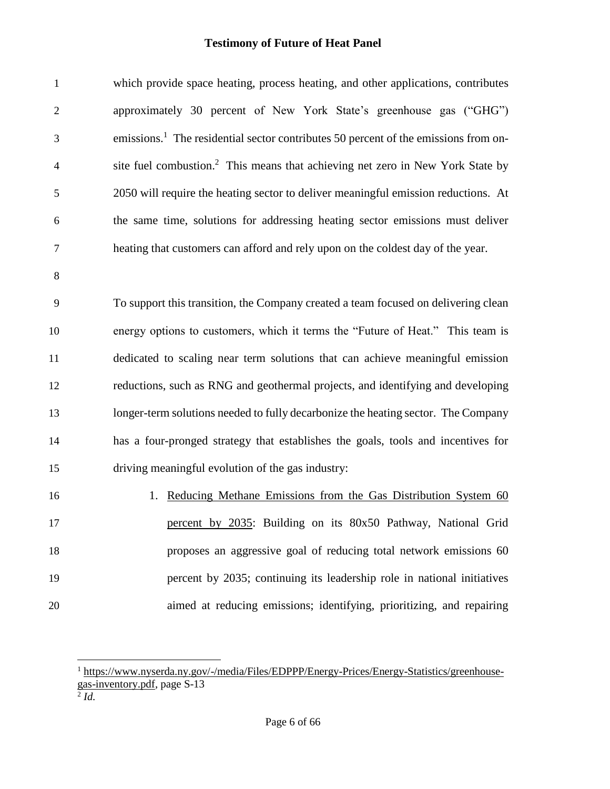| $\mathbf{1}$   | which provide space heating, process heating, and other applications, contributes               |
|----------------|-------------------------------------------------------------------------------------------------|
| $\sqrt{2}$     | approximately 30 percent of New York State's greenhouse gas ("GHG")                             |
| 3              | emissions. <sup>1</sup> The residential sector contributes 50 percent of the emissions from on- |
| $\overline{4}$ | site fuel combustion. <sup>2</sup> This means that achieving net zero in New York State by      |
| 5              | 2050 will require the heating sector to deliver meaningful emission reductions. At              |
| 6              | the same time, solutions for addressing heating sector emissions must deliver                   |
| $\tau$         | heating that customers can afford and rely upon on the coldest day of the year.                 |
| $8\,$          |                                                                                                 |
| 9              | To support this transition, the Company created a team focused on delivering clean              |
| 10             | energy options to customers, which it terms the "Future of Heat." This team is                  |
| 11             | dedicated to scaling near term solutions that can achieve meaningful emission                   |
| 12             | reductions, such as RNG and geothermal projects, and identifying and developing                 |
| 13             | longer-term solutions needed to fully decarbonize the heating sector. The Company               |
| 14             | has a four-pronged strategy that establishes the goals, tools and incentives for                |
| 15             | driving meaningful evolution of the gas industry:                                               |
| 16             | Reducing Methane Emissions from the Gas Distribution System 60<br>1.                            |
| 17             | percent by 2035: Building on its 80x50 Pathway, National Grid                                   |
| 18             | proposes an aggressive goal of reducing total network emissions 60                              |
| 19             | percent by 2035; continuing its leadership role in national initiatives                         |
| 20             | aimed at reducing emissions; identifying, prioritizing, and repairing                           |

l

<sup>&</sup>lt;sup>1</sup> [https://www.nyserda.ny.gov/-/media/Files/EDPPP/Energy-Prices/Energy-Statistics/greenhouse](https://www.nyserda.ny.gov/-/media/Files/EDPPP/Energy-Prices/Energy-Statistics/greenhouse-gas-inventory.pdf)[gas-inventory.pdf,](https://www.nyserda.ny.gov/-/media/Files/EDPPP/Energy-Prices/Energy-Statistics/greenhouse-gas-inventory.pdf) page S-13 2 *Id.*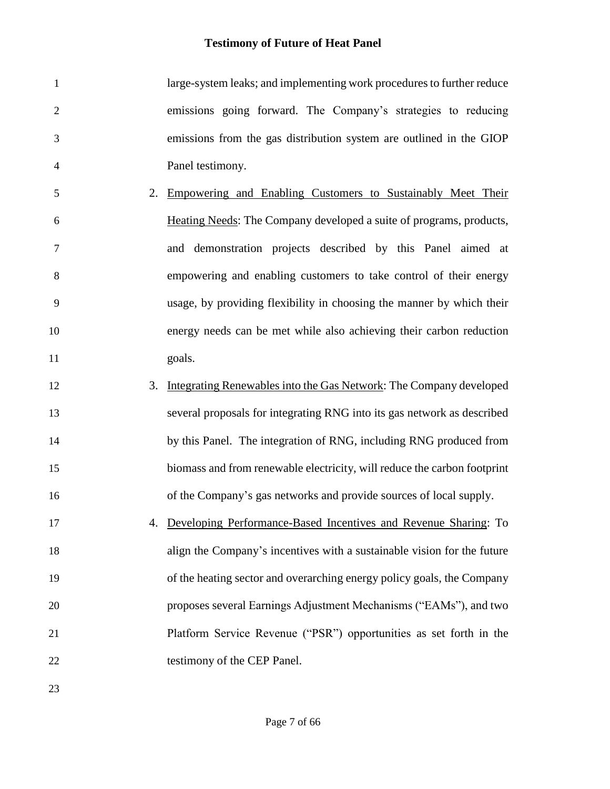| $\mathbf{1}$   |    | large-system leaks; and implementing work procedures to further reduce   |
|----------------|----|--------------------------------------------------------------------------|
| $\sqrt{2}$     |    | emissions going forward. The Company's strategies to reducing            |
| 3              |    | emissions from the gas distribution system are outlined in the GIOP      |
| $\overline{4}$ |    | Panel testimony.                                                         |
| 5              | 2. | Empowering and Enabling Customers to Sustainably Meet Their              |
| 6              |    | Heating Needs: The Company developed a suite of programs, products,      |
| $\tau$         |    | and demonstration projects described by this Panel aimed at              |
| $8\,$          |    | empowering and enabling customers to take control of their energy        |
| 9              |    | usage, by providing flexibility in choosing the manner by which their    |
| 10             |    | energy needs can be met while also achieving their carbon reduction      |
| 11             |    | goals.                                                                   |
| 12             | 3. | Integrating Renewables into the Gas Network: The Company developed       |
| 13             |    | several proposals for integrating RNG into its gas network as described  |
| 14             |    | by this Panel. The integration of RNG, including RNG produced from       |
| 15             |    | biomass and from renewable electricity, will reduce the carbon footprint |
| 16             |    | of the Company's gas networks and provide sources of local supply.       |
| 17             |    | 4. Developing Performance-Based Incentives and Revenue Sharing: To       |
| 18             |    | align the Company's incentives with a sustainable vision for the future  |
| 19             |    | of the heating sector and overarching energy policy goals, the Company   |
| 20             |    | proposes several Earnings Adjustment Mechanisms ("EAMs"), and two        |
| 21             |    | Platform Service Revenue ("PSR") opportunities as set forth in the       |
| 22             |    | testimony of the CEP Panel.                                              |
| 23             |    |                                                                          |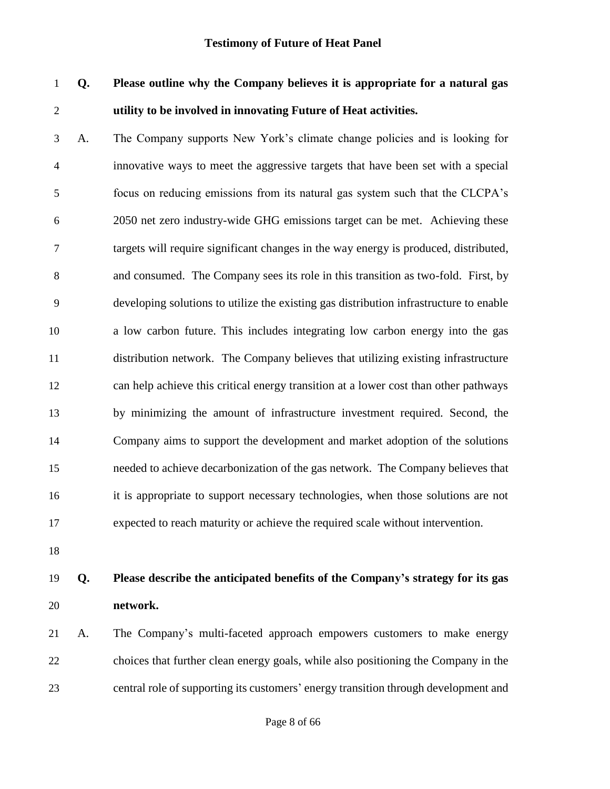# **Q. Please outline why the Company believes it is appropriate for a natural gas utility to be involved in innovating Future of Heat activities.**

 A. The Company supports New York's climate change policies and is looking for innovative ways to meet the aggressive targets that have been set with a special focus on reducing emissions from its natural gas system such that the CLCPA's 2050 net zero industry-wide GHG emissions target can be met. Achieving these targets will require significant changes in the way energy is produced, distributed, and consumed. The Company sees its role in this transition as two-fold. First, by developing solutions to utilize the existing gas distribution infrastructure to enable a low carbon future. This includes integrating low carbon energy into the gas distribution network. The Company believes that utilizing existing infrastructure can help achieve this critical energy transition at a lower cost than other pathways by minimizing the amount of infrastructure investment required. Second, the Company aims to support the development and market adoption of the solutions needed to achieve decarbonization of the gas network. The Company believes that it is appropriate to support necessary technologies, when those solutions are not expected to reach maturity or achieve the required scale without intervention.

## **Q. Please describe the anticipated benefits of the Company's strategy for its gas network.**

 A. The Company's multi-faceted approach empowers customers to make energy choices that further clean energy goals, while also positioning the Company in the central role of supporting its customers' energy transition through development and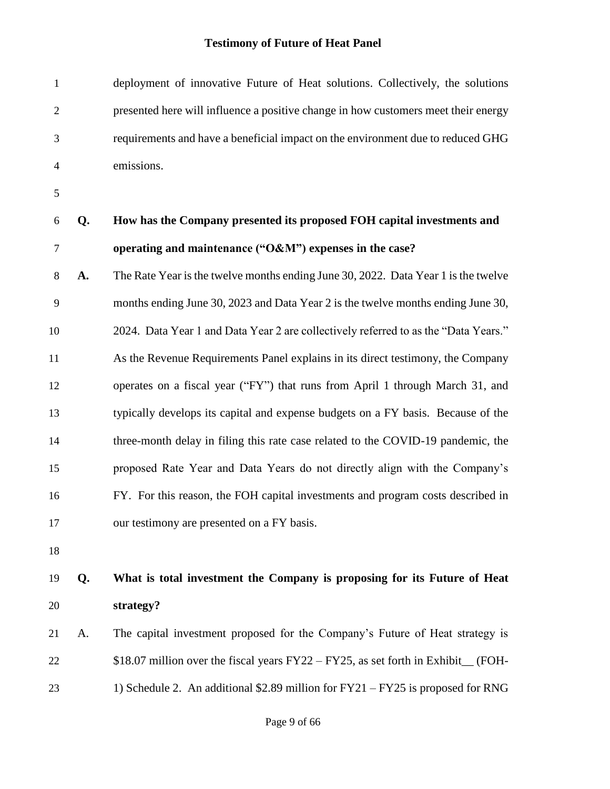| $\mathbf{1}$   |    | deployment of innovative Future of Heat solutions. Collectively, the solutions      |
|----------------|----|-------------------------------------------------------------------------------------|
| $\overline{2}$ |    | presented here will influence a positive change in how customers meet their energy  |
| 3              |    | requirements and have a beneficial impact on the environment due to reduced GHG     |
| $\overline{4}$ |    | emissions.                                                                          |
| 5              |    |                                                                                     |
| 6              | Q. | How has the Company presented its proposed FOH capital investments and              |
| $\overline{7}$ |    | operating and maintenance ("O&M") expenses in the case?                             |
| 8              | A. | The Rate Year is the twelve months ending June 30, 2022. Data Year 1 is the twelve  |
| 9              |    | months ending June 30, 2023 and Data Year 2 is the twelve months ending June 30,    |
| 10             |    | 2024. Data Year 1 and Data Year 2 are collectively referred to as the "Data Years." |
| 11             |    | As the Revenue Requirements Panel explains in its direct testimony, the Company     |
| 12             |    | operates on a fiscal year ("FY") that runs from April 1 through March 31, and       |
| 13             |    | typically develops its capital and expense budgets on a FY basis. Because of the    |
| 14             |    | three-month delay in filing this rate case related to the COVID-19 pandemic, the    |
| 15             |    | proposed Rate Year and Data Years do not directly align with the Company's          |
| 16             |    | FY. For this reason, the FOH capital investments and program costs described in     |
| 17             |    | our testimony are presented on a FY basis.                                          |
| 18             |    |                                                                                     |
| 19             | Q. | What is total investment the Company is proposing for its Future of Heat            |
| 20             |    | strategy?                                                                           |
| 21             | A. | The capital investment proposed for the Company's Future of Heat strategy is        |
| 22             |    | \$18.07 million over the fiscal years FY22 – FY25, as set forth in Exhibit_ (FOH-   |
| 23             |    | 1) Schedule 2. An additional $$2.89$ million for $FY21 - FY25$ is proposed for RNG  |
|                |    |                                                                                     |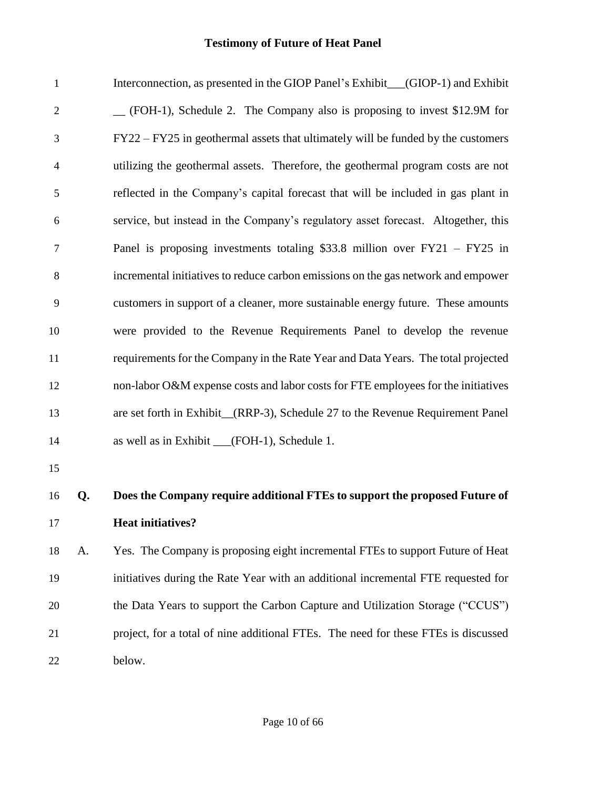| $\mathbf{1}$   |    | Interconnection, as presented in the GIOP Panel's Exhibit_(GIOP-1) and Exhibit     |
|----------------|----|------------------------------------------------------------------------------------|
| $\overline{2}$ |    | (FOH-1), Schedule 2. The Company also is proposing to invest \$12.9M for           |
| 3              |    | FY22 – FY25 in geothermal assets that ultimately will be funded by the customers   |
| 4              |    | utilizing the geothermal assets. Therefore, the geothermal program costs are not   |
| $\mathfrak{S}$ |    | reflected in the Company's capital forecast that will be included in gas plant in  |
| 6              |    | service, but instead in the Company's regulatory asset forecast. Altogether, this  |
| $\overline{7}$ |    | Panel is proposing investments totaling \$33.8 million over $FY21 - FY25$ in       |
| 8              |    | incremental initiatives to reduce carbon emissions on the gas network and empower  |
| 9              |    | customers in support of a cleaner, more sustainable energy future. These amounts   |
| 10             |    | were provided to the Revenue Requirements Panel to develop the revenue             |
| 11             |    | requirements for the Company in the Rate Year and Data Years. The total projected  |
| 12             |    | non-labor O&M expense costs and labor costs for FTE employees for the initiatives  |
| 13             |    | are set forth in Exhibit_(RRP-3), Schedule 27 to the Revenue Requirement Panel     |
| 14             |    | as well as in Exhibit __(FOH-1), Schedule 1.                                       |
| 15             |    |                                                                                    |
| 16             | Q. | Does the Company require additional FTEs to support the proposed Future of         |
| 17             |    | <b>Heat initiatives?</b>                                                           |
| 18             | A. | Yes. The Company is proposing eight incremental FTEs to support Future of Heat     |
| 19             |    | initiatives during the Rate Year with an additional incremental FTE requested for  |
| 20             |    | the Data Years to support the Carbon Capture and Utilization Storage ("CCUS")      |
| 21             |    | project, for a total of nine additional FTEs. The need for these FTEs is discussed |
| 22             |    | below.                                                                             |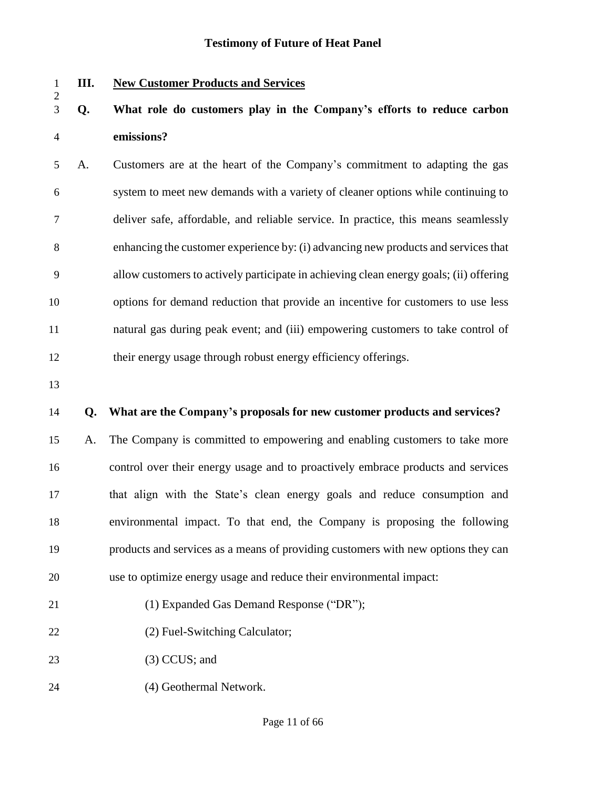**III. New Customer Products and Services**

# **Q. What role do customers play in the Company's efforts to reduce carbon emissions?**

 A. Customers are at the heart of the Company's commitment to adapting the gas system to meet new demands with a variety of cleaner options while continuing to deliver safe, affordable, and reliable service. In practice, this means seamlessly enhancing the customer experience by: (i) advancing new products and services that allow customers to actively participate in achieving clean energy goals; (ii) offering options for demand reduction that provide an incentive for customers to use less natural gas during peak event; and (iii) empowering customers to take control of their energy usage through robust energy efficiency offerings.

### **Q. What are the Company's proposals for new customer products and services?**

 A. The Company is committed to empowering and enabling customers to take more control over their energy usage and to proactively embrace products and services that align with the State's clean energy goals and reduce consumption and environmental impact. To that end, the Company is proposing the following products and services as a means of providing customers with new options they can use to optimize energy usage and reduce their environmental impact:

- (1) Expanded Gas Demand Response ("DR");
- 22 (2) Fuel-Switching Calculator;
- (3) CCUS; and
- (4) Geothermal Network.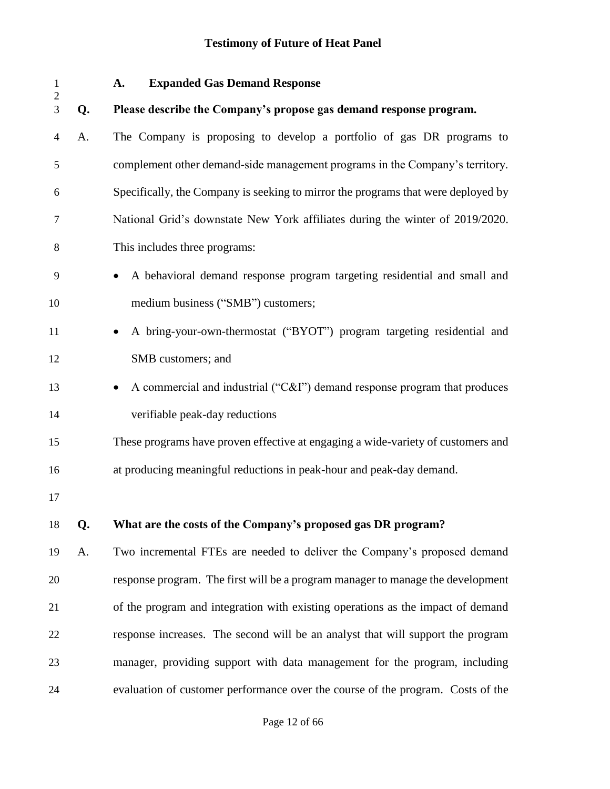| 1<br>$\mathbf{2}$ |    | <b>Expanded Gas Demand Response</b><br>A.                                         |
|-------------------|----|-----------------------------------------------------------------------------------|
| 3                 | Q. | Please describe the Company's propose gas demand response program.                |
| 4                 | A. | The Company is proposing to develop a portfolio of gas DR programs to             |
| 5                 |    | complement other demand-side management programs in the Company's territory.      |
| 6                 |    | Specifically, the Company is seeking to mirror the programs that were deployed by |
| 7                 |    | National Grid's downstate New York affiliates during the winter of 2019/2020.     |
| 8                 |    | This includes three programs:                                                     |
| 9                 |    | A behavioral demand response program targeting residential and small and          |
| 10                |    | medium business ("SMB") customers;                                                |
| 11                |    | A bring-your-own-thermostat ("BYOT") program targeting residential and            |
| 12                |    | SMB customers; and                                                                |
| 13                |    | A commercial and industrial ("C&I") demand response program that produces         |
| 14                |    | verifiable peak-day reductions                                                    |
| 15                |    | These programs have proven effective at engaging a wide-variety of customers and  |
| 16                |    | at producing meaningful reductions in peak-hour and peak-day demand.              |
| 17                |    |                                                                                   |
| 18                | Q. | What are the costs of the Company's proposed gas DR program?                      |
| 19                | A. | Two incremental FTEs are needed to deliver the Company's proposed demand          |
| 20                |    | response program. The first will be a program manager to manage the development   |
| 21                |    | of the program and integration with existing operations as the impact of demand   |
| 22                |    | response increases. The second will be an analyst that will support the program   |
| 23                |    | manager, providing support with data management for the program, including        |
| 24                |    | evaluation of customer performance over the course of the program. Costs of the   |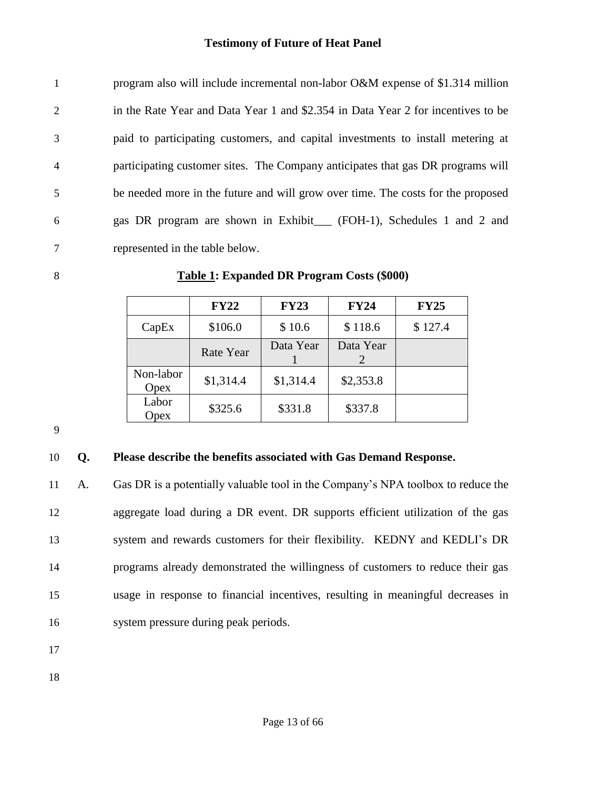| $\mathbf{1}$   | program also will include incremental non-labor O&M expense of \$1.314 million   |
|----------------|----------------------------------------------------------------------------------|
| 2              | in the Rate Year and Data Year 1 and \$2.354 in Data Year 2 for incentives to be |
| 3              | paid to participating customers, and capital investments to install metering at  |
| $\overline{4}$ | participating customer sites. The Company anticipates that gas DR programs will  |
| 5              | be needed more in the future and will grow over time. The costs for the proposed |
| 6              | gas DR program are shown in Exhibit (FOH-1), Schedules 1 and 2 and               |
| 7              | represented in the table below.                                                  |

#### **Table 1: Expanded DR Program Costs (\$000)**

|                   | <b>FY22</b> | <b>FY23</b> | <b>FY24</b>    | <b>FY25</b> |
|-------------------|-------------|-------------|----------------|-------------|
| CapEx             | \$106.0     | \$10.6      | \$118.6        | \$127.4     |
|                   | Rate Year   | Data Year   | Data Year<br>2 |             |
| Non-labor<br>Opex | \$1,314.4   | \$1,314.4   | \$2,353.8      |             |
| Labor<br>Opex     | \$325.6     | \$331.8     | \$337.8        |             |

### **Q. Please describe the benefits associated with Gas Demand Response.**

 A. Gas DR is a potentially valuable tool in the Company's NPA toolbox to reduce the aggregate load during a DR event. DR supports efficient utilization of the gas system and rewards customers for their flexibility. KEDNY and KEDLI's DR programs already demonstrated the willingness of customers to reduce their gas usage in response to financial incentives, resulting in meaningful decreases in system pressure during peak periods.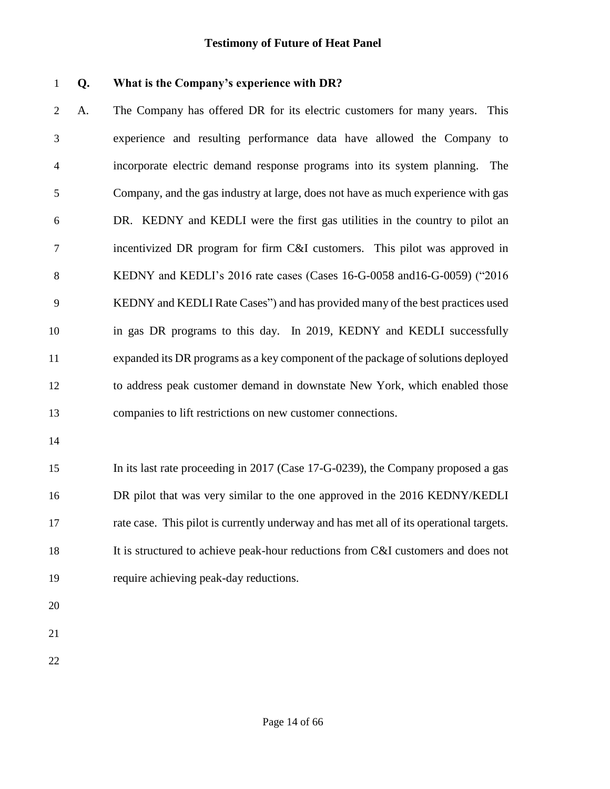#### **Q. What is the Company's experience with DR?**

 A. The Company has offered DR for its electric customers for many years. This experience and resulting performance data have allowed the Company to incorporate electric demand response programs into its system planning. The Company, and the gas industry at large, does not have as much experience with gas DR. KEDNY and KEDLI were the first gas utilities in the country to pilot an incentivized DR program for firm C&I customers. This pilot was approved in KEDNY and KEDLI's 2016 rate cases (Cases 16-G-0058 and16-G-0059) ("2016 KEDNY and KEDLI Rate Cases") and has provided many of the best practices used in gas DR programs to this day. In 2019, KEDNY and KEDLI successfully expanded its DR programs as a key component of the package of solutions deployed to address peak customer demand in downstate New York, which enabled those companies to lift restrictions on new customer connections.

 In its last rate proceeding in 2017 (Case 17-G-0239), the Company proposed a gas DR pilot that was very similar to the one approved in the 2016 KEDNY/KEDLI rate case. This pilot is currently underway and has met all of its operational targets. It is structured to achieve peak-hour reductions from C&I customers and does not require achieving peak-day reductions.

- 
- 
-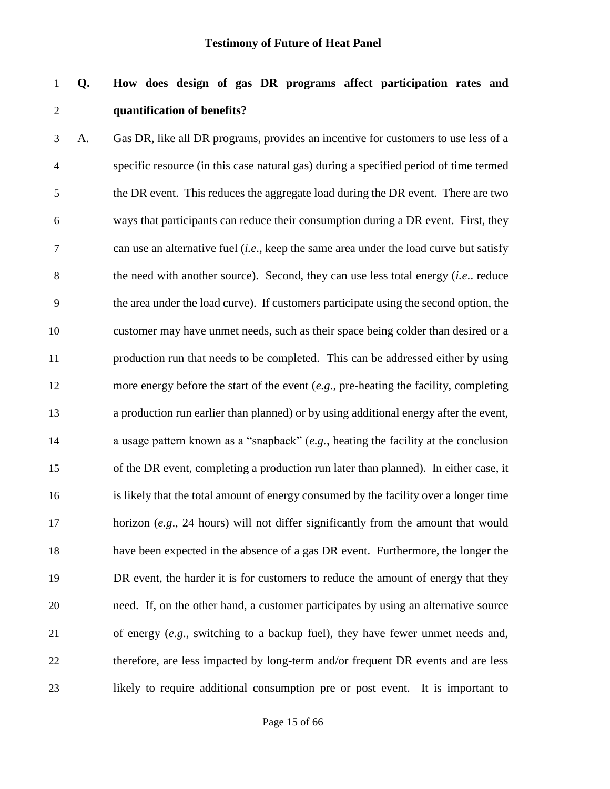## **Q. How does design of gas DR programs affect participation rates and quantification of benefits?**

 A. Gas DR, like all DR programs, provides an incentive for customers to use less of a specific resource (in this case natural gas) during a specified period of time termed the DR event. This reduces the aggregate load during the DR event. There are two ways that participants can reduce their consumption during a DR event. First, they can use an alternative fuel (*i.e*., keep the same area under the load curve but satisfy the need with another source). Second, they can use less total energy (*i.e*.. reduce the area under the load curve). If customers participate using the second option, the customer may have unmet needs, such as their space being colder than desired or a production run that needs to be completed. This can be addressed either by using more energy before the start of the event (*e.g*., pre-heating the facility, completing a production run earlier than planned) or by using additional energy after the event, a usage pattern known as a "snapback" (*e.g.*, heating the facility at the conclusion of the DR event, completing a production run later than planned). In either case, it is likely that the total amount of energy consumed by the facility over a longer time horizon (*e.g*., 24 hours) will not differ significantly from the amount that would have been expected in the absence of a gas DR event. Furthermore, the longer the DR event, the harder it is for customers to reduce the amount of energy that they need. If, on the other hand, a customer participates by using an alternative source of energy (*e.g*., switching to a backup fuel), they have fewer unmet needs and, therefore, are less impacted by long-term and/or frequent DR events and are less likely to require additional consumption pre or post event. It is important to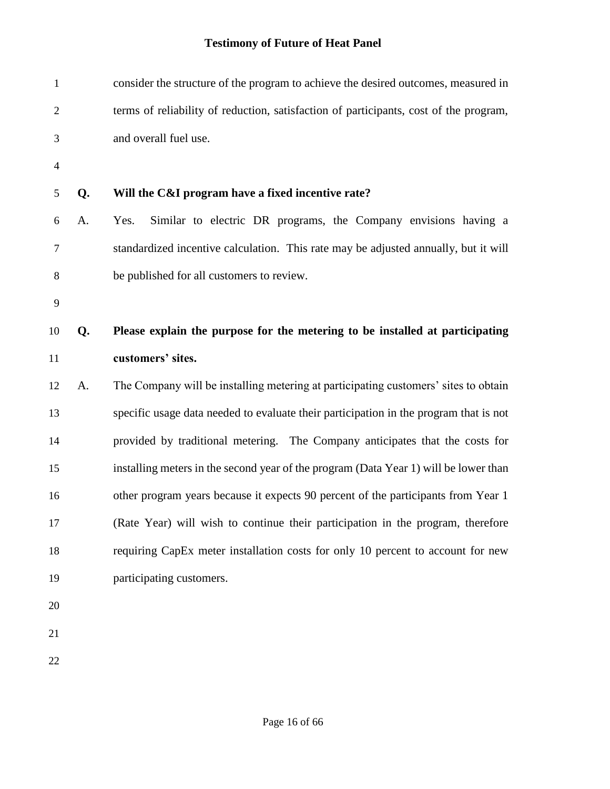| $\mathbf{1}$   |    | consider the structure of the program to achieve the desired outcomes, measured in    |  |  |  |  |  |
|----------------|----|---------------------------------------------------------------------------------------|--|--|--|--|--|
| $\overline{c}$ |    | terms of reliability of reduction, satisfaction of participants, cost of the program, |  |  |  |  |  |
| 3              |    | and overall fuel use.                                                                 |  |  |  |  |  |
| $\overline{4}$ |    |                                                                                       |  |  |  |  |  |
| 5              | Q. | Will the C&I program have a fixed incentive rate?                                     |  |  |  |  |  |
| 6              | A. | Similar to electric DR programs, the Company envisions having a<br>Yes.               |  |  |  |  |  |
| 7              |    | standardized incentive calculation. This rate may be adjusted annually, but it will   |  |  |  |  |  |
| 8              |    | be published for all customers to review.                                             |  |  |  |  |  |
| 9              |    |                                                                                       |  |  |  |  |  |
| 10             | Q. | Please explain the purpose for the metering to be installed at participating          |  |  |  |  |  |
| 11             |    | customers' sites.                                                                     |  |  |  |  |  |
| 12             | A. | The Company will be installing metering at participating customers' sites to obtain   |  |  |  |  |  |
| 13             |    | specific usage data needed to evaluate their participation in the program that is not |  |  |  |  |  |
| 14             |    | provided by traditional metering. The Company anticipates that the costs for          |  |  |  |  |  |
| 15             |    | installing meters in the second year of the program (Data Year 1) will be lower than  |  |  |  |  |  |
| 16             |    | other program years because it expects 90 percent of the participants from Year 1     |  |  |  |  |  |
| 17             |    | (Rate Year) will wish to continue their participation in the program, therefore       |  |  |  |  |  |
| 18             |    | requiring CapEx meter installation costs for only 10 percent to account for new       |  |  |  |  |  |
| 19             |    | participating customers.                                                              |  |  |  |  |  |
| 20             |    |                                                                                       |  |  |  |  |  |
| 21             |    |                                                                                       |  |  |  |  |  |
| 22             |    |                                                                                       |  |  |  |  |  |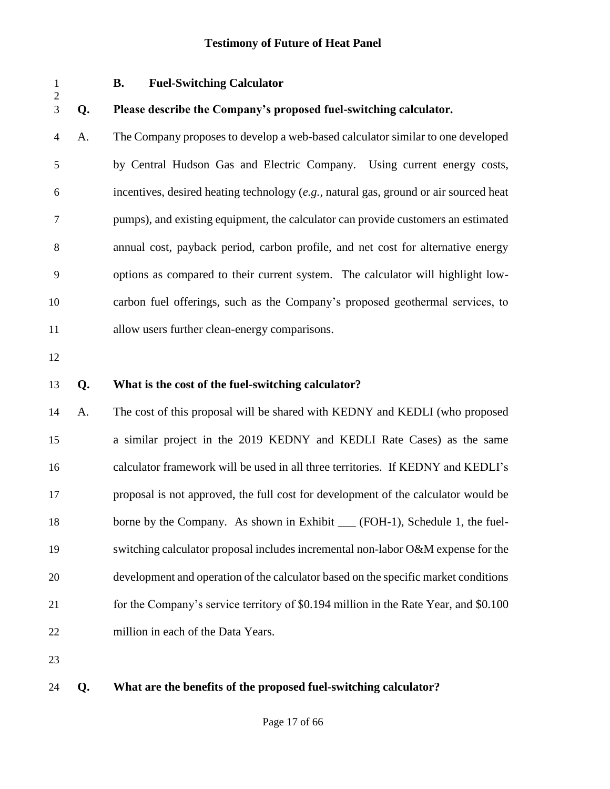| $\mathbf{1}$<br>$\overline{c}$ | <b>Fuel-Switching Calculator</b><br><b>B.</b> |                                                                                       |  |  |  |
|--------------------------------|-----------------------------------------------|---------------------------------------------------------------------------------------|--|--|--|
| $\overline{3}$                 | Q.                                            | Please describe the Company's proposed fuel-switching calculator.                     |  |  |  |
| $\overline{4}$                 | A.                                            | The Company proposes to develop a web-based calculator similar to one developed       |  |  |  |
| 5                              |                                               | by Central Hudson Gas and Electric Company. Using current energy costs,               |  |  |  |
| 6                              |                                               | incentives, desired heating technology (e.g., natural gas, ground or air sourced heat |  |  |  |
| $\boldsymbol{7}$               |                                               | pumps), and existing equipment, the calculator can provide customers an estimated     |  |  |  |
| 8                              |                                               | annual cost, payback period, carbon profile, and net cost for alternative energy      |  |  |  |
| 9                              |                                               | options as compared to their current system. The calculator will highlight low-       |  |  |  |
| 10                             |                                               | carbon fuel offerings, such as the Company's proposed geothermal services, to         |  |  |  |
| 11                             |                                               | allow users further clean-energy comparisons.                                         |  |  |  |
| 12                             |                                               |                                                                                       |  |  |  |
| 13                             | Q.                                            | What is the cost of the fuel-switching calculator?                                    |  |  |  |
| 14                             | A.                                            | The cost of this proposal will be shared with KEDNY and KEDLI (who proposed           |  |  |  |
| 15                             |                                               | a similar project in the 2019 KEDNY and KEDLI Rate Cases) as the same                 |  |  |  |
| 16                             |                                               | calculator framework will be used in all three territories. If KEDNY and KEDLI's      |  |  |  |
| 17                             |                                               | proposal is not approved, the full cost for development of the calculator would be    |  |  |  |
| 18                             |                                               | borne by the Company. As shown in Exhibit ___ (FOH-1), Schedule 1, the fuel-          |  |  |  |
| 19                             |                                               | switching calculator proposal includes incremental non-labor O&M expense for the      |  |  |  |
| 20                             |                                               | development and operation of the calculator based on the specific market conditions   |  |  |  |
| 21                             |                                               | for the Company's service territory of \$0.194 million in the Rate Year, and \$0.100  |  |  |  |
| 22                             |                                               | million in each of the Data Years.                                                    |  |  |  |
| 23                             |                                               |                                                                                       |  |  |  |
| 24                             | Q.                                            | What are the benefits of the proposed fuel-switching calculator?                      |  |  |  |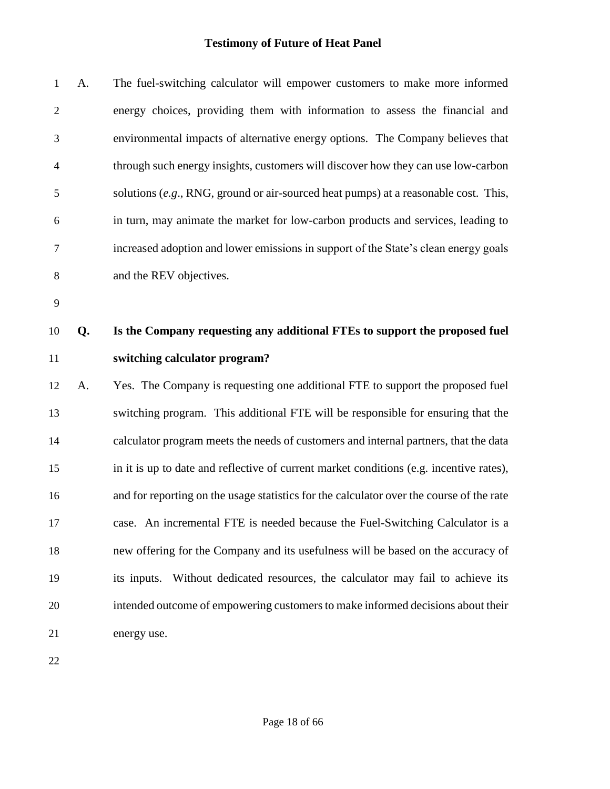| $\mathbf{1}$   | A. | The fuel-switching calculator will empower customers to make more informed               |
|----------------|----|------------------------------------------------------------------------------------------|
| $\overline{2}$ |    | energy choices, providing them with information to assess the financial and              |
| 3              |    | environmental impacts of alternative energy options. The Company believes that           |
| $\overline{4}$ |    | through such energy insights, customers will discover how they can use low-carbon        |
| 5              |    | solutions $(e.g., RNG, ground or air-soured heat pumps)$ at a reasonable cost. This,     |
| 6              |    | in turn, may animate the market for low-carbon products and services, leading to         |
| $\overline{7}$ |    | increased adoption and lower emissions in support of the State's clean energy goals      |
| 8              |    | and the REV objectives.                                                                  |
| 9              |    |                                                                                          |
| 10             | Q. | Is the Company requesting any additional FTEs to support the proposed fuel               |
| 11             |    | switching calculator program?                                                            |
| 12             | A. | Yes. The Company is requesting one additional FTE to support the proposed fuel           |
| 13             |    | switching program. This additional FTE will be responsible for ensuring that the         |
| 14             |    | calculator program meets the needs of customers and internal partners, that the data     |
| 15             |    | in it is up to date and reflective of current market conditions (e.g. incentive rates),  |
| 16             |    | and for reporting on the usage statistics for the calculator over the course of the rate |
| 17             |    | case. An incremental FTE is needed because the Fuel-Switching Calculator is a            |
| 18             |    | new offering for the Company and its usefulness will be based on the accuracy of         |
| 19             |    | Without dedicated resources, the calculator may fail to achieve its<br>its inputs.       |
| 20             |    | intended outcome of empowering customers to make informed decisions about their          |
| 21             |    | energy use.                                                                              |
| 22             |    |                                                                                          |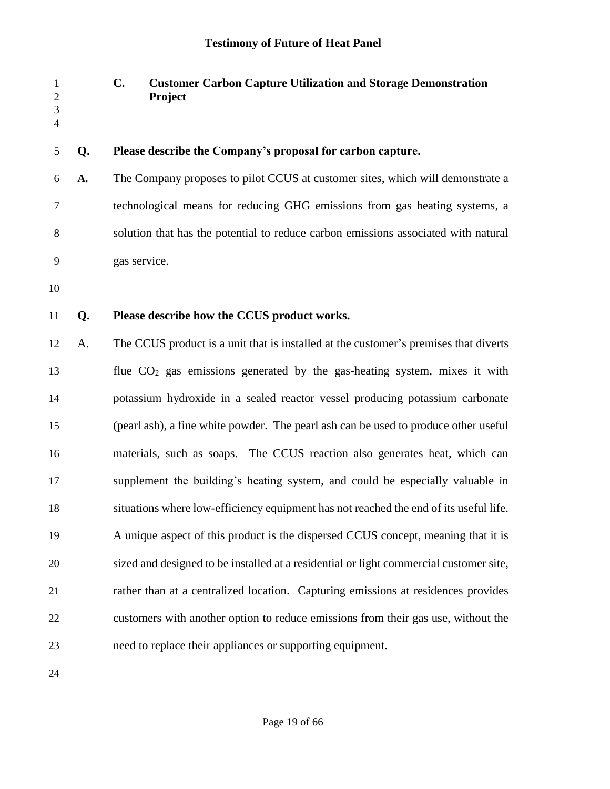| $\mathbf{1}$<br>$\mathfrak{2}$<br>3<br>$\overline{4}$ |    | $C_{\bullet}$<br><b>Customer Carbon Capture Utilization and Storage Demonstration</b><br>Project |
|-------------------------------------------------------|----|--------------------------------------------------------------------------------------------------|
| 5                                                     | Q. | Please describe the Company's proposal for carbon capture.                                       |
| 6                                                     | A. | The Company proposes to pilot CCUS at customer sites, which will demonstrate a                   |
| 7                                                     |    | technological means for reducing GHG emissions from gas heating systems, a                       |
| 8                                                     |    | solution that has the potential to reduce carbon emissions associated with natural               |
| 9                                                     |    | gas service.                                                                                     |
| 10                                                    |    |                                                                                                  |
| 11                                                    | Q. | Please describe how the CCUS product works.                                                      |
| 12                                                    | A. | The CCUS product is a unit that is installed at the customer's premises that diverts             |
| 13                                                    |    | flue $CO2$ gas emissions generated by the gas-heating system, mixes it with                      |
| 14                                                    |    | potassium hydroxide in a sealed reactor vessel producing potassium carbonate                     |
| 15                                                    |    | (pearl ash), a fine white powder. The pearl ash can be used to produce other useful              |
| 16                                                    |    | materials, such as soaps. The CCUS reaction also generates heat, which can                       |
| 17                                                    |    | supplement the building's heating system, and could be especially valuable in                    |
| 18                                                    |    | situations where low-efficiency equipment has not reached the end of its useful life.            |
| 19                                                    |    | A unique aspect of this product is the dispersed CCUS concept, meaning that it is                |
| 20                                                    |    | sized and designed to be installed at a residential or light commercial customer site,           |
| 21                                                    |    | rather than at a centralized location. Capturing emissions at residences provides                |
| 22                                                    |    | customers with another option to reduce emissions from their gas use, without the                |
| 23                                                    |    | need to replace their appliances or supporting equipment.                                        |
|                                                       |    |                                                                                                  |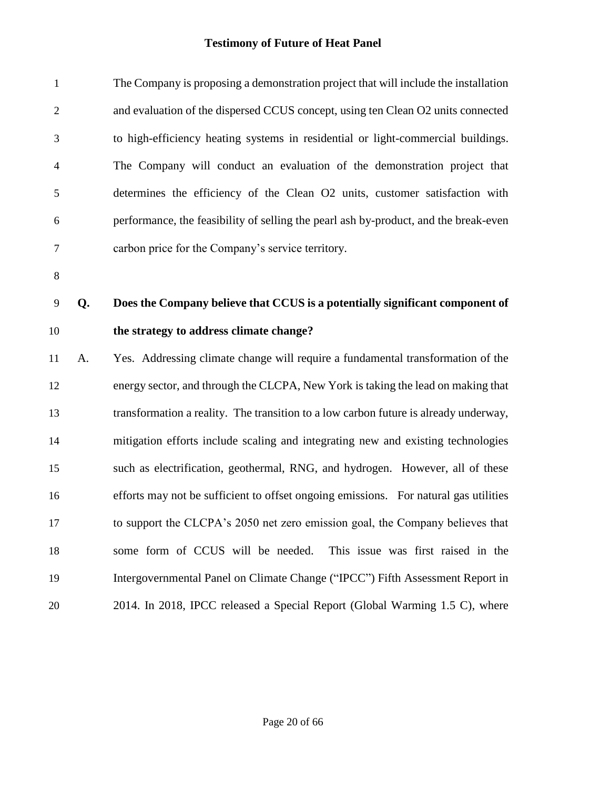| $\mathbf{1}$   |    | The Company is proposing a demonstration project that will include the installation  |  |  |  |  |
|----------------|----|--------------------------------------------------------------------------------------|--|--|--|--|
| $\overline{2}$ |    | and evaluation of the dispersed CCUS concept, using ten Clean O2 units connected     |  |  |  |  |
| 3              |    | to high-efficiency heating systems in residential or light-commercial buildings.     |  |  |  |  |
| $\overline{4}$ |    | The Company will conduct an evaluation of the demonstration project that             |  |  |  |  |
| $\mathfrak{S}$ |    | determines the efficiency of the Clean O2 units, customer satisfaction with          |  |  |  |  |
| 6              |    | performance, the feasibility of selling the pearl ash by-product, and the break-even |  |  |  |  |
| $\tau$         |    | carbon price for the Company's service territory.                                    |  |  |  |  |
| $8\,$          |    |                                                                                      |  |  |  |  |
| 9              | Q. | Does the Company believe that CCUS is a potentially significant component of         |  |  |  |  |
| 10             |    | the strategy to address climate change?                                              |  |  |  |  |
| 11             | A. | Yes. Addressing climate change will require a fundamental transformation of the      |  |  |  |  |
| 12             |    | energy sector, and through the CLCPA, New York is taking the lead on making that     |  |  |  |  |
| 13             |    | transformation a reality. The transition to a low carbon future is already underway, |  |  |  |  |
| 14             |    | mitigation efforts include scaling and integrating new and existing technologies     |  |  |  |  |
| 15             |    | such as electrification, geothermal, RNG, and hydrogen. However, all of these        |  |  |  |  |
| 16             |    | efforts may not be sufficient to offset ongoing emissions. For natural gas utilities |  |  |  |  |
| 17             |    | to support the CLCPA's 2050 net zero emission goal, the Company believes that        |  |  |  |  |
| 18             |    | some form of CCUS will be needed.<br>This issue was first raised in the              |  |  |  |  |
| 19             |    | Intergovernmental Panel on Climate Change ("IPCC") Fifth Assessment Report in        |  |  |  |  |
| 20             |    | 2014. In 2018, IPCC released a Special Report (Global Warming 1.5 C), where          |  |  |  |  |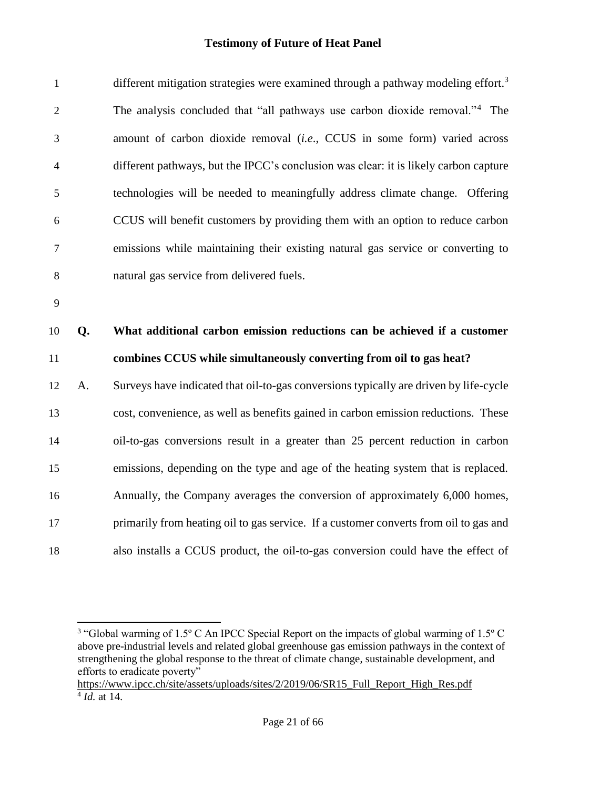| $\mathbf{1}$   |    | different mitigation strategies were examined through a pathway modeling effort. <sup>3</sup> |
|----------------|----|-----------------------------------------------------------------------------------------------|
| $\overline{2}$ |    | The analysis concluded that "all pathways use carbon dioxide removal." <sup>4</sup> The       |
| 3              |    | amount of carbon dioxide removal (i.e., CCUS in some form) varied across                      |
| $\overline{4}$ |    | different pathways, but the IPCC's conclusion was clear: it is likely carbon capture          |
| 5              |    | technologies will be needed to meaningfully address climate change. Offering                  |
| 6              |    | CCUS will benefit customers by providing them with an option to reduce carbon                 |
| 7              |    | emissions while maintaining their existing natural gas service or converting to               |
| 8              |    | natural gas service from delivered fuels.                                                     |
| 9              |    |                                                                                               |
|                |    |                                                                                               |
| 10             | Q. | What additional carbon emission reductions can be achieved if a customer                      |
| 11             |    | combines CCUS while simultaneously converting from oil to gas heat?                           |
| 12             | A. | Surveys have indicated that oil-to-gas conversions typically are driven by life-cycle         |
| 13             |    | cost, convenience, as well as benefits gained in carbon emission reductions. These            |
| 14             |    | oil-to-gas conversions result in a greater than 25 percent reduction in carbon                |
| 15             |    | emissions, depending on the type and age of the heating system that is replaced.              |
| 16             |    | Annually, the Company averages the conversion of approximately 6,000 homes,                   |
| 17             |    | primarily from heating oil to gas service. If a customer converts from oil to gas and         |

<sup>&</sup>lt;sup>3</sup> "Global warming of 1.5° C An IPCC Special Report on the impacts of global warming of 1.5° C above pre-industrial levels and related global greenhouse gas emission pathways in the context of strengthening the global response to the threat of climate change, sustainable development, and efforts to eradicate poverty"

[https://www.ipcc.ch/site/assets/uploads/sites/2/2019/06/SR15\\_Full\\_Report\\_High\\_Res.pdf](https://www.ipcc.ch/site/assets/uploads/sites/2/2019/06/SR15_Full_Report_High_Res.pdf) *Id.* at 14.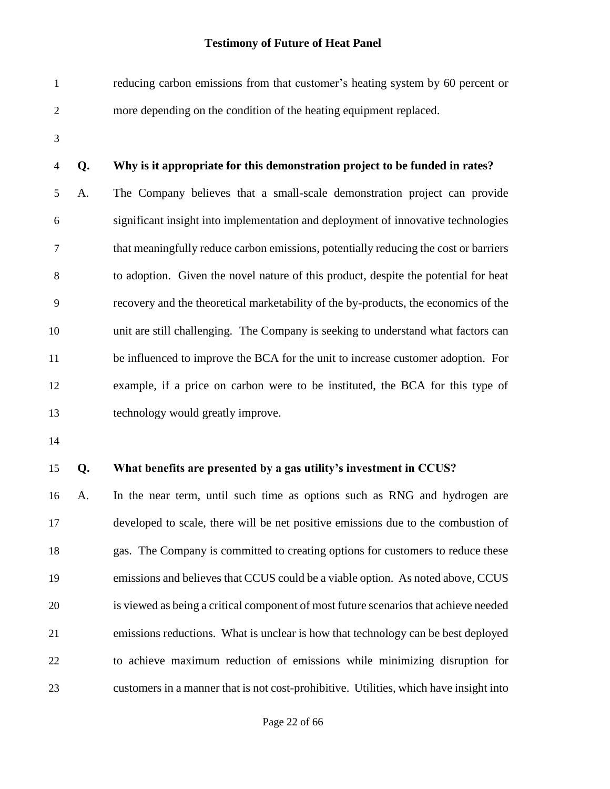- reducing carbon emissions from that customer's heating system by 60 percent or more depending on the condition of the heating equipment replaced.
- 

#### **Q. Why is it appropriate for this demonstration project to be funded in rates?**

 A. The Company believes that a small-scale demonstration project can provide significant insight into implementation and deployment of innovative technologies that meaningfully reduce carbon emissions, potentially reducing the cost or barriers to adoption. Given the novel nature of this product, despite the potential for heat recovery and the theoretical marketability of the by-products, the economics of the unit are still challenging. The Company is seeking to understand what factors can be influenced to improve the BCA for the unit to increase customer adoption. For example, if a price on carbon were to be instituted, the BCA for this type of technology would greatly improve.

#### **Q. What benefits are presented by a gas utility's investment in CCUS?**

 A. In the near term, until such time as options such as RNG and hydrogen are developed to scale, there will be net positive emissions due to the combustion of gas. The Company is committed to creating options for customers to reduce these emissions and believes that CCUS could be a viable option. As noted above, CCUS is viewed as being a critical component of most future scenarios that achieve needed emissions reductions. What is unclear is how that technology can be best deployed to achieve maximum reduction of emissions while minimizing disruption for customers in a manner that is not cost-prohibitive. Utilities, which have insight into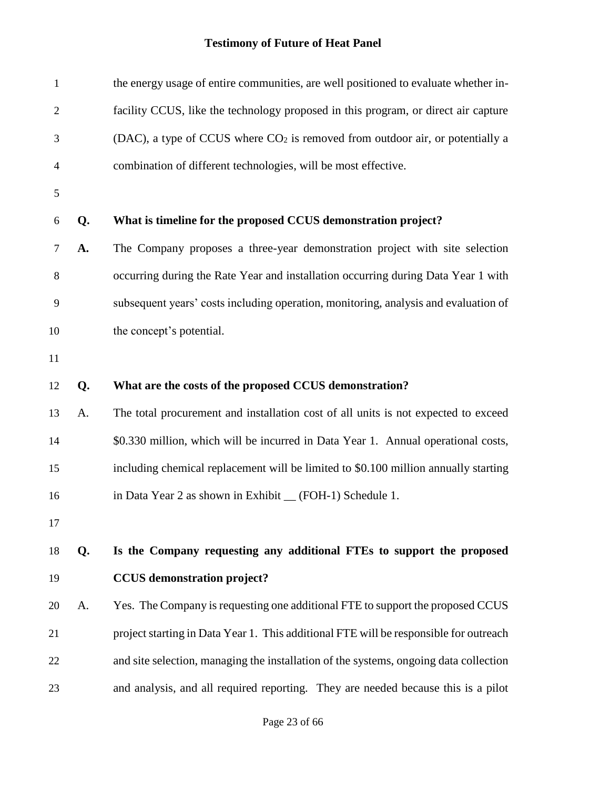| $\mathbf{1}$   |    | the energy usage of entire communities, are well positioned to evaluate whether in-   |  |  |  |  |  |
|----------------|----|---------------------------------------------------------------------------------------|--|--|--|--|--|
| $\overline{2}$ |    | facility CCUS, like the technology proposed in this program, or direct air capture    |  |  |  |  |  |
| 3              |    | (DAC), a type of CCUS where $CO2$ is removed from outdoor air, or potentially a       |  |  |  |  |  |
| $\overline{4}$ |    | combination of different technologies, will be most effective.                        |  |  |  |  |  |
| $\mathfrak{S}$ |    |                                                                                       |  |  |  |  |  |
| 6              | Q. | What is timeline for the proposed CCUS demonstration project?                         |  |  |  |  |  |
| 7              | A. | The Company proposes a three-year demonstration project with site selection           |  |  |  |  |  |
| 8              |    | occurring during the Rate Year and installation occurring during Data Year 1 with     |  |  |  |  |  |
| 9              |    | subsequent years' costs including operation, monitoring, analysis and evaluation of   |  |  |  |  |  |
| 10             |    | the concept's potential.                                                              |  |  |  |  |  |
| 11             |    |                                                                                       |  |  |  |  |  |
| 12             | Q. | What are the costs of the proposed CCUS demonstration?                                |  |  |  |  |  |
| 13             | A. | The total procurement and installation cost of all units is not expected to exceed    |  |  |  |  |  |
| 14             |    | \$0.330 million, which will be incurred in Data Year 1. Annual operational costs,     |  |  |  |  |  |
| 15             |    | including chemical replacement will be limited to \$0.100 million annually starting   |  |  |  |  |  |
| 16             |    | in Data Year 2 as shown in Exhibit _ (FOH-1) Schedule 1.                              |  |  |  |  |  |
| 17             |    |                                                                                       |  |  |  |  |  |
| 18             | Q. | Is the Company requesting any additional FTEs to support the proposed                 |  |  |  |  |  |
| 19             |    | <b>CCUS</b> demonstration project?                                                    |  |  |  |  |  |
| 20             | A. | Yes. The Company is requesting one additional FTE to support the proposed CCUS        |  |  |  |  |  |
| 21             |    | project starting in Data Year 1. This additional FTE will be responsible for outreach |  |  |  |  |  |
| 22             |    | and site selection, managing the installation of the systems, ongoing data collection |  |  |  |  |  |
| 23             |    | and analysis, and all required reporting. They are needed because this is a pilot     |  |  |  |  |  |
|                |    |                                                                                       |  |  |  |  |  |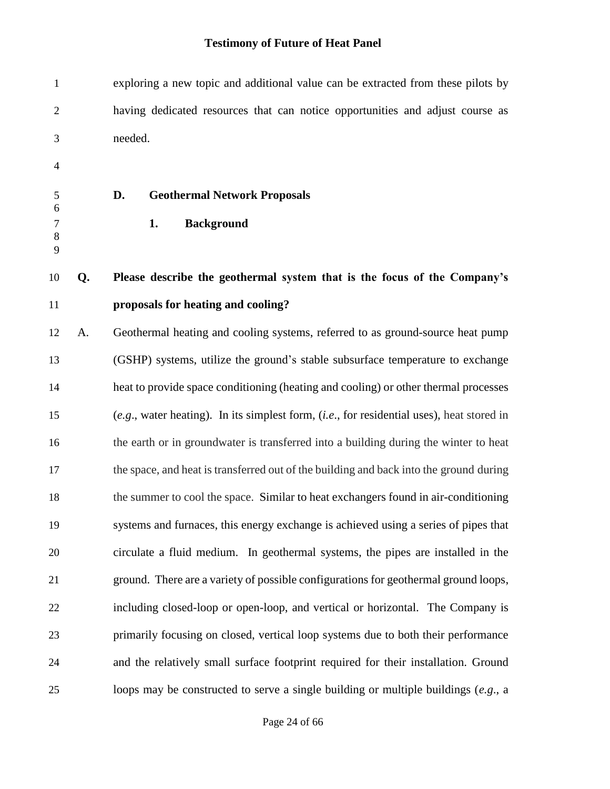| $\mathbf{1}$             |    | exploring a new topic and additional value can be extracted from these pilots by              |  |  |  |  |
|--------------------------|----|-----------------------------------------------------------------------------------------------|--|--|--|--|
| $\mathfrak{2}$           |    | having dedicated resources that can notice opportunities and adjust course as                 |  |  |  |  |
| 3                        |    | needed.                                                                                       |  |  |  |  |
| $\overline{\mathcal{A}}$ |    |                                                                                               |  |  |  |  |
| 5                        |    | D.<br><b>Geothermal Network Proposals</b>                                                     |  |  |  |  |
| 6<br>$\tau$              |    | <b>Background</b><br>1.                                                                       |  |  |  |  |
| 8<br>9                   |    |                                                                                               |  |  |  |  |
| 10                       | Q. | Please describe the geothermal system that is the focus of the Company's                      |  |  |  |  |
| 11                       |    | proposals for heating and cooling?                                                            |  |  |  |  |
| 12                       | A. | Geothermal heating and cooling systems, referred to as ground-source heat pump                |  |  |  |  |
| 13                       |    | (GSHP) systems, utilize the ground's stable subsurface temperature to exchange                |  |  |  |  |
| 14                       |    | heat to provide space conditioning (heating and cooling) or other thermal processes           |  |  |  |  |
| 15                       |    | $(e.g.,$ water heating). In its simplest form, $(i.e.,$ for residential uses), heat stored in |  |  |  |  |
| 16                       |    | the earth or in groundwater is transferred into a building during the winter to heat          |  |  |  |  |
| 17                       |    | the space, and heat is transferred out of the building and back into the ground during        |  |  |  |  |
| 18                       |    | the summer to cool the space. Similar to heat exchangers found in air-conditioning            |  |  |  |  |
| 19                       |    | systems and furnaces, this energy exchange is achieved using a series of pipes that           |  |  |  |  |
| 20                       |    | circulate a fluid medium. In geothermal systems, the pipes are installed in the               |  |  |  |  |
| 21                       |    | ground. There are a variety of possible configurations for geothermal ground loops,           |  |  |  |  |
| 22                       |    | including closed-loop or open-loop, and vertical or horizontal. The Company is                |  |  |  |  |
| 23                       |    | primarily focusing on closed, vertical loop systems due to both their performance             |  |  |  |  |
| 24                       |    | and the relatively small surface footprint required for their installation. Ground            |  |  |  |  |
| 25                       |    | loops may be constructed to serve a single building or multiple buildings $(e.g., a$          |  |  |  |  |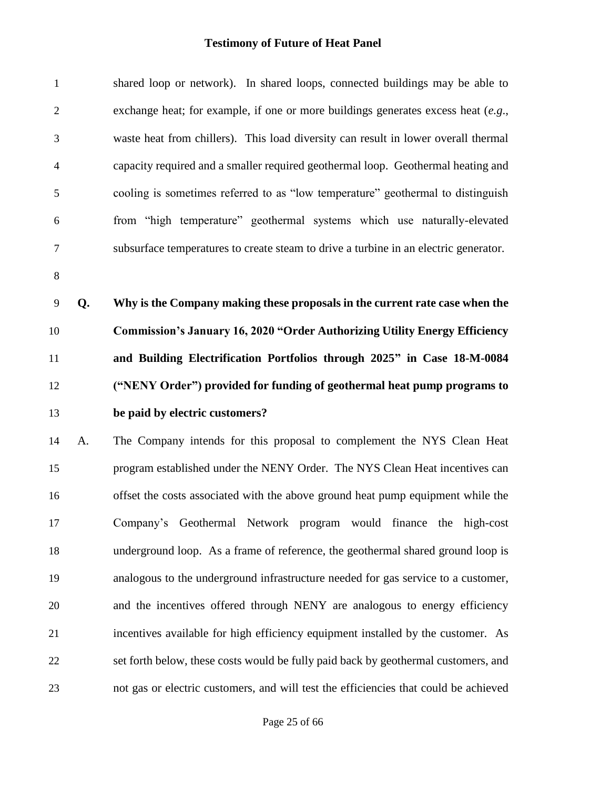| $\mathbf{1}$   |    | shared loop or network). In shared loops, connected buildings may be able to         |
|----------------|----|--------------------------------------------------------------------------------------|
| $\overline{2}$ |    | exchange heat; for example, if one or more buildings generates excess heat $(e.g.,)$ |
| 3              |    | waste heat from chillers). This load diversity can result in lower overall thermal   |
| $\overline{4}$ |    | capacity required and a smaller required geothermal loop. Geothermal heating and     |
| 5              |    | cooling is sometimes referred to as "low temperature" geothermal to distinguish      |
| 6              |    | from "high temperature" geothermal systems which use naturally-elevated              |
| $\tau$         |    | subsurface temperatures to create steam to drive a turbine in an electric generator. |
| $8\,$          |    |                                                                                      |
| 9              | Q. | Why is the Company making these proposals in the current rate case when the          |
| 10             |    | <b>Commission's January 16, 2020 "Order Authorizing Utility Energy Efficiency</b>    |
| 11             |    | and Building Electrification Portfolios through 2025" in Case 18-M-0084              |
| 12             |    | ("NENY Order") provided for funding of geothermal heat pump programs to              |
| 13             |    | be paid by electric customers?                                                       |
| 14             | A. | The Company intends for this proposal to complement the NYS Clean Heat               |
| 15             |    | program established under the NENY Order. The NYS Clean Heat incentives can          |
| 16             |    | offset the costs associated with the above ground heat pump equipment while the      |
| 17             |    | Company's Geothermal Network program would finance the high-cost                     |
| 18             |    | underground loop. As a frame of reference, the geothermal shared ground loop is      |
| 19             |    | analogous to the underground infrastructure needed for gas service to a customer,    |
| 20             |    | and the incentives offered through NENY are analogous to energy efficiency           |
| 21             |    | incentives available for high efficiency equipment installed by the customer. As     |
| 22             |    | set forth below, these costs would be fully paid back by geothermal customers, and   |
| 23             |    | not gas or electric customers, and will test the efficiencies that could be achieved |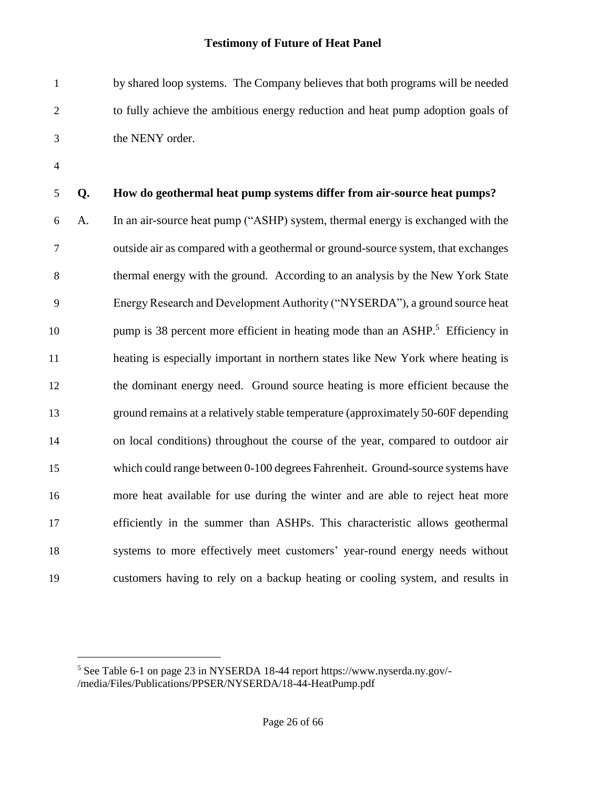by shared loop systems. The Company believes that both programs will be needed to fully achieve the ambitious energy reduction and heat pump adoption goals of the NENY order.

l

### **Q. How do geothermal heat pump systems differ from air-source heat pumps?**

 A. In an air-source heat pump ("ASHP) system, thermal energy is exchanged with the outside air as compared with a geothermal or ground-source system, that exchanges thermal energy with the ground. According to an analysis by the New York State Energy Research and Development Authority ("NYSERDA"), a ground source heat 10 pump is 38 percent more efficient in heating mode than an ASHP.<sup>5</sup> Efficiency in heating is especially important in northern states like New York where heating is the dominant energy need. Ground source heating is more efficient because the ground remains at a relatively stable temperature (approximately 50-60F depending on local conditions) throughout the course of the year, compared to outdoor air which could range between 0-100 degrees Fahrenheit. Ground-source systems have more heat available for use during the winter and are able to reject heat more efficiently in the summer than ASHPs. This characteristic allows geothermal systems to more effectively meet customers' year-round energy needs without customers having to rely on a backup heating or cooling system, and results in

 See Table 6-1 on page 23 in NYSERDA 18-44 report https://www.nyserda.ny.gov/- /media/Files/Publications/PPSER/NYSERDA/18-44-HeatPump.pdf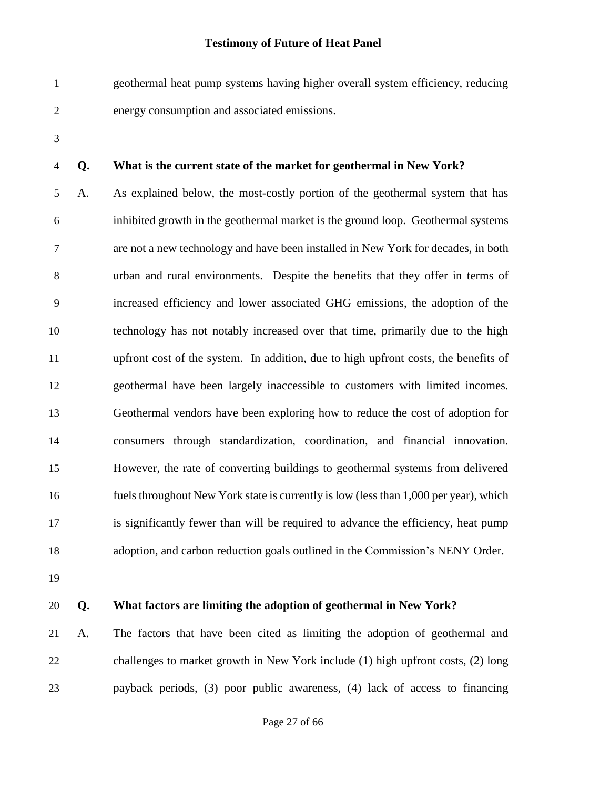- geothermal heat pump systems having higher overall system efficiency, reducing energy consumption and associated emissions.
- 

#### **Q. What is the current state of the market for geothermal in New York?**

 A. As explained below, the most-costly portion of the geothermal system that has inhibited growth in the geothermal market is the ground loop. Geothermal systems are not a new technology and have been installed in New York for decades, in both urban and rural environments. Despite the benefits that they offer in terms of increased efficiency and lower associated GHG emissions, the adoption of the technology has not notably increased over that time, primarily due to the high upfront cost of the system. In addition, due to high upfront costs, the benefits of geothermal have been largely inaccessible to customers with limited incomes. Geothermal vendors have been exploring how to reduce the cost of adoption for consumers through standardization, coordination, and financial innovation. However, the rate of converting buildings to geothermal systems from delivered fuels throughout New York state is currently is low (less than 1,000 per year), which is significantly fewer than will be required to advance the efficiency, heat pump adoption, and carbon reduction goals outlined in the Commission's NENY Order.

- 
- 

#### **Q. What factors are limiting the adoption of geothermal in New York?**

 A. The factors that have been cited as limiting the adoption of geothermal and challenges to market growth in New York include (1) high upfront costs, (2) long payback periods, (3) poor public awareness, (4) lack of access to financing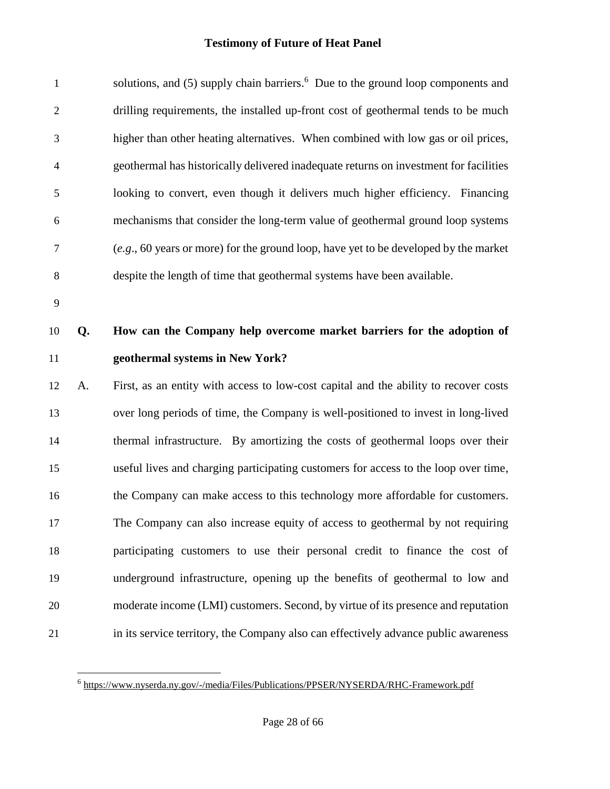| $\mathbf{1}$   |    | solutions, and (5) supply chain barriers. <sup>6</sup> Due to the ground loop components and   |  |  |  |
|----------------|----|------------------------------------------------------------------------------------------------|--|--|--|
| $\mathfrak{2}$ |    | drilling requirements, the installed up-front cost of geothermal tends to be much              |  |  |  |
| 3              |    | higher than other heating alternatives. When combined with low gas or oil prices,              |  |  |  |
| $\overline{4}$ |    | geothermal has historically delivered inadequate returns on investment for facilities          |  |  |  |
| 5              |    | looking to convert, even though it delivers much higher efficiency. Financing                  |  |  |  |
| 6              |    | mechanisms that consider the long-term value of geothermal ground loop systems                 |  |  |  |
| $\tau$         |    | $(e.g., 60 \text{ years or more})$ for the ground loop, have yet to be developed by the market |  |  |  |
| $8\,$          |    | despite the length of time that geothermal systems have been available.                        |  |  |  |
| 9              |    |                                                                                                |  |  |  |
| 10             | Q. | How can the Company help overcome market barriers for the adoption of                          |  |  |  |
|                |    |                                                                                                |  |  |  |
| 11             |    | geothermal systems in New York?                                                                |  |  |  |
| 12             | A. | First, as an entity with access to low-cost capital and the ability to recover costs           |  |  |  |
| 13             |    | over long periods of time, the Company is well-positioned to invest in long-lived              |  |  |  |
| 14             |    | thermal infrastructure. By amortizing the costs of geothermal loops over their                 |  |  |  |
| 15             |    | useful lives and charging participating customers for access to the loop over time,            |  |  |  |
| 16             |    | the Company can make access to this technology more affordable for customers.                  |  |  |  |
| 17             |    | The Company can also increase equity of access to geothermal by not requiring                  |  |  |  |
| 18             |    | participating customers to use their personal credit to finance the cost of                    |  |  |  |
| 19             |    | underground infrastructure, opening up the benefits of geothermal to low and                   |  |  |  |
| 20             |    | moderate income (LMI) customers. Second, by virtue of its presence and reputation              |  |  |  |

 6 <https://www.nyserda.ny.gov/-/media/Files/Publications/PPSER/NYSERDA/RHC-Framework.pdf>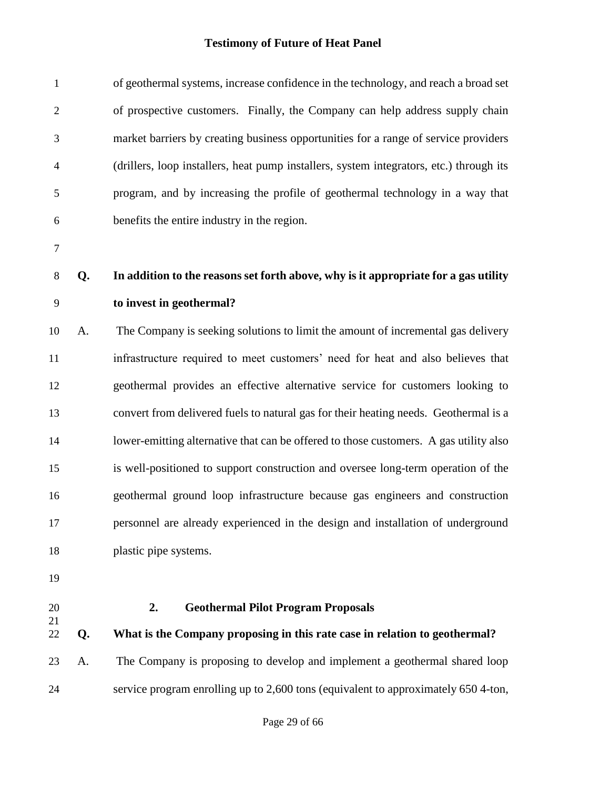| $\mathbf{1}$   |    | of geothermal systems, increase confidence in the technology, and reach a broad set     |  |  |  |  |
|----------------|----|-----------------------------------------------------------------------------------------|--|--|--|--|
| $\overline{2}$ |    | of prospective customers. Finally, the Company can help address supply chain            |  |  |  |  |
| 3              |    | market barriers by creating business opportunities for a range of service providers     |  |  |  |  |
| 4              |    | (drillers, loop installers, heat pump installers, system integrators, etc.) through its |  |  |  |  |
| 5              |    | program, and by increasing the profile of geothermal technology in a way that           |  |  |  |  |
| 6              |    | benefits the entire industry in the region.                                             |  |  |  |  |
| $\overline{7}$ |    |                                                                                         |  |  |  |  |
| 8              | Q. | In addition to the reasons set forth above, why is it appropriate for a gas utility     |  |  |  |  |
| 9              |    | to invest in geothermal?                                                                |  |  |  |  |
| 10             | A. | The Company is seeking solutions to limit the amount of incremental gas delivery        |  |  |  |  |
| 11             |    | infrastructure required to meet customers' need for heat and also believes that         |  |  |  |  |
| 12             |    | geothermal provides an effective alternative service for customers looking to           |  |  |  |  |
| 13             |    | convert from delivered fuels to natural gas for their heating needs. Geothermal is a    |  |  |  |  |
| 14             |    | lower-emitting alternative that can be offered to those customers. A gas utility also   |  |  |  |  |
| 15             |    | is well-positioned to support construction and oversee long-term operation of the       |  |  |  |  |
| 16             |    | geothermal ground loop infrastructure because gas engineers and construction            |  |  |  |  |
| 17             |    | personnel are already experienced in the design and installation of underground         |  |  |  |  |
| 18             |    | plastic pipe systems.                                                                   |  |  |  |  |
| 19             |    |                                                                                         |  |  |  |  |
| 20             |    | <b>Geothermal Pilot Program Proposals</b><br>2.                                         |  |  |  |  |
| 21<br>22       | Q. | What is the Company proposing in this rate case in relation to geothermal?              |  |  |  |  |
| 23             | A. | The Company is proposing to develop and implement a geothermal shared loop              |  |  |  |  |
| 24             |    | service program enrolling up to 2,600 tons (equivalent to approximately 650 4-ton,      |  |  |  |  |
|                |    |                                                                                         |  |  |  |  |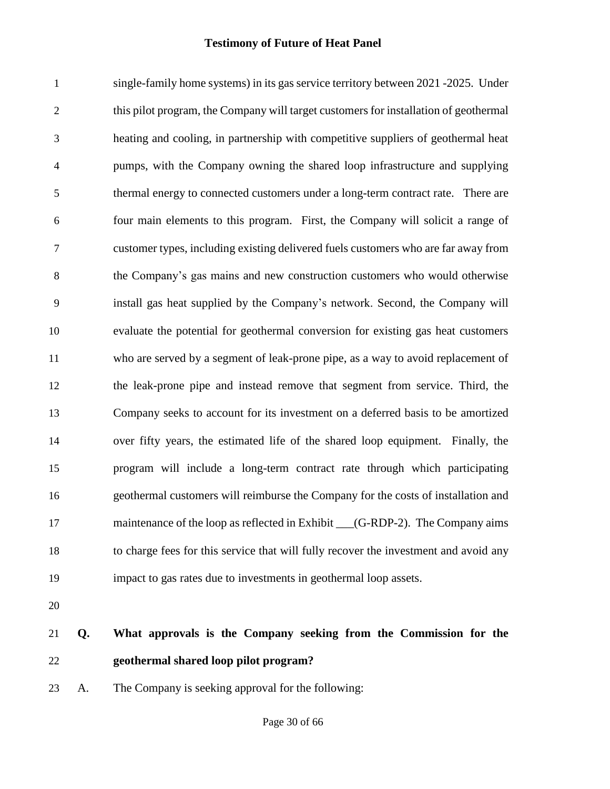single-family home systems) in its gas service territory between 2021 -2025. Under this pilot program, the Company will target customers for installation of geothermal heating and cooling, in partnership with competitive suppliers of geothermal heat pumps, with the Company owning the shared loop infrastructure and supplying thermal energy to connected customers under a long-term contract rate. There are four main elements to this program. First, the Company will solicit a range of customer types, including existing delivered fuels customers who are far away from the Company's gas mains and new construction customers who would otherwise install gas heat supplied by the Company's network. Second, the Company will evaluate the potential for geothermal conversion for existing gas heat customers who are served by a segment of leak-prone pipe, as a way to avoid replacement of the leak-prone pipe and instead remove that segment from service. Third, the Company seeks to account for its investment on a deferred basis to be amortized over fifty years, the estimated life of the shared loop equipment. Finally, the program will include a long-term contract rate through which participating geothermal customers will reimburse the Company for the costs of installation and 17 maintenance of the loop as reflected in Exhibit (G-RDP-2). The Company aims to charge fees for this service that will fully recover the investment and avoid any impact to gas rates due to investments in geothermal loop assets.

- 
- **Q. What approvals is the Company seeking from the Commission for the geothermal shared loop pilot program?**
- A. The Company is seeking approval for the following: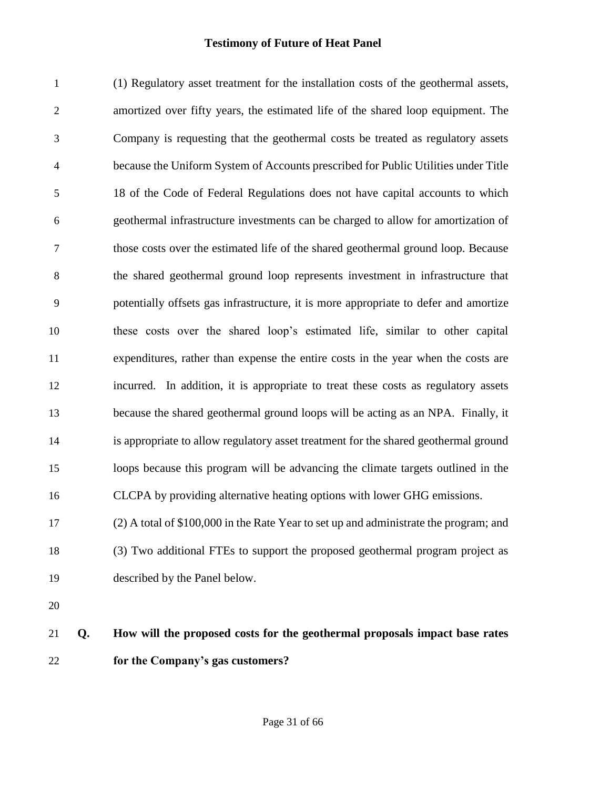(1) Regulatory asset treatment for the installation costs of the geothermal assets, amortized over fifty years, the estimated life of the shared loop equipment. The Company is requesting that the geothermal costs be treated as regulatory assets because the Uniform System of Accounts prescribed for Public Utilities under Title 18 of the Code of Federal Regulations does not have capital accounts to which geothermal infrastructure investments can be charged to allow for amortization of those costs over the estimated life of the shared geothermal ground loop. Because the shared geothermal ground loop represents investment in infrastructure that potentially offsets gas infrastructure, it is more appropriate to defer and amortize these costs over the shared loop's estimated life, similar to other capital expenditures, rather than expense the entire costs in the year when the costs are incurred. In addition, it is appropriate to treat these costs as regulatory assets because the shared geothermal ground loops will be acting as an NPA. Finally, it is appropriate to allow regulatory asset treatment for the shared geothermal ground loops because this program will be advancing the climate targets outlined in the CLCPA by providing alternative heating options with lower GHG emissions. (2) A total of \$100,000 in the Rate Year to set up and administrate the program; and (3) Two additional FTEs to support the proposed geothermal program project as described by the Panel below. 

## **Q. How will the proposed costs for the geothermal proposals impact base rates for the Company's gas customers?**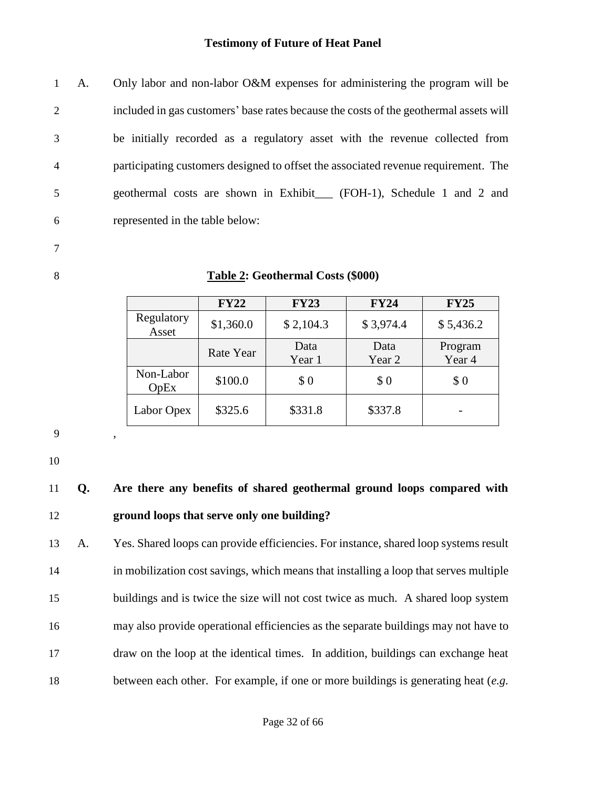A. Only labor and non-labor O&M expenses for administering the program will be included in gas customers' base rates because the costs of the geothermal assets will be initially recorded as a regulatory asset with the revenue collected from participating customers designed to offset the associated revenue requirement. The geothermal costs are shown in Exhibit\_\_\_ (FOH-1), Schedule 1 and 2 and represented in the table below:

7

#### 8 **Table 2: Geothermal Costs (\$000)**

|                     | <b>FY22</b> | <b>FY23</b>    | <b>FY24</b>    | <b>FY25</b>       |
|---------------------|-------------|----------------|----------------|-------------------|
| Regulatory<br>Asset | \$1,360.0   | \$2,104.3      | \$3,974.4      | \$5,436.2         |
|                     | Rate Year   | Data<br>Year 1 | Data<br>Year 2 | Program<br>Year 4 |
| Non-Labor<br>OpEx   | \$100.0     | \$0            | \$0            | \$0               |
| Labor Opex          | \$325.6     | \$331.8        | \$337.8        |                   |

9 ,

10

## 11 **Q. Are there any benefits of shared geothermal ground loops compared with**  12 **ground loops that serve only one building?**

 A. Yes. Shared loops can provide efficiencies. For instance, shared loop systems result in mobilization cost savings, which means that installing a loop that serves multiple buildings and is twice the size will not cost twice as much. A shared loop system may also provide operational efficiencies as the separate buildings may not have to draw on the loop at the identical times. In addition, buildings can exchange heat between each other. For example, if one or more buildings is generating heat (*e.g.*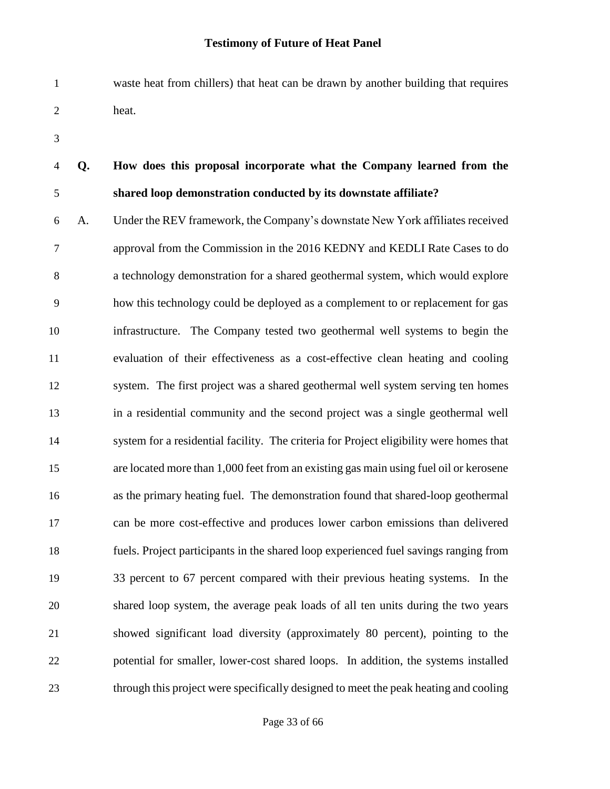waste heat from chillers) that heat can be drawn by another building that requires heat.

## **Q. How does this proposal incorporate what the Company learned from the shared loop demonstration conducted by its downstate affiliate?**

 A. Under the REV framework, the Company's downstate New York affiliates received approval from the Commission in the 2016 KEDNY and KEDLI Rate Cases to do a technology demonstration for a shared geothermal system, which would explore how this technology could be deployed as a complement to or replacement for gas infrastructure. The Company tested two geothermal well systems to begin the evaluation of their effectiveness as a cost-effective clean heating and cooling system. The first project was a shared geothermal well system serving ten homes in a residential community and the second project was a single geothermal well system for a residential facility. The criteria for Project eligibility were homes that are located more than 1,000 feet from an existing gas main using fuel oil or kerosene as the primary heating fuel. The demonstration found that shared-loop geothermal can be more cost-effective and produces lower carbon emissions than delivered fuels. Project participants in the shared loop experienced fuel savings ranging from 33 percent to 67 percent compared with their previous heating systems. In the shared loop system, the average peak loads of all ten units during the two years showed significant load diversity (approximately 80 percent), pointing to the potential for smaller, lower-cost shared loops. In addition, the systems installed through this project were specifically designed to meet the peak heating and cooling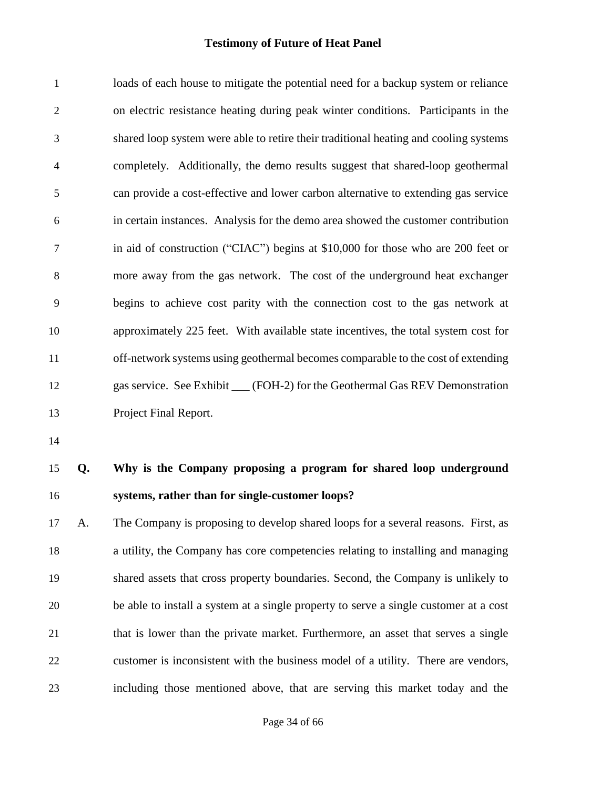loads of each house to mitigate the potential need for a backup system or reliance on electric resistance heating during peak winter conditions. Participants in the shared loop system were able to retire their traditional heating and cooling systems completely. Additionally, the demo results suggest that shared-loop geothermal can provide a cost-effective and lower carbon alternative to extending gas service in certain instances. Analysis for the demo area showed the customer contribution in aid of construction ("CIAC") begins at \$10,000 for those who are 200 feet or more away from the gas network. The cost of the underground heat exchanger begins to achieve cost parity with the connection cost to the gas network at approximately 225 feet. With available state incentives, the total system cost for off-network systems using geothermal becomes comparable to the cost of extending gas service. See Exhibit \_\_\_ (FOH-2) for the Geothermal Gas REV Demonstration Project Final Report.

## **Q. Why is the Company proposing a program for shared loop underground systems, rather than for single-customer loops?**

 A. The Company is proposing to develop shared loops for a several reasons. First, as a utility, the Company has core competencies relating to installing and managing shared assets that cross property boundaries. Second, the Company is unlikely to be able to install a system at a single property to serve a single customer at a cost that is lower than the private market. Furthermore, an asset that serves a single customer is inconsistent with the business model of a utility. There are vendors, including those mentioned above, that are serving this market today and the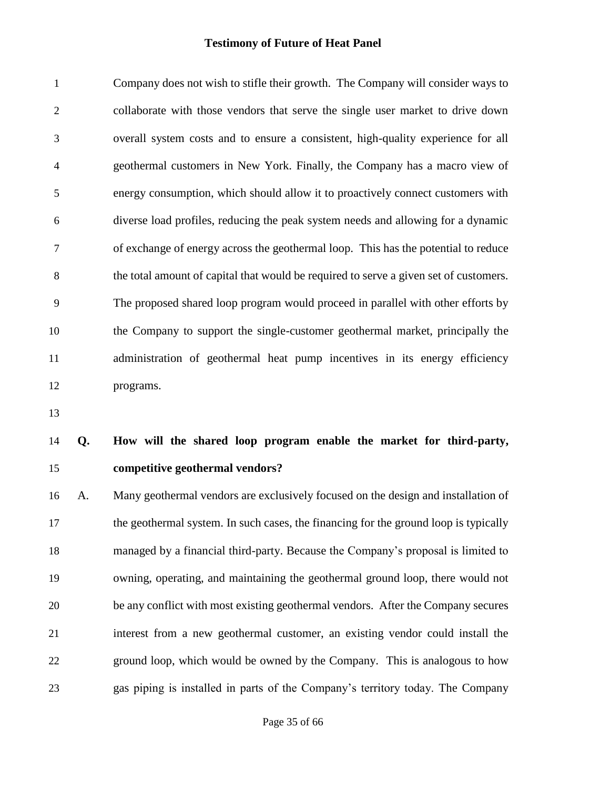Company does not wish to stifle their growth. The Company will consider ways to collaborate with those vendors that serve the single user market to drive down overall system costs and to ensure a consistent, high-quality experience for all geothermal customers in New York. Finally, the Company has a macro view of energy consumption, which should allow it to proactively connect customers with diverse load profiles, reducing the peak system needs and allowing for a dynamic of exchange of energy across the geothermal loop. This has the potential to reduce the total amount of capital that would be required to serve a given set of customers. The proposed shared loop program would proceed in parallel with other efforts by the Company to support the single-customer geothermal market, principally the administration of geothermal heat pump incentives in its energy efficiency programs.

## **Q. How will the shared loop program enable the market for third-party, competitive geothermal vendors?**

 A. Many geothermal vendors are exclusively focused on the design and installation of the geothermal system. In such cases, the financing for the ground loop is typically managed by a financial third-party. Because the Company's proposal is limited to owning, operating, and maintaining the geothermal ground loop, there would not be any conflict with most existing geothermal vendors. After the Company secures interest from a new geothermal customer, an existing vendor could install the ground loop, which would be owned by the Company. This is analogous to how gas piping is installed in parts of the Company's territory today. The Company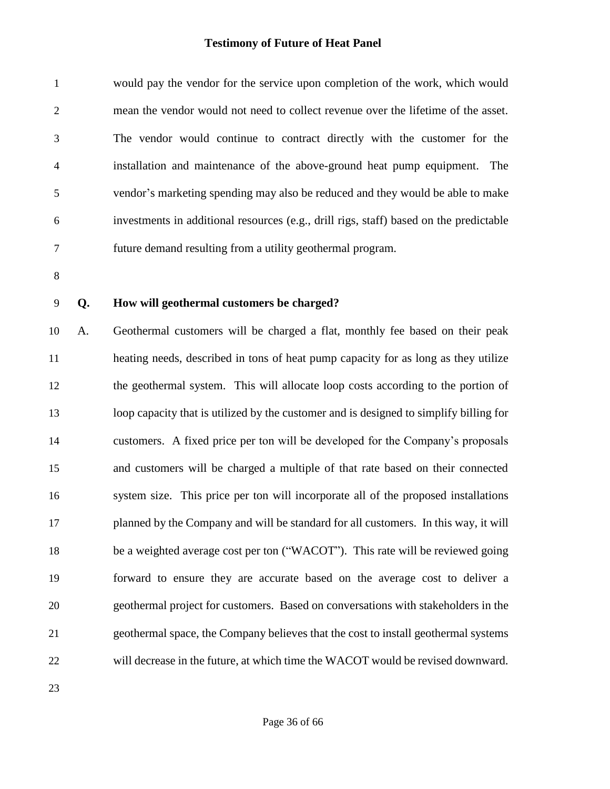| 1              | would pay the vendor for the service upon completion of the work, which would          |
|----------------|----------------------------------------------------------------------------------------|
| 2              | mean the vendor would not need to collect revenue over the lifetime of the asset.      |
| 3              | The vendor would continue to contract directly with the customer for the               |
| $\overline{4}$ | installation and maintenance of the above-ground heat pump equipment. The              |
| 5              | vendor's marketing spending may also be reduced and they would be able to make         |
| 6              | investments in additional resources (e.g., drill rigs, staff) based on the predictable |
| 7              | future demand resulting from a utility geothermal program.                             |

#### **Q. How will geothermal customers be charged?**

 A. Geothermal customers will be charged a flat, monthly fee based on their peak heating needs, described in tons of heat pump capacity for as long as they utilize the geothermal system. This will allocate loop costs according to the portion of loop capacity that is utilized by the customer and is designed to simplify billing for customers. A fixed price per ton will be developed for the Company's proposals and customers will be charged a multiple of that rate based on their connected system size. This price per ton will incorporate all of the proposed installations planned by the Company and will be standard for all customers. In this way, it will 18 be a weighted average cost per ton ("WACOT"). This rate will be reviewed going forward to ensure they are accurate based on the average cost to deliver a geothermal project for customers. Based on conversations with stakeholders in the geothermal space, the Company believes that the cost to install geothermal systems will decrease in the future, at which time the WACOT would be revised downward.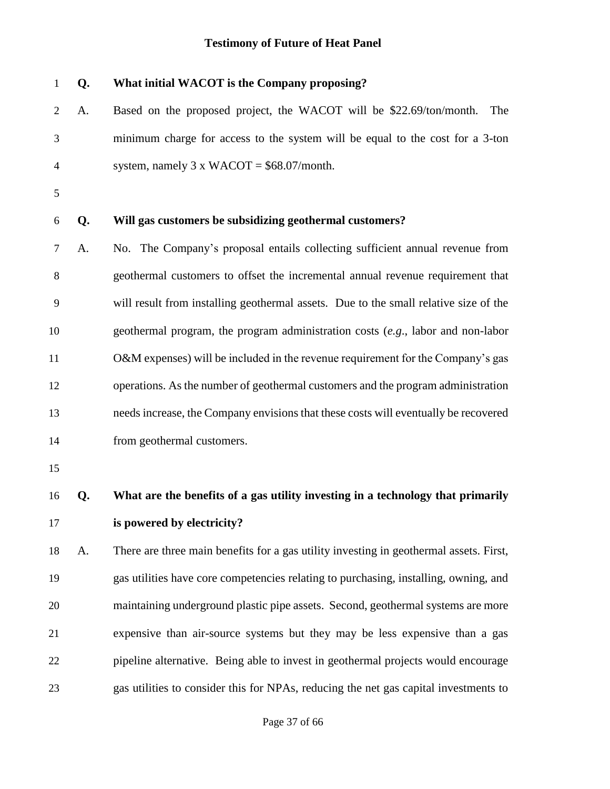| $\mathbf{1}$   | Q. | What initial WACOT is the Company proposing?                                           |
|----------------|----|----------------------------------------------------------------------------------------|
| 2              | A. | Based on the proposed project, the WACOT will be \$22.69/ton/month.<br>The             |
| 3              |    | minimum charge for access to the system will be equal to the cost for a 3-ton          |
| $\overline{4}$ |    | system, namely $3 \times WACOT = $68.07/$ month.                                       |
| 5              |    |                                                                                        |
| 6              | Q. | Will gas customers be subsidizing geothermal customers?                                |
| 7              | A. | No. The Company's proposal entails collecting sufficient annual revenue from           |
| 8              |    | geothermal customers to offset the incremental annual revenue requirement that         |
| 9              |    | will result from installing geothermal assets. Due to the small relative size of the   |
| 10             |    | geothermal program, the program administration costs $(e.g.,$ labor and non-labor      |
| 11             |    | O&M expenses) will be included in the revenue requirement for the Company's gas        |
| 12             |    | operations. As the number of geothermal customers and the program administration       |
| 13             |    | needs increase, the Company envisions that these costs will eventually be recovered    |
| 14             |    | from geothermal customers.                                                             |
| 15             |    |                                                                                        |
| 16             | Q. | What are the benefits of a gas utility investing in a technology that primarily        |
| 17             |    | is powered by electricity?                                                             |
| 18             | A. | There are three main benefits for a gas utility investing in geothermal assets. First, |
| 19             |    | gas utilities have core competencies relating to purchasing, installing, owning, and   |
| 20             |    | maintaining underground plastic pipe assets. Second, geothermal systems are more       |
| 21             |    | expensive than air-source systems but they may be less expensive than a gas            |
| 22             |    | pipeline alternative. Being able to invest in geothermal projects would encourage      |
| 23             |    | gas utilities to consider this for NPAs, reducing the net gas capital investments to   |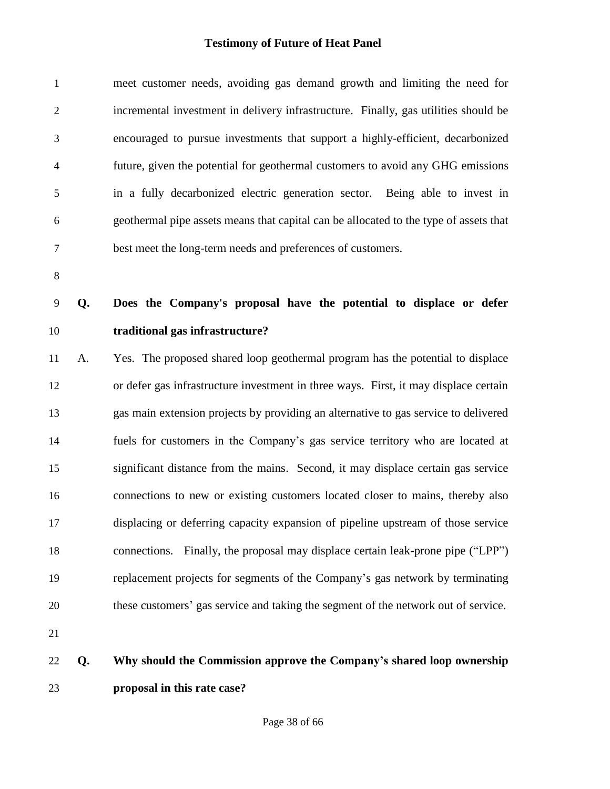| 23             |    | proposal in this rate case?                                                           |
|----------------|----|---------------------------------------------------------------------------------------|
| 22             | Q. | Why should the Commission approve the Company's shared loop ownership                 |
| 21             |    |                                                                                       |
| 20             |    | these customers' gas service and taking the segment of the network out of service.    |
| 19             |    | replacement projects for segments of the Company's gas network by terminating         |
| 18             |    | connections. Finally, the proposal may displace certain leak-prone pipe ("LPP")       |
| 17             |    | displacing or deferring capacity expansion of pipeline upstream of those service      |
| 16             |    | connections to new or existing customers located closer to mains, thereby also        |
| 15             |    | significant distance from the mains. Second, it may displace certain gas service      |
| 14             |    | fuels for customers in the Company's gas service territory who are located at         |
| 13             |    | gas main extension projects by providing an alternative to gas service to delivered   |
| 12             |    | or defer gas infrastructure investment in three ways. First, it may displace certain  |
| 11             | A. | Yes. The proposed shared loop geothermal program has the potential to displace        |
| 10             |    | traditional gas infrastructure?                                                       |
| $\mathbf{9}$   | Q. | Does the Company's proposal have the potential to displace or defer                   |
| $\, 8$         |    |                                                                                       |
| 7              |    | best meet the long-term needs and preferences of customers.                           |
| 6              |    | geothermal pipe assets means that capital can be allocated to the type of assets that |
| 5              |    | in a fully decarbonized electric generation sector. Being able to invest in           |
| 4              |    | future, given the potential for geothermal customers to avoid any GHG emissions       |
| 3              |    | encouraged to pursue investments that support a highly-efficient, decarbonized        |
| $\mathfrak{2}$ |    | incremental investment in delivery infrastructure. Finally, gas utilities should be   |
| $\mathbf{1}$   |    | meet customer needs, avoiding gas demand growth and limiting the need for             |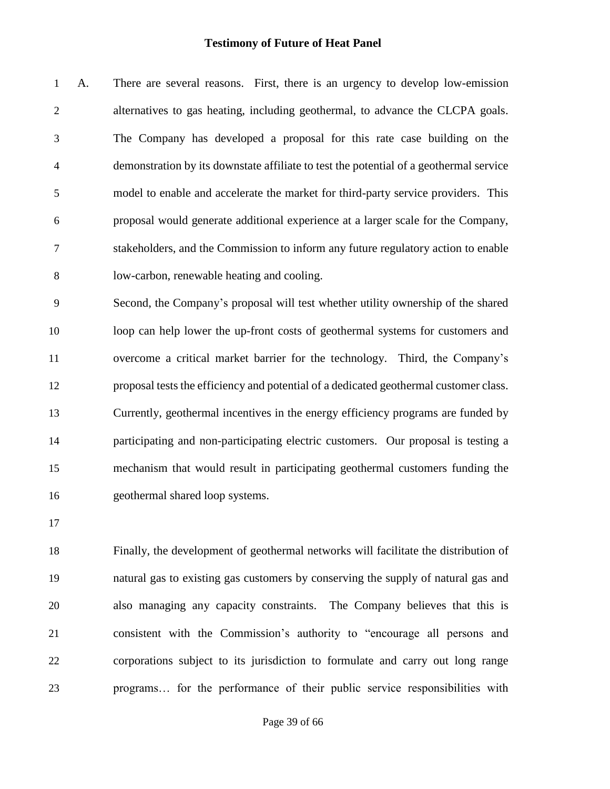A. There are several reasons. First, there is an urgency to develop low-emission alternatives to gas heating, including geothermal, to advance the CLCPA goals. The Company has developed a proposal for this rate case building on the demonstration by its downstate affiliate to test the potential of a geothermal service model to enable and accelerate the market for third-party service providers. This proposal would generate additional experience at a larger scale for the Company, stakeholders, and the Commission to inform any future regulatory action to enable low-carbon, renewable heating and cooling.

 Second, the Company's proposal will test whether utility ownership of the shared loop can help lower the up-front costs of geothermal systems for customers and overcome a critical market barrier for the technology. Third, the Company's proposal tests the efficiency and potential of a dedicated geothermal customer class. Currently, geothermal incentives in the energy efficiency programs are funded by participating and non-participating electric customers. Our proposal is testing a mechanism that would result in participating geothermal customers funding the geothermal shared loop systems.

 Finally, the development of geothermal networks will facilitate the distribution of natural gas to existing gas customers by conserving the supply of natural gas and also managing any capacity constraints. The Company believes that this is consistent with the Commission's authority to "encourage all persons and corporations subject to its jurisdiction to formulate and carry out long range programs… for the performance of their public service responsibilities with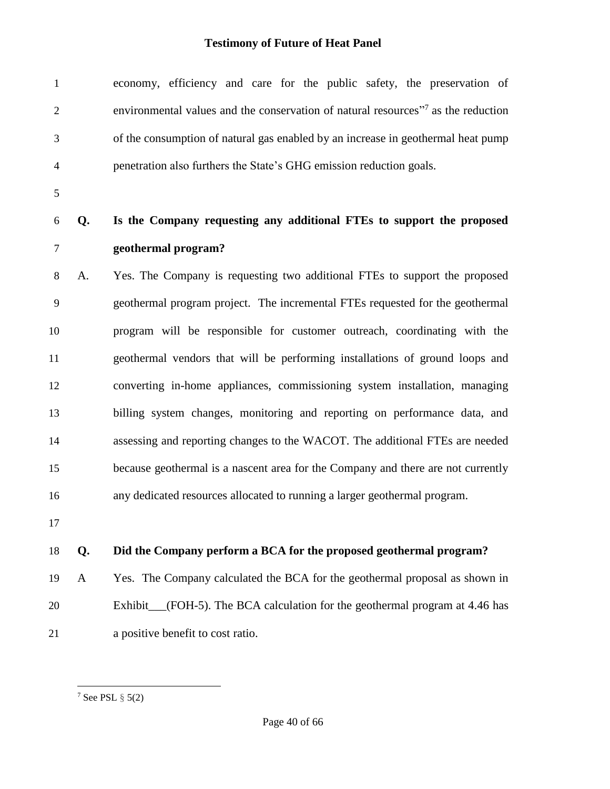| $\mathbf{1}$   |              | economy, efficiency and care for the public safety, the preservation of                       |
|----------------|--------------|-----------------------------------------------------------------------------------------------|
| $\mathbf{2}$   |              | environmental values and the conservation of natural resources" <sup>7</sup> as the reduction |
| 3              |              | of the consumption of natural gas enabled by an increase in geothermal heat pump              |
| 4              |              | penetration also furthers the State's GHG emission reduction goals.                           |
| $\mathfrak{S}$ |              |                                                                                               |
| 6              | Q.           | Is the Company requesting any additional FTEs to support the proposed                         |
| $\overline{7}$ |              | geothermal program?                                                                           |
| $8\,$          | A.           | Yes. The Company is requesting two additional FTEs to support the proposed                    |
| 9              |              | geothermal program project. The incremental FTEs requested for the geothermal                 |
| 10             |              | program will be responsible for customer outreach, coordinating with the                      |
| 11             |              | geothermal vendors that will be performing installations of ground loops and                  |
| 12             |              | converting in-home appliances, commissioning system installation, managing                    |
| 13             |              | billing system changes, monitoring and reporting on performance data, and                     |
| 14             |              | assessing and reporting changes to the WACOT. The additional FTEs are needed                  |
| 15             |              | because geothermal is a nascent area for the Company and there are not currently              |
| 16             |              | any dedicated resources allocated to running a larger geothermal program.                     |
| 17             |              |                                                                                               |
| 18             | Q.           | Did the Company perform a BCA for the proposed geothermal program?                            |
| 19             | $\mathbf{A}$ | Yes. The Company calculated the BCA for the geothermal proposal as shown in                   |
| 20             |              | Exhibit__(FOH-5). The BCA calculation for the geothermal program at 4.46 has                  |
| 21             |              | a positive benefit to cost ratio.                                                             |

l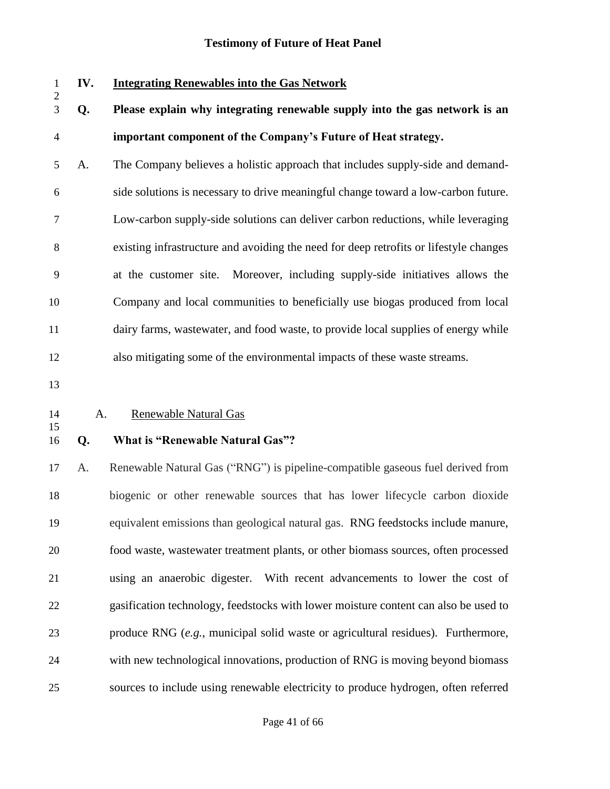### **IV. Integrating Renewables into the Gas Network**

- **Q. Please explain why integrating renewable supply into the gas network is an important component of the Company's Future of Heat strategy.**
- A. The Company believes a holistic approach that includes supply-side and demand- side solutions is necessary to drive meaningful change toward a low-carbon future. Low-carbon supply-side solutions can deliver carbon reductions, while leveraging existing infrastructure and avoiding the need for deep retrofits or lifestyle changes at the customer site. Moreover, including supply-side initiatives allows the Company and local communities to beneficially use biogas produced from local dairy farms, wastewater, and food waste, to provide local supplies of energy while also mitigating some of the environmental impacts of these waste streams.
- 

#### A. Renewable Natural Gas

## 

#### **Q. What is "Renewable Natural Gas"?**

 A. Renewable Natural Gas ("RNG") is pipeline-compatible gaseous fuel derived from biogenic or other renewable sources that has lower lifecycle carbon dioxide equivalent emissions than geological natural gas. RNG feedstocks include manure, food waste, wastewater treatment plants, or other biomass sources, often processed using an anaerobic digester. With recent advancements to lower the cost of gasification technology, feedstocks with lower moisture content can also be used to produce RNG (*e.g.*, municipal solid waste or agricultural residues). Furthermore, with new technological innovations, production of RNG is moving beyond biomass sources to include using renewable electricity to produce hydrogen, often referred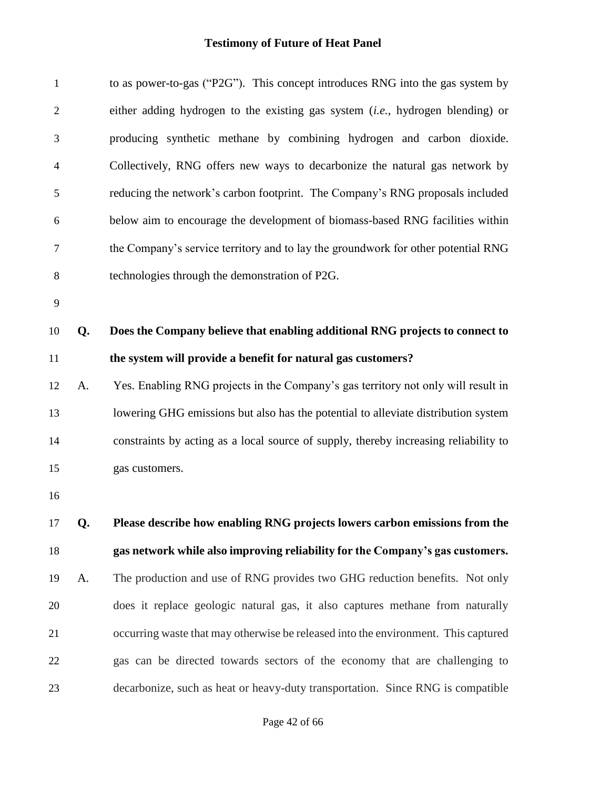| $\mathbf{1}$   |    | to as power-to-gas ("P2G"). This concept introduces RNG into the gas system by          |
|----------------|----|-----------------------------------------------------------------------------------------|
| $\overline{2}$ |    | either adding hydrogen to the existing gas system ( <i>i.e.</i> , hydrogen blending) or |
| 3              |    | producing synthetic methane by combining hydrogen and carbon dioxide.                   |
| $\overline{4}$ |    | Collectively, RNG offers new ways to decarbonize the natural gas network by             |
| 5              |    | reducing the network's carbon footprint. The Company's RNG proposals included           |
| 6              |    | below aim to encourage the development of biomass-based RNG facilities within           |
| 7              |    | the Company's service territory and to lay the groundwork for other potential RNG       |
| 8              |    | technologies through the demonstration of P2G.                                          |
| 9              |    |                                                                                         |
| 10             | Q. | Does the Company believe that enabling additional RNG projects to connect to            |
| 11             |    | the system will provide a benefit for natural gas customers?                            |
| 12             | A. | Yes. Enabling RNG projects in the Company's gas territory not only will result in       |
| 13             |    | lowering GHG emissions but also has the potential to alleviate distribution system      |
| 14             |    | constraints by acting as a local source of supply, thereby increasing reliability to    |
| 15             |    | gas customers.                                                                          |
| 16             |    |                                                                                         |
| 17             | Q. | Please describe how enabling RNG projects lowers carbon emissions from the              |
| 18             |    | gas network while also improving reliability for the Company's gas customers.           |
| 19             | A. | The production and use of RNG provides two GHG reduction benefits. Not only             |
| 20             |    | does it replace geologic natural gas, it also captures methane from naturally           |
| 21             |    | occurring waste that may otherwise be released into the environment. This captured      |
| 22             |    | gas can be directed towards sectors of the economy that are challenging to              |
| 23             |    | decarbonize, such as heat or heavy-duty transportation. Since RNG is compatible         |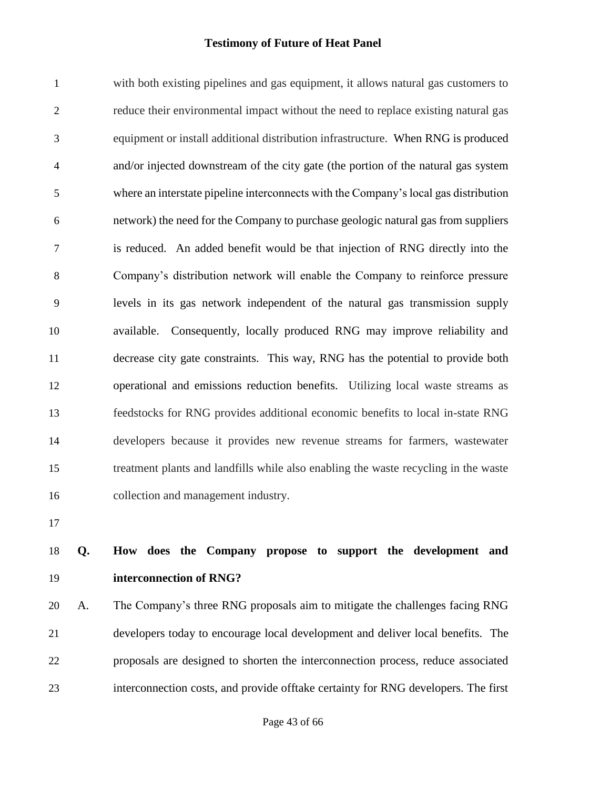with both existing pipelines and gas equipment, it allows natural gas customers to reduce their environmental impact without the need to replace existing natural gas equipment or install additional distribution infrastructure. When RNG is produced and/or injected downstream of the city gate (the portion of the natural gas system where an interstate pipeline interconnects with the Company's local gas distribution network) the need for the Company to purchase geologic natural gas from suppliers is reduced. An added benefit would be that injection of RNG directly into the Company's distribution network will enable the Company to reinforce pressure levels in its gas network independent of the natural gas transmission supply available. Consequently, locally produced RNG may improve reliability and decrease city gate constraints. This way, RNG has the potential to provide both operational and emissions reduction benefits. Utilizing local waste streams as feedstocks for RNG provides additional economic benefits to local in-state RNG developers because it provides new revenue streams for farmers, wastewater treatment plants and landfills while also enabling the waste recycling in the waste collection and management industry.

## **Q. How does the Company propose to support the development and interconnection of RNG?**

 A. The Company's three RNG proposals aim to mitigate the challenges facing RNG developers today to encourage local development and deliver local benefits. The proposals are designed to shorten the interconnection process, reduce associated interconnection costs, and provide offtake certainty for RNG developers. The first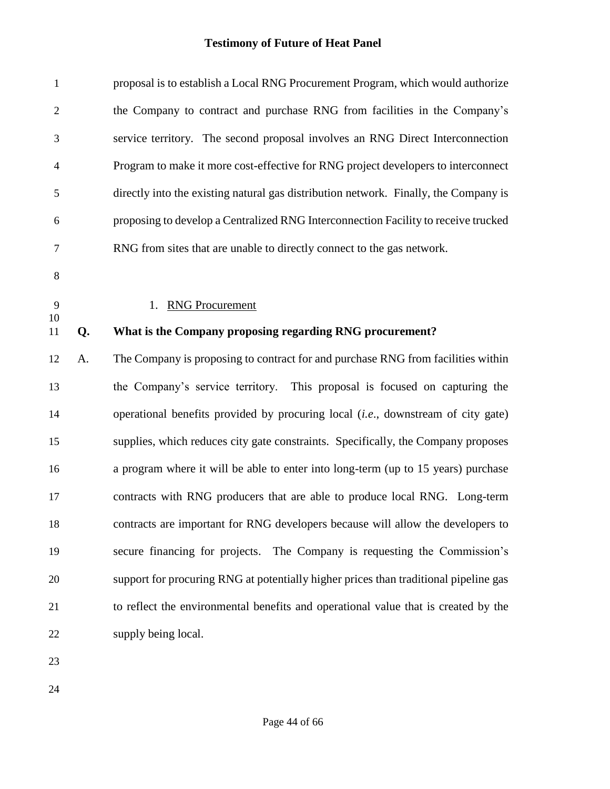| $\mathbf{1}$   |    | proposal is to establish a Local RNG Procurement Program, which would authorize      |
|----------------|----|--------------------------------------------------------------------------------------|
| $\sqrt{2}$     |    | the Company to contract and purchase RNG from facilities in the Company's            |
| 3              |    | service territory. The second proposal involves an RNG Direct Interconnection        |
| $\overline{4}$ |    | Program to make it more cost-effective for RNG project developers to interconnect    |
| 5              |    | directly into the existing natural gas distribution network. Finally, the Company is |
| 6              |    | proposing to develop a Centralized RNG Interconnection Facility to receive trucked   |
| $\overline{7}$ |    | RNG from sites that are unable to directly connect to the gas network.               |
| $8\,$          |    |                                                                                      |
| 9              |    | <b>RNG Procurement</b><br>1.                                                         |
| 10<br>11       | Q. | What is the Company proposing regarding RNG procurement?                             |
| 12             | A. | The Company is proposing to contract for and purchase RNG from facilities within     |
| 13             |    | the Company's service territory. This proposal is focused on capturing the           |
| 14             |    | operational benefits provided by procuring local (i.e., downstream of city gate)     |
| 15             |    | supplies, which reduces city gate constraints. Specifically, the Company proposes    |
| 16             |    | a program where it will be able to enter into long-term (up to 15 years) purchase    |
| 17             |    | contracts with RNG producers that are able to produce local RNG. Long-term           |
| 18             |    | contracts are important for RNG developers because will allow the developers to      |
| 19             |    | secure financing for projects. The Company is requesting the Commission's            |
| 20             |    | support for procuring RNG at potentially higher prices than traditional pipeline gas |
| 21             |    | to reflect the environmental benefits and operational value that is created by the   |
| 22             |    | supply being local.                                                                  |
| 23             |    |                                                                                      |
|                |    |                                                                                      |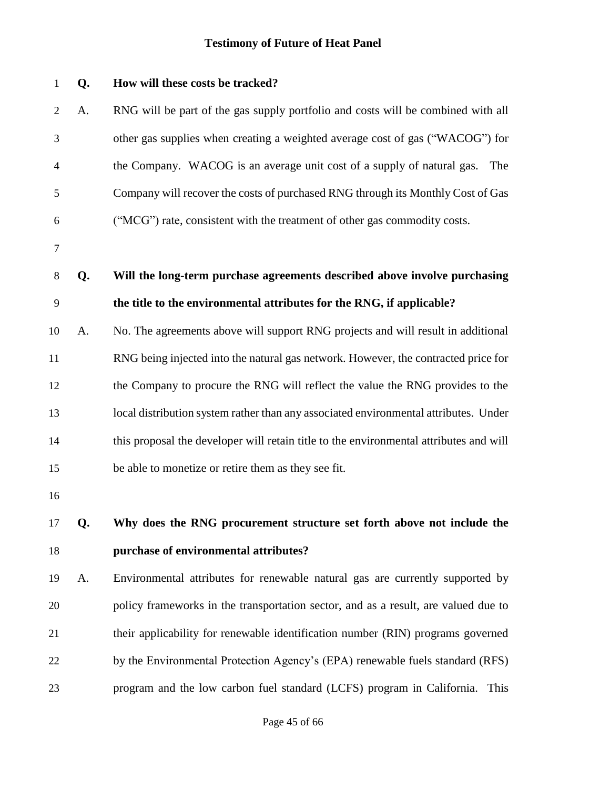| $\mathbf 1$    | Q. | How will these costs be tracked?                                                       |
|----------------|----|----------------------------------------------------------------------------------------|
| $\overline{c}$ | A. | RNG will be part of the gas supply portfolio and costs will be combined with all       |
| 3              |    | other gas supplies when creating a weighted average cost of gas ("WACOG") for          |
| 4              |    | the Company. WACOG is an average unit cost of a supply of natural gas.<br>The          |
| 5              |    | Company will recover the costs of purchased RNG through its Monthly Cost of Gas        |
| 6              |    | ("MCG") rate, consistent with the treatment of other gas commodity costs.              |
| $\tau$         |    |                                                                                        |
| 8              | Q. | Will the long-term purchase agreements described above involve purchasing              |
| 9              |    | the title to the environmental attributes for the RNG, if applicable?                  |
| 10             | A. | No. The agreements above will support RNG projects and will result in additional       |
| 11             |    | RNG being injected into the natural gas network. However, the contracted price for     |
| 12             |    | the Company to procure the RNG will reflect the value the RNG provides to the          |
| 13             |    | local distribution system rather than any associated environmental attributes. Under   |
| 14             |    | this proposal the developer will retain title to the environmental attributes and will |
| 15             |    | be able to monetize or retire them as they see fit.                                    |
| 16             |    |                                                                                        |
| 17             | Q. | Why does the RNG procurement structure set forth above not include the                 |
| 18             |    | purchase of environmental attributes?                                                  |
| 19             | A. | Environmental attributes for renewable natural gas are currently supported by          |
| 20             |    | policy frameworks in the transportation sector, and as a result, are valued due to     |
| 21             |    | their applicability for renewable identification number (RIN) programs governed        |
| 22             |    | by the Environmental Protection Agency's (EPA) renewable fuels standard (RFS)          |
| 23             |    | program and the low carbon fuel standard (LCFS) program in California.<br>This         |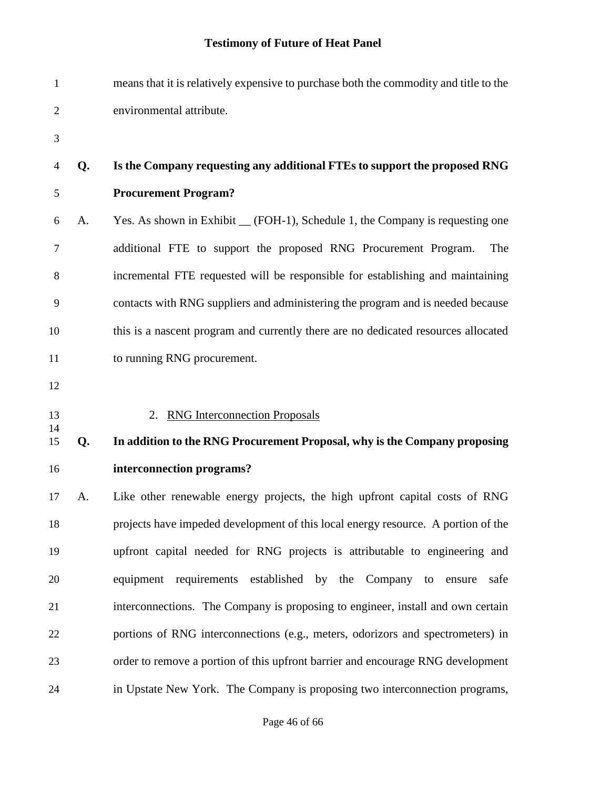| $\mathbf{1}$   |    | means that it is relatively expensive to purchase both the commodity and title to the |
|----------------|----|---------------------------------------------------------------------------------------|
| $\overline{2}$ |    | environmental attribute.                                                              |
| 3              |    |                                                                                       |
| 4              | Q. | Is the Company requesting any additional FTEs to support the proposed RNG             |
| 5              |    | <b>Procurement Program?</b>                                                           |
| 6              | A. | Yes. As shown in Exhibit __ (FOH-1), Schedule 1, the Company is requesting one        |
| 7              |    | additional FTE to support the proposed RNG Procurement Program.<br>The                |
| 8              |    | incremental FTE requested will be responsible for establishing and maintaining        |
| 9              |    | contacts with RNG suppliers and administering the program and is needed because       |
| 10             |    | this is a nascent program and currently there are no dedicated resources allocated    |
| 11             |    | to running RNG procurement.                                                           |
| 12             |    |                                                                                       |
| 13             |    | 2. RNG Interconnection Proposals                                                      |
| 14<br>15       | Q. | In addition to the RNG Procurement Proposal, why is the Company proposing             |
| 16             |    |                                                                                       |
| 17             |    | interconnection programs?                                                             |
|                | A. | Like other renewable energy projects, the high upfront capital costs of RNG           |
| 18             |    | projects have impeded development of this local energy resource. A portion of the     |
| 19             |    | upfront capital needed for RNG projects is attributable to engineering and            |
| 20             |    | equipment requirements established by the Company to ensure<br>safe                   |
| 21             |    | interconnections. The Company is proposing to engineer, install and own certain       |
| 22             |    | portions of RNG interconnections (e.g., meters, odorizors and spectrometers) in       |
| 23             |    | order to remove a portion of this upfront barrier and encourage RNG development       |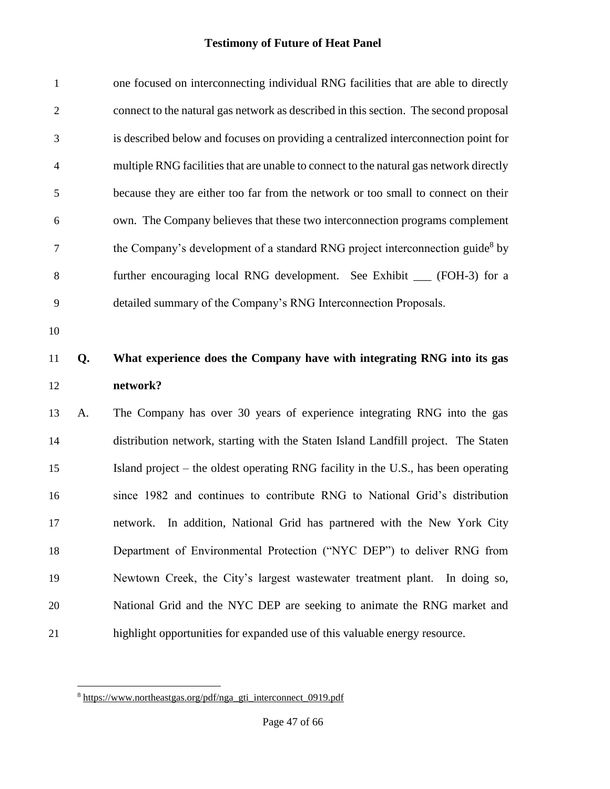| $\mathbf{1}$   |    | one focused on interconnecting individual RNG facilities that are able to directly        |
|----------------|----|-------------------------------------------------------------------------------------------|
| $\mathfrak{2}$ |    | connect to the natural gas network as described in this section. The second proposal      |
| 3              |    | is described below and focuses on providing a centralized interconnection point for       |
| 4              |    | multiple RNG facilities that are unable to connect to the natural gas network directly    |
| 5              |    | because they are either too far from the network or too small to connect on their         |
| 6              |    | own. The Company believes that these two interconnection programs complement              |
| 7              |    | the Company's development of a standard RNG project interconnection guide <sup>8</sup> by |
| 8              |    | further encouraging local RNG development. See Exhibit __ (FOH-3) for a                   |
| 9              |    | detailed summary of the Company's RNG Interconnection Proposals.                          |
| 10             |    |                                                                                           |
|                |    |                                                                                           |
| 11             | Q. | What experience does the Company have with integrating RNG into its gas                   |
| 12             |    | network?                                                                                  |
| 13             | A. | The Company has over 30 years of experience integrating RNG into the gas                  |
| 14             |    | distribution network, starting with the Staten Island Landfill project. The Staten        |
| 15             |    | Island project – the oldest operating RNG facility in the U.S., has been operating        |
| 16             |    | since 1982 and continues to contribute RNG to National Grid's distribution                |
| 17             |    | network. In addition, National Grid has partnered with the New York City                  |
| 18             |    | Department of Environmental Protection ("NYC DEP") to deliver RNG from                    |
| 19             |    | Newtown Creek, the City's largest wastewater treatment plant. In doing so,                |
| 20             |    | National Grid and the NYC DEP are seeking to animate the RNG market and                   |

l

[https://www.northeastgas.org/pdf/nga\\_gti\\_interconnect\\_0919.pdf](https://www.northeastgas.org/pdf/nga_gti_interconnect_0919.pdf)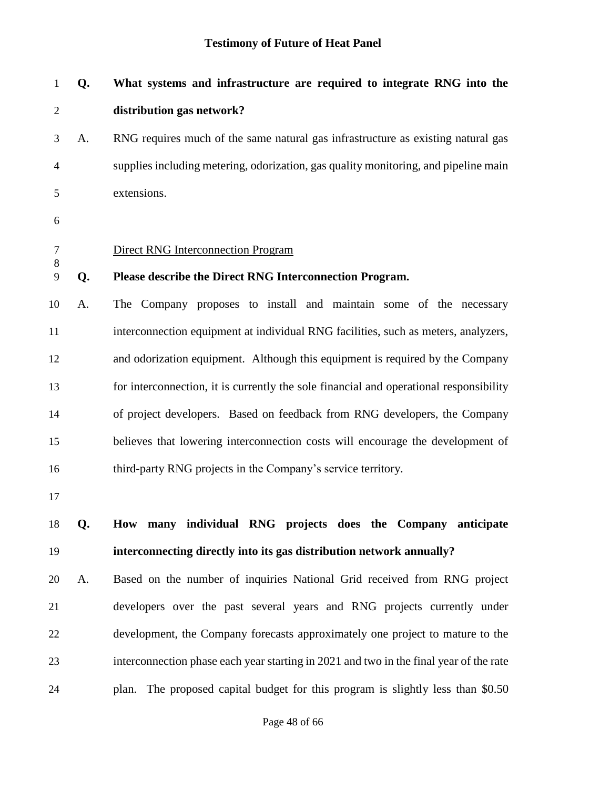| $\mathbf{1}$    | Q. | What systems and infrastructure are required to integrate RNG into the                 |  |  |  |
|-----------------|----|----------------------------------------------------------------------------------------|--|--|--|
| $\overline{2}$  |    | distribution gas network?                                                              |  |  |  |
| 3               | A. | RNG requires much of the same natural gas infrastructure as existing natural gas       |  |  |  |
| $\overline{4}$  |    | supplies including metering, odorization, gas quality monitoring, and pipeline main    |  |  |  |
| 5               |    | extensions.                                                                            |  |  |  |
| 6               |    |                                                                                        |  |  |  |
| $\tau$<br>$8\,$ |    | <b>Direct RNG Interconnection Program</b>                                              |  |  |  |
| 9               | Q. | Please describe the Direct RNG Interconnection Program.                                |  |  |  |
| 10              | A. | The Company proposes to install and maintain some of the necessary                     |  |  |  |
| 11              |    | interconnection equipment at individual RNG facilities, such as meters, analyzers,     |  |  |  |
| 12              |    | and odorization equipment. Although this equipment is required by the Company          |  |  |  |
| 13              |    | for interconnection, it is currently the sole financial and operational responsibility |  |  |  |
| 14              |    | of project developers. Based on feedback from RNG developers, the Company              |  |  |  |
| 15              |    | believes that lowering interconnection costs will encourage the development of         |  |  |  |
| 16              |    | third-party RNG projects in the Company's service territory.                           |  |  |  |
| 17              |    |                                                                                        |  |  |  |
| 18              | Q. | How many individual RNG projects does the Company anticipate                           |  |  |  |
| 19              |    | interconnecting directly into its gas distribution network annually?                   |  |  |  |
| 20              | A. | Based on the number of inquiries National Grid received from RNG project               |  |  |  |
| 21              |    | developers over the past several years and RNG projects currently under                |  |  |  |
| 22              |    | development, the Company forecasts approximately one project to mature to the          |  |  |  |
| 23              |    | interconnection phase each year starting in 2021 and two in the final year of the rate |  |  |  |
| 24              |    | plan. The proposed capital budget for this program is slightly less than \$0.50        |  |  |  |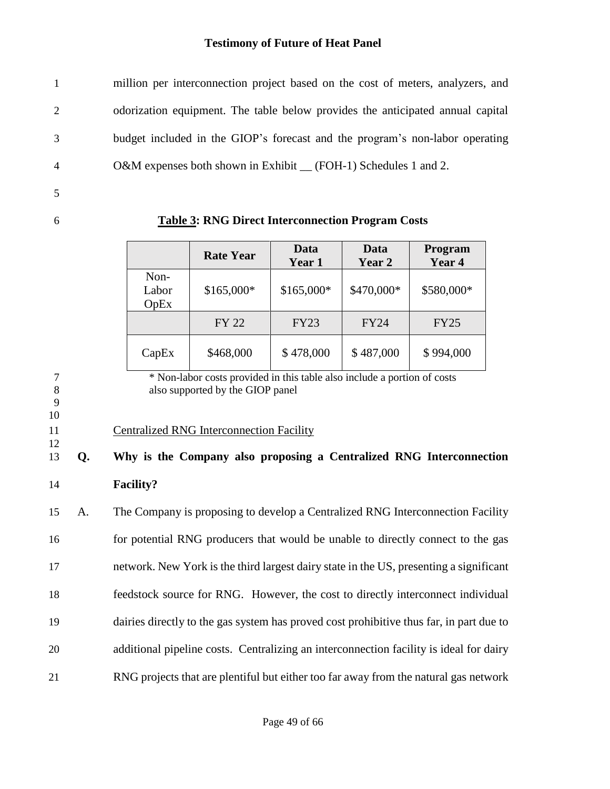million per interconnection project based on the cost of meters, analyzers, and odorization equipment. The table below provides the anticipated annual capital budget included in the GIOP's forecast and the program's non-labor operating 4 O&M expenses both shown in Exhibit (FOH-1) Schedules 1 and 2.

- 5
- 

6 **Table 3: RNG Direct Interconnection Program Costs**

|                       | <b>Rate Year</b> | Data<br>Year 1 | Data<br>Year 2 | Program<br>Year 4 |
|-----------------------|------------------|----------------|----------------|-------------------|
| Non-<br>Labor<br>OpEx | \$165,000*       | \$165,000*     | \$470,000*     | \$580,000*        |
|                       | FY 22            | <b>FY23</b>    | <b>FY24</b>    | <b>FY25</b>       |
| CapEx                 | \$468,000        | \$478,000      | \$487,000      | \$994,000         |

9

10

12

7 \* Non-labor costs provided in this table also include a portion of costs 8 also supported by the GIOP panel

### 11 Centralized RNG Interconnection Facility

# 13 **Q. Why is the Company also proposing a Centralized RNG Interconnection**  14 **Facility?**

 A. The Company is proposing to develop a Centralized RNG Interconnection Facility for potential RNG producers that would be unable to directly connect to the gas network. New York is the third largest dairy state in the US, presenting a significant feedstock source for RNG. However, the cost to directly interconnect individual dairies directly to the gas system has proved cost prohibitive thus far, in part due to additional pipeline costs. Centralizing an interconnection facility is ideal for dairy RNG projects that are plentiful but either too far away from the natural gas network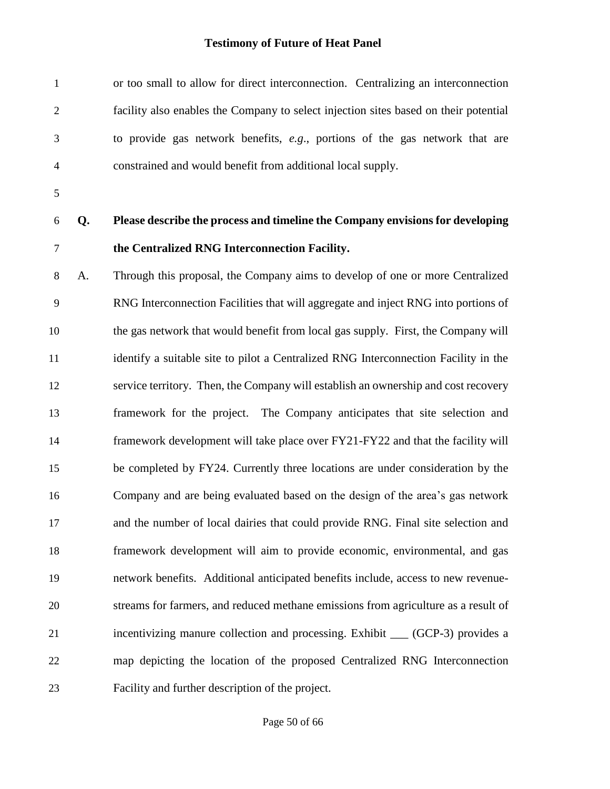| $\mathbf{1}$   |    | or too small to allow for direct interconnection. Centralizing an interconnection    |
|----------------|----|--------------------------------------------------------------------------------------|
| $\mathfrak{2}$ |    | facility also enables the Company to select injection sites based on their potential |
| 3              |    | to provide gas network benefits, e.g., portions of the gas network that are          |
| 4              |    | constrained and would benefit from additional local supply.                          |
| $\mathfrak{S}$ |    |                                                                                      |
| 6              | Q. | Please describe the process and timeline the Company envisions for developing        |
| $\tau$         |    | the Centralized RNG Interconnection Facility.                                        |
| $8\,$          | A. | Through this proposal, the Company aims to develop of one or more Centralized        |
| 9              |    | RNG Interconnection Facilities that will aggregate and inject RNG into portions of   |
| 10             |    | the gas network that would benefit from local gas supply. First, the Company will    |
| 11             |    | identify a suitable site to pilot a Centralized RNG Interconnection Facility in the  |
| 12             |    | service territory. Then, the Company will establish an ownership and cost recovery   |
| 13             |    | framework for the project. The Company anticipates that site selection and           |
| 14             |    | framework development will take place over FY21-FY22 and that the facility will      |
| 15             |    | be completed by FY24. Currently three locations are under consideration by the       |
| 16             |    | Company and are being evaluated based on the design of the area's gas network        |
| 17             |    | and the number of local dairies that could provide RNG. Final site selection and     |
| 18             |    | framework development will aim to provide economic, environmental, and gas           |
| 19             |    | network benefits. Additional anticipated benefits include, access to new revenue-    |
| 20             |    | streams for farmers, and reduced methane emissions from agriculture as a result of   |
| 21             |    | incentivizing manure collection and processing. Exhibit __ (GCP-3) provides a        |
| 22             |    | map depicting the location of the proposed Centralized RNG Interconnection           |
| 23             |    | Facility and further description of the project.                                     |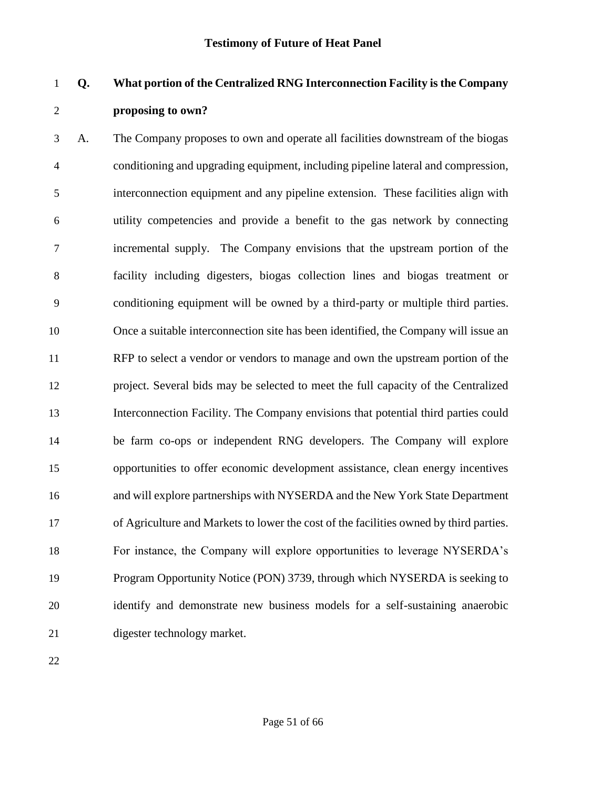## **Q. What portion of the Centralized RNG Interconnection Facility is the Company proposing to own?**

 A. The Company proposes to own and operate all facilities downstream of the biogas conditioning and upgrading equipment, including pipeline lateral and compression, interconnection equipment and any pipeline extension. These facilities align with utility competencies and provide a benefit to the gas network by connecting incremental supply.The Company envisions that the upstream portion of the facility including digesters, biogas collection lines and biogas treatment or conditioning equipment will be owned by a third-party or multiple third parties. Once a suitable interconnection site has been identified, the Company will issue an RFP to select a vendor or vendors to manage and own the upstream portion of the project. Several bids may be selected to meet the full capacity of the Centralized Interconnection Facility. The Company envisions that potential third parties could be farm co-ops or independent RNG developers. The Company will explore opportunities to offer economic development assistance, clean energy incentives and will explore partnerships with NYSERDA and the New York State Department of Agriculture and Markets to lower the cost of the facilities owned by third parties. For instance, the Company will explore opportunities to leverage NYSERDA's Program Opportunity Notice (PON) 3739, through which NYSERDA is seeking to identify and demonstrate new business models for a self-sustaining anaerobic digester technology market.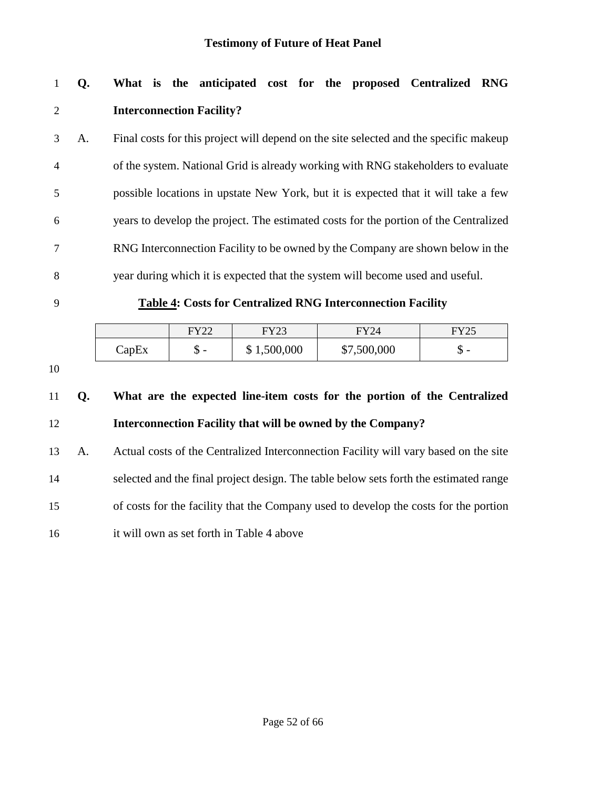## **Q. What is the anticipated cost for the proposed Centralized RNG Interconnection Facility?**

 A. Final costs for this project will depend on the site selected and the specific makeup of the system. National Grid is already working with RNG stakeholders to evaluate possible locations in upstate New York, but it is expected that it will take a few years to develop the project. The estimated costs for the portion of the Centralized RNG Interconnection Facility to be owned by the Company are shown below in the year during which it is expected that the system will become used and useful.

#### **Table 4: Costs for Centralized RNG Interconnection Facility**

|       | ロVつつ<br>$\overline{\phantom{a}}$ | EV22<br>د سه | FY24        | <b>FY25</b> |
|-------|----------------------------------|--------------|-------------|-------------|
| CapEx | $\overline{\phantom{0}}$<br>u    | \$1,500,000  | \$7,500,000 | đ<br>-<br>Φ |

## **Q. What are the expected line-item costs for the portion of the Centralized Interconnection Facility that will be owned by the Company?**

 A. Actual costs of the Centralized Interconnection Facility will vary based on the site selected and the final project design. The table below sets forth the estimated range of costs for the facility that the Company used to develop the costs for the portion it will own as set forth in Table 4 above

Page 52 of 66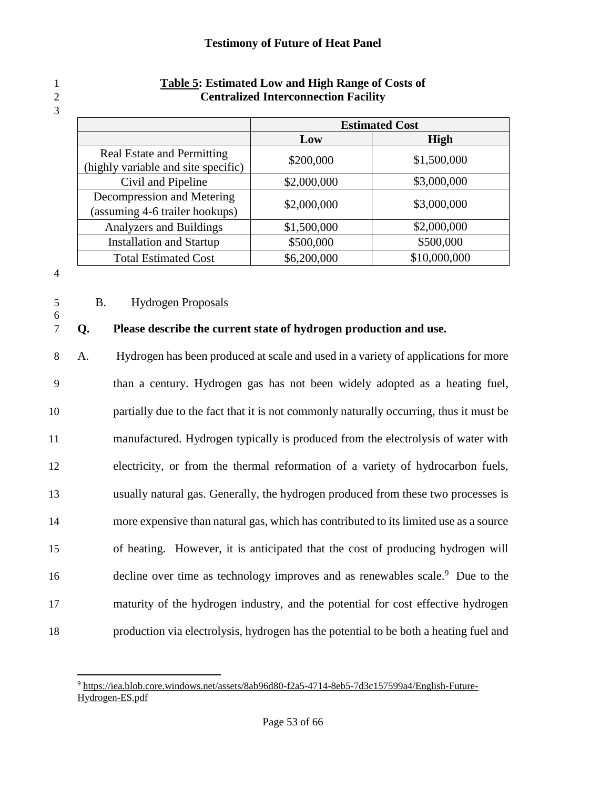|                                                                          | <b>Estimated Cost</b> |              |  |
|--------------------------------------------------------------------------|-----------------------|--------------|--|
|                                                                          | Low                   | <b>High</b>  |  |
| <b>Real Estate and Permitting</b><br>(highly variable and site specific) | \$200,000             | \$1,500,000  |  |
| Civil and Pipeline                                                       | \$2,000,000           | \$3,000,000  |  |
| Decompression and Metering<br>(assuming 4-6 trailer hookups)             | \$2,000,000           | \$3,000,000  |  |
| Analyzers and Buildings                                                  | \$1,500,000           | \$2,000,000  |  |
| <b>Installation and Startup</b>                                          | \$500,000             | \$500,000    |  |
| <b>Total Estimated Cost</b>                                              | \$6,200,000           | \$10,000,000 |  |

### 1 **Table 5: Estimated Low and High Range of Costs of** 2 **Centralized Interconnection Facility**

4

6

3

### 5 B. Hydrogen Proposals

### 7 **Q. Please describe the current state of hydrogen production and use.**

 A. Hydrogen has been produced at scale and used in a variety of applications for more than a century. Hydrogen gas has not been widely adopted as a heating fuel, partially due to the fact that it is not commonly naturally occurring, thus it must be manufactured. Hydrogen typically is produced from the electrolysis of water with electricity, or from the thermal reformation of a variety of hydrocarbon fuels, usually natural gas. Generally, the hydrogen produced from these two processes is more expensive than natural gas, which has contributed to its limited use as a source of heating. However, it is anticipated that the cost of producing hydrogen will 16 decline over time as technology improves and as renewables scale.<sup>9</sup> Due to the maturity of the hydrogen industry, and the potential for cost effective hydrogen production via electrolysis, hydrogen has the potential to be both a heating fuel and

 $\overline{a}$ <sup>9</sup> [https://iea.blob.core.windows.net/assets/8ab96d80-f2a5-4714-8eb5-7d3c157599a4/English-Future-](https://iea.blob.core.windows.net/assets/8ab96d80-f2a5-4714-8eb5-7d3c157599a4/English-Future-Hydrogen-ES.pdf)[Hydrogen-ES.pdf](https://iea.blob.core.windows.net/assets/8ab96d80-f2a5-4714-8eb5-7d3c157599a4/English-Future-Hydrogen-ES.pdf)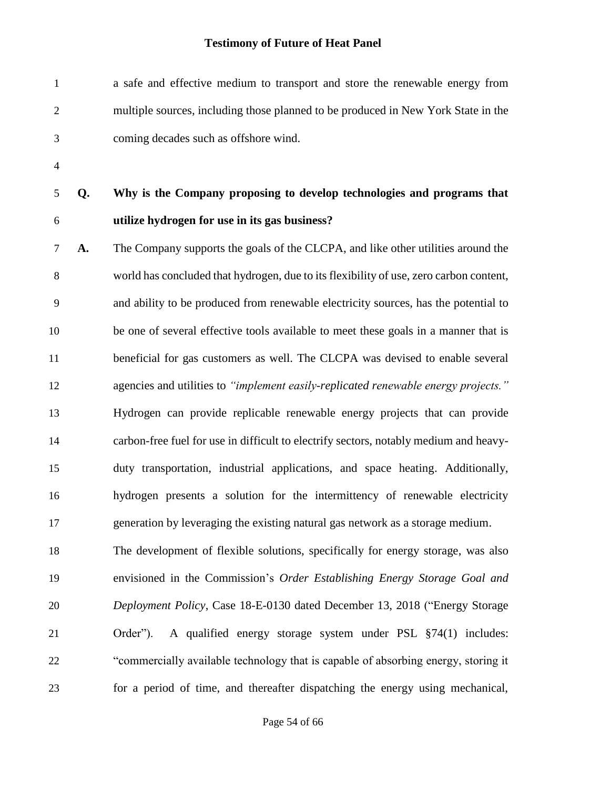| $\mathbf{1}$   |    | a safe and effective medium to transport and store the renewable energy from           |
|----------------|----|----------------------------------------------------------------------------------------|
| $\overline{2}$ |    | multiple sources, including those planned to be produced in New York State in the      |
| 3              |    | coming decades such as offshore wind.                                                  |
| $\overline{4}$ |    |                                                                                        |
| 5              | Q. | Why is the Company proposing to develop technologies and programs that                 |
| 6              |    | utilize hydrogen for use in its gas business?                                          |
| $\tau$         | A. | The Company supports the goals of the CLCPA, and like other utilities around the       |
| 8              |    | world has concluded that hydrogen, due to its flexibility of use, zero carbon content, |
| 9              |    | and ability to be produced from renewable electricity sources, has the potential to    |
| 10             |    | be one of several effective tools available to meet these goals in a manner that is    |
| 11             |    | beneficial for gas customers as well. The CLCPA was devised to enable several          |
| 12             |    | agencies and utilities to "implement easily-replicated renewable energy projects."     |
| 13             |    | Hydrogen can provide replicable renewable energy projects that can provide             |
| 14             |    | carbon-free fuel for use in difficult to electrify sectors, notably medium and heavy-  |
| 15             |    | duty transportation, industrial applications, and space heating. Additionally,         |
| 16             |    | hydrogen presents a solution for the intermittency of renewable electricity            |
| 17             |    | generation by leveraging the existing natural gas network as a storage medium.         |
| 18             |    | The development of flexible solutions, specifically for energy storage, was also       |
| 19             |    | envisioned in the Commission's Order Establishing Energy Storage Goal and              |
| 20             |    | Deployment Policy, Case 18-E-0130 dated December 13, 2018 ("Energy Storage             |
| 21             |    | A qualified energy storage system under PSL §74(1) includes:<br>Order").               |
| 22             |    | "commercially available technology that is capable of absorbing energy, storing it     |
| 23             |    | for a period of time, and thereafter dispatching the energy using mechanical,          |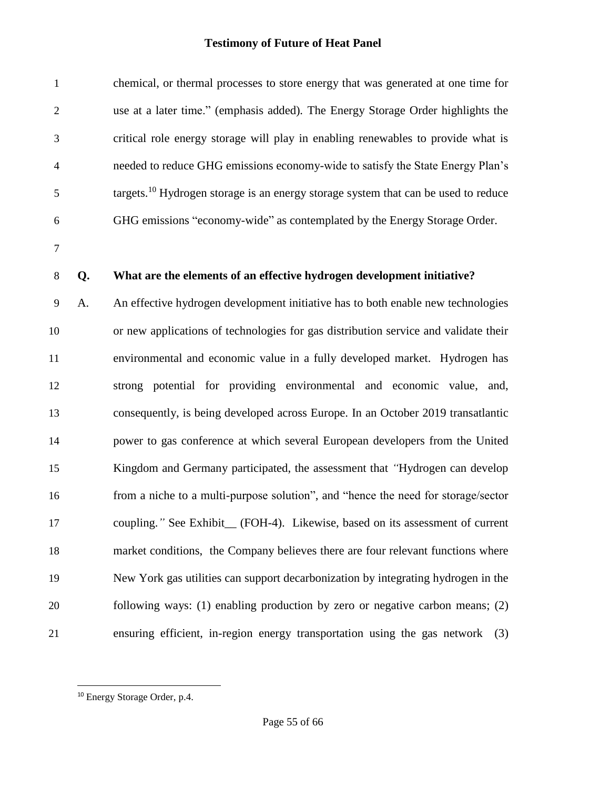| $\mathbf{1}$   |    | chemical, or thermal processes to store energy that was generated at one time for              |
|----------------|----|------------------------------------------------------------------------------------------------|
| $\sqrt{2}$     |    | use at a later time." (emphasis added). The Energy Storage Order highlights the                |
| 3              |    | critical role energy storage will play in enabling renewables to provide what is               |
| $\overline{4}$ |    | needed to reduce GHG emissions economy-wide to satisfy the State Energy Plan's                 |
| $\mathfrak{S}$ |    | targets. <sup>10</sup> Hydrogen storage is an energy storage system that can be used to reduce |
| 6              |    | GHG emissions "economy-wide" as contemplated by the Energy Storage Order.                      |
| $\overline{7}$ |    |                                                                                                |
| $8\,$          | Q. | What are the elements of an effective hydrogen development initiative?                         |
| $\mathbf{9}$   | A. | An effective hydrogen development initiative has to both enable new technologies               |
| 10             |    | or new applications of technologies for gas distribution service and validate their            |
| 11             |    | environmental and economic value in a fully developed market. Hydrogen has                     |
| 12             |    | strong potential for providing environmental and economic value, and,                          |
| 13             |    | consequently, is being developed across Europe. In an October 2019 transatlantic               |
| 14             |    | power to gas conference at which several European developers from the United                   |
| 15             |    | Kingdom and Germany participated, the assessment that "Hydrogen can develop                    |
| 16             |    | from a niche to a multi-purpose solution", and "hence the need for storage/sector              |
| 17             |    | coupling." See Exhibit_(FOH-4). Likewise, based on its assessment of current                   |
| 18             |    | market conditions, the Company believes there are four relevant functions where                |
| 19             |    | New York gas utilities can support decarbonization by integrating hydrogen in the              |
| 20             |    | following ways: (1) enabling production by zero or negative carbon means; (2)                  |
| 21             |    | ensuring efficient, in-region energy transportation using the gas network<br>(3)               |

l

<sup>&</sup>lt;sup>10</sup> Energy Storage Order, p.4.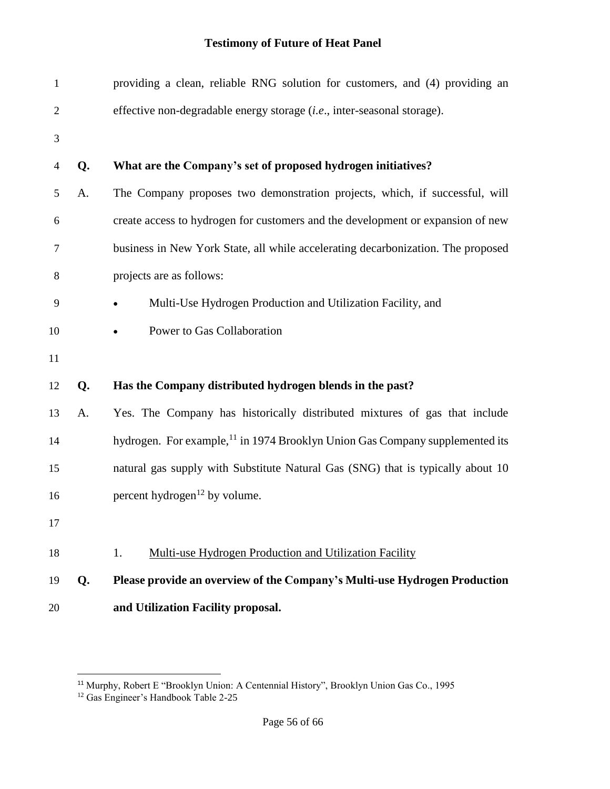| $\mathbf{1}$   |    | providing a clean, reliable RNG solution for customers, and (4) providing an             |
|----------------|----|------------------------------------------------------------------------------------------|
| $\overline{2}$ |    | effective non-degradable energy storage (i.e., inter-seasonal storage).                  |
| 3              |    |                                                                                          |
| $\overline{4}$ | Q. | What are the Company's set of proposed hydrogen initiatives?                             |
| 5              | A. | The Company proposes two demonstration projects, which, if successful, will              |
| 6              |    | create access to hydrogen for customers and the development or expansion of new          |
| $\overline{7}$ |    | business in New York State, all while accelerating decarbonization. The proposed         |
| 8              |    | projects are as follows:                                                                 |
| 9              |    | Multi-Use Hydrogen Production and Utilization Facility, and                              |
| 10             |    | Power to Gas Collaboration<br>$\bullet$                                                  |
| 11             |    |                                                                                          |
| 12             | Q. | Has the Company distributed hydrogen blends in the past?                                 |
| 13             | A. | Yes. The Company has historically distributed mixtures of gas that include               |
| 14             |    | hydrogen. For example, <sup>11</sup> in 1974 Brooklyn Union Gas Company supplemented its |
| 15             |    | natural gas supply with Substitute Natural Gas (SNG) that is typically about 10          |
| 16             |    | percent hydrogen <sup>12</sup> by volume.                                                |
| 17             |    |                                                                                          |
| 18             |    | Multi-use Hydrogen Production and Utilization Facility<br>1.                             |
| 19             | Q. | Please provide an overview of the Company's Multi-use Hydrogen Production                |
| 20             |    | and Utilization Facility proposal.                                                       |

 $\overline{a}$ 

Murphy, Robert E "Brooklyn Union: A Centennial History", Brooklyn Union Gas Co., 1995

<sup>&</sup>lt;sup>12</sup> Gas Engineer's Handbook Table 2-25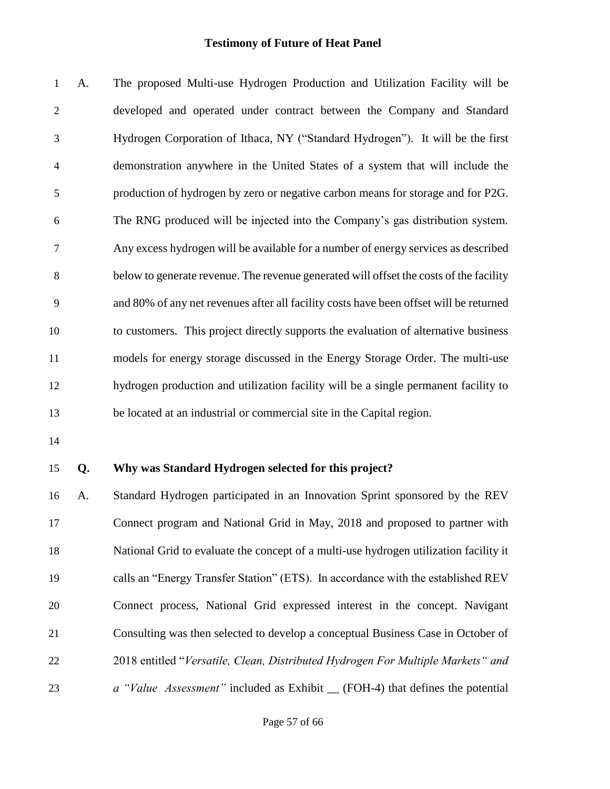A. The proposed Multi-use Hydrogen Production and Utilization Facility will be developed and operated under contract between the Company and Standard Hydrogen Corporation of Ithaca, NY ("Standard Hydrogen"). It will be the first demonstration anywhere in the United States of a system that will include the production of hydrogen by zero or negative carbon means for storage and for P2G. The RNG produced will be injected into the Company's gas distribution system. Any excess hydrogen will be available for a number of energy services as described below to generate revenue. The revenue generated will offset the costs of the facility and 80% of any net revenues after all facility costs have been offset will be returned to customers. This project directly supports the evaluation of alternative business models for energy storage discussed in the Energy Storage Order. The multi-use hydrogen production and utilization facility will be a single permanent facility to be located at an industrial or commercial site in the Capital region.

#### **Q. Why was Standard Hydrogen selected for this project?**

 A. Standard Hydrogen participated in an Innovation Sprint sponsored by the REV Connect program and National Grid in May, 2018 and proposed to partner with National Grid to evaluate the concept of a multi-use hydrogen utilization facility it calls an "Energy Transfer Station" (ETS). In accordance with the established REV Connect process, National Grid expressed interest in the concept. Navigant Consulting was then selected to develop a conceptual Business Case in October of 2018 entitled "*Versatile, Clean, Distributed Hydrogen For Multiple Markets" and a "Value Assessment"* included as Exhibit \_\_ (FOH-4) that defines the potential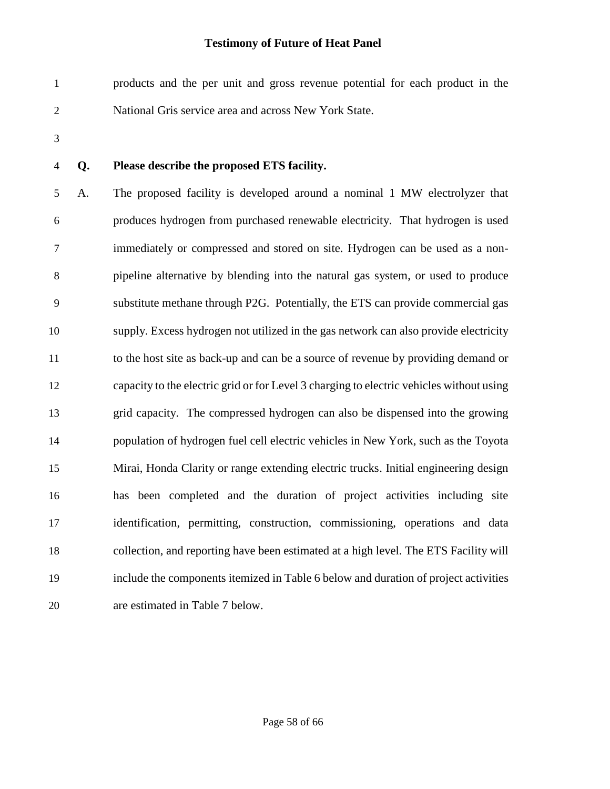products and the per unit and gross revenue potential for each product in the National Gris service area and across New York State.

### **Q. Please describe the proposed ETS facility.**

 A. The proposed facility is developed around a nominal 1 MW electrolyzer that produces hydrogen from purchased renewable electricity. That hydrogen is used immediately or compressed and stored on site. Hydrogen can be used as a non- pipeline alternative by blending into the natural gas system, or used to produce substitute methane through P2G. Potentially, the ETS can provide commercial gas supply. Excess hydrogen not utilized in the gas network can also provide electricity to the host site as back-up and can be a source of revenue by providing demand or capacity to the electric grid or for Level 3 charging to electric vehicles without using grid capacity. The compressed hydrogen can also be dispensed into the growing population of hydrogen fuel cell electric vehicles in New York, such as the Toyota Mirai, Honda Clarity or range extending electric trucks. Initial engineering design has been completed and the duration of project activities including site identification, permitting, construction, commissioning, operations and data collection, and reporting have been estimated at a high level. The ETS Facility will include the components itemized in Table 6 below and duration of project activities are estimated in Table 7 below.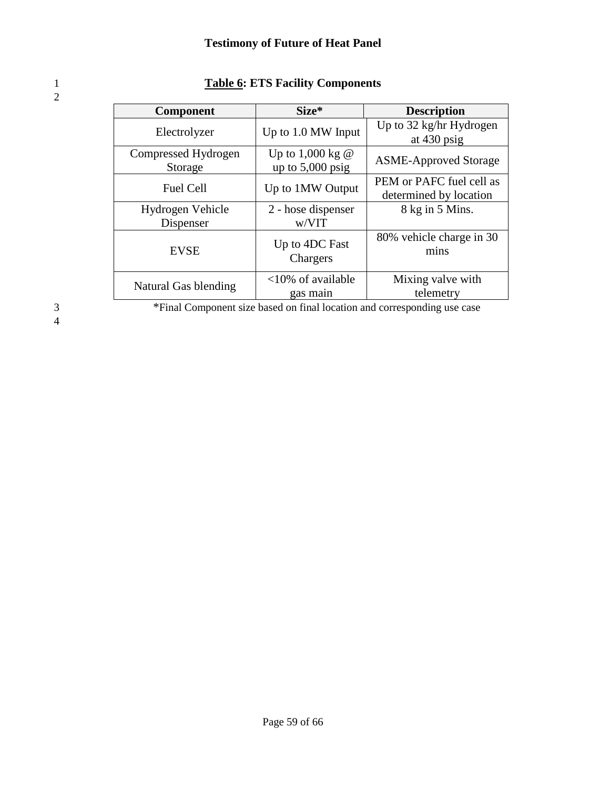| <b>Component</b>               | Size*                                  | <b>Description</b>                                 |
|--------------------------------|----------------------------------------|----------------------------------------------------|
| Electrolyzer                   | Up to 1.0 MW Input                     | Up to 32 kg/hr Hydrogen<br>at $430$ psig           |
| Compressed Hydrogen<br>Storage | Up to 1,000 kg @<br>up to $5,000$ psig | <b>ASME-Approved Storage</b>                       |
| <b>Fuel Cell</b>               | Up to 1MW Output                       | PEM or PAFC fuel cell as<br>determined by location |
| Hydrogen Vehicle               | 2 - hose dispenser                     | 8 kg in 5 Mins.                                    |
| Dispenser                      | w/VIT                                  |                                                    |
| <b>EVSE</b>                    | Up to 4DC Fast<br>Chargers             | 80% vehicle charge in 30<br>mins                   |
| Natural Gas blending           | $<10\%$ of available<br>gas main       | Mixing valve with<br>telemetry                     |

### 1 **Table 6: ETS Facility Components**

4

<sup>3</sup>Final Component size based on final location and corresponding use case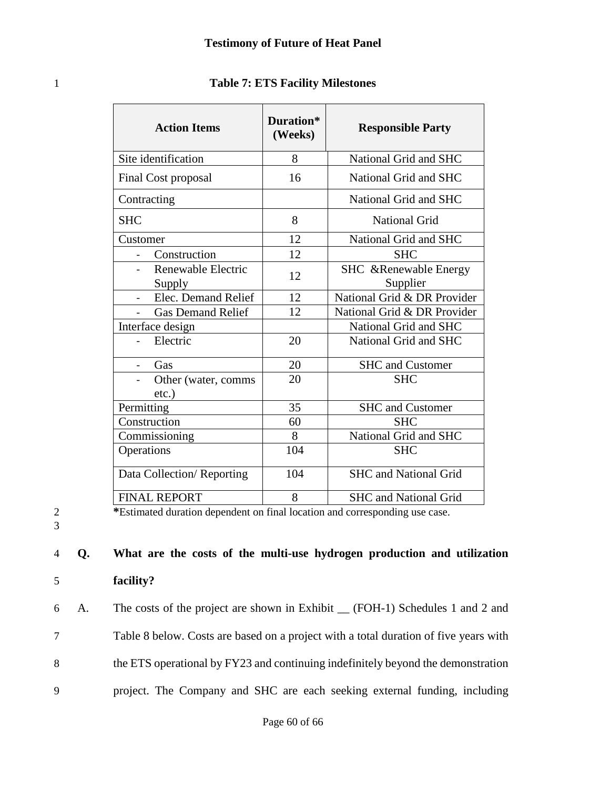| <b>Action Items</b>                   | Duration*<br>(Weeks) | <b>Responsible Party</b>                  |
|---------------------------------------|----------------------|-------------------------------------------|
| Site identification                   | 8                    | National Grid and SHC                     |
| Final Cost proposal                   | 16                   | National Grid and SHC                     |
| Contracting                           |                      | National Grid and SHC                     |
| <b>SHC</b>                            | 8                    | <b>National Grid</b>                      |
| Customer                              | 12                   | National Grid and SHC                     |
| Construction                          | 12                   | <b>SHC</b>                                |
| Renewable Electric<br>Supply          | 12                   | <b>SHC</b> & Renewable Energy<br>Supplier |
| Elec. Demand Relief<br>$\blacksquare$ | 12                   | National Grid & DR Provider               |
| <b>Gas Demand Relief</b>              | 12                   | National Grid & DR Provider               |
| Interface design                      |                      | National Grid and SHC                     |
| Electric                              | 20                   | National Grid and SHC                     |
| Gas                                   | 20                   | <b>SHC</b> and Customer                   |
| Other (water, comms<br>$etc.$ )       | 20                   | <b>SHC</b>                                |
| Permitting                            | 35                   | <b>SHC</b> and Customer                   |
| Construction                          | 60                   | <b>SHC</b>                                |
| Commissioning                         | 8                    | National Grid and SHC                     |
| Operations                            | 104                  | <b>SHC</b>                                |
| Data Collection/Reporting             | 104                  | <b>SHC</b> and National Grid              |
| <b>FINAL REPORT</b>                   | 8                    | <b>SHC</b> and National Grid              |

### 1 **Table 7: ETS Facility Milestones**

3

2 **\***Estimated duration dependent on final location and corresponding use case.

## 4 **Q. What are the costs of the multi-use hydrogen production and utilization**  5 **facility?**

 A. The costs of the project are shown in Exhibit \_\_ (FOH-1) Schedules 1 and 2 and Table 8 below. Costs are based on a project with a total duration of five years with the ETS operational by FY23 and continuing indefinitely beyond the demonstration project. The Company and SHC are each seeking external funding, including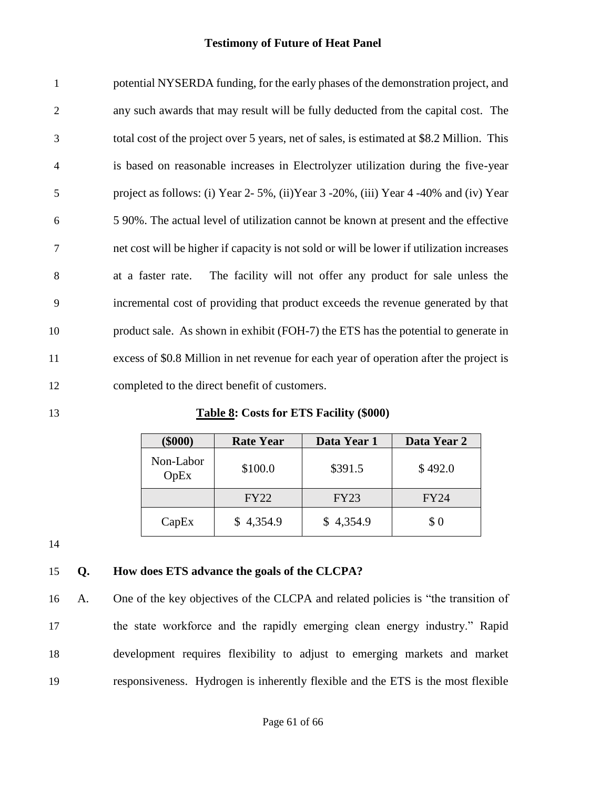| $\mathbf{1}$   | potential NYSERDA funding, for the early phases of the demonstration project, and             |
|----------------|-----------------------------------------------------------------------------------------------|
| $\overline{2}$ | any such awards that may result will be fully deducted from the capital cost. The             |
| 3              | total cost of the project over 5 years, net of sales, is estimated at \$8.2 Million. This     |
| 4              | is based on reasonable increases in Electrolyzer utilization during the five-year             |
| 5              | project as follows: (i) Year $2-5\%$ , (ii) Year $3-20\%$ , (iii) Year $4-40\%$ and (iv) Year |
| 6              | 5 90%. The actual level of utilization cannot be known at present and the effective           |
| 7              | net cost will be higher if capacity is not sold or will be lower if utilization increases     |
| 8              | The facility will not offer any product for sale unless the<br>at a faster rate.              |
| 9              | incremental cost of providing that product exceeds the revenue generated by that              |
| 10             | product sale. As shown in exhibit (FOH-7) the ETS has the potential to generate in            |
| 11             | excess of \$0.8 Million in net revenue for each year of operation after the project is        |
| 12             | completed to the direct benefit of customers.                                                 |

**Table 8: Costs for ETS Facility (\$000)**

| $(\$000)$         | <b>Rate Year</b> | Data Year 1 | Data Year 2 |
|-------------------|------------------|-------------|-------------|
| Non-Labor<br>OpEx | \$100.0          | \$391.5     | \$492.0     |
|                   | <b>FY22</b>      | <b>FY23</b> | FY24        |
| CapEx             | \$4,354.9        | \$4,354.9   | \$0         |

### **Q. How does ETS advance the goals of the CLCPA?**

 A. One of the key objectives of the CLCPA and related policies is "the transition of the state workforce and the rapidly emerging clean energy industry." Rapid development requires flexibility to adjust to emerging markets and market responsiveness. Hydrogen is inherently flexible and the ETS is the most flexible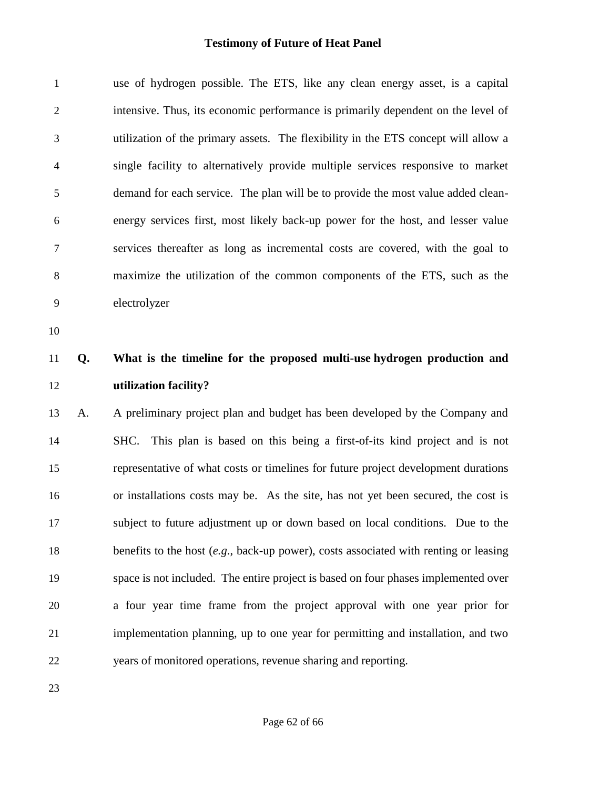| $\mathbf{1}$   |    | use of hydrogen possible. The ETS, like any clean energy asset, is a capital            |
|----------------|----|-----------------------------------------------------------------------------------------|
| $\overline{c}$ |    | intensive. Thus, its economic performance is primarily dependent on the level of        |
| 3              |    | utilization of the primary assets. The flexibility in the ETS concept will allow a      |
| 4              |    | single facility to alternatively provide multiple services responsive to market         |
| 5              |    | demand for each service. The plan will be to provide the most value added clean-        |
| 6              |    | energy services first, most likely back-up power for the host, and lesser value         |
| 7              |    | services thereafter as long as incremental costs are covered, with the goal to          |
| 8              |    | maximize the utilization of the common components of the ETS, such as the               |
| 9              |    | electrolyzer                                                                            |
| 10             |    |                                                                                         |
| 11             | Q. | What is the timeline for the proposed multi-use hydrogen production and                 |
|                |    |                                                                                         |
| 12             |    | utilization facility?                                                                   |
| 13             | A. | A preliminary project plan and budget has been developed by the Company and             |
| 14             |    | This plan is based on this being a first-of-its kind project and is not<br>SHC.         |
| 15             |    | representative of what costs or timelines for future project development durations      |
| 16             |    | or installations costs may be. As the site, has not yet been secured, the cost is       |
| 17             |    | subject to future adjustment up or down based on local conditions. Due to the           |
| 18             |    | benefits to the host $(e.g., back-up power)$ , costs associated with renting or leasing |
| 19             |    | space is not included. The entire project is based on four phases implemented over      |
| 20             |    | a four year time frame from the project approval with one year prior for                |
| 21             |    | implementation planning, up to one year for permitting and installation, and two        |
| 22             |    | years of monitored operations, revenue sharing and reporting.                           |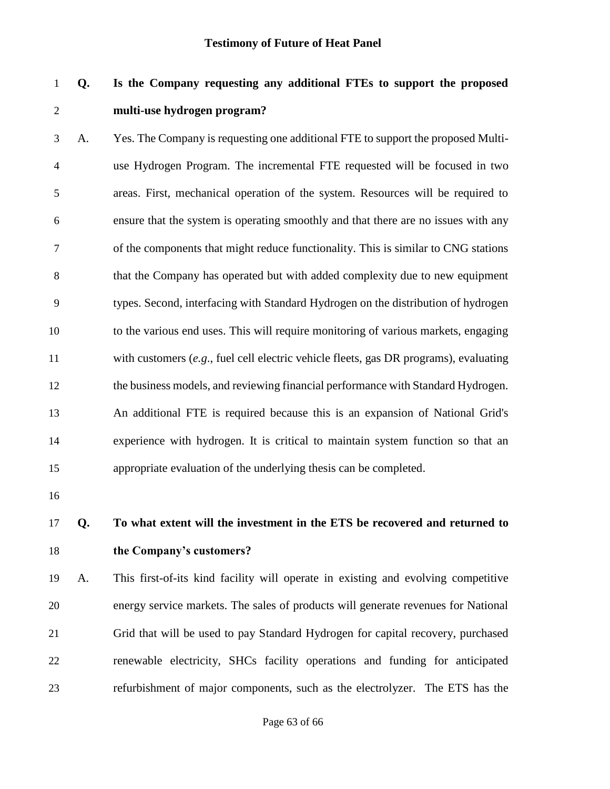## **Q. Is the Company requesting any additional FTEs to support the proposed multi-use hydrogen program?**

 A. Yes. The Company is requesting one additional FTE to support the proposed Multi- use Hydrogen Program. The incremental FTE requested will be focused in two areas. First, mechanical operation of the system. Resources will be required to ensure that the system is operating smoothly and that there are no issues with any of the components that might reduce functionality. This is similar to CNG stations that the Company has operated but with added complexity due to new equipment types. Second, interfacing with Standard Hydrogen on the distribution of hydrogen to the various end uses. This will require monitoring of various markets, engaging with customers (*e.g*., fuel cell electric vehicle fleets, gas DR programs), evaluating the business models, and reviewing financial performance with Standard Hydrogen. An additional FTE is required because this is an expansion of National Grid's experience with hydrogen. It is critical to maintain system function so that an appropriate evaluation of the underlying thesis can be completed.

- 
- 

## **Q. To what extent will the investment in the ETS be recovered and returned to the Company's customers?**

 A. This first-of-its kind facility will operate in existing and evolving competitive energy service markets. The sales of products will generate revenues for National Grid that will be used to pay Standard Hydrogen for capital recovery, purchased renewable electricity, SHCs facility operations and funding for anticipated refurbishment of major components, such as the electrolyzer. The ETS has the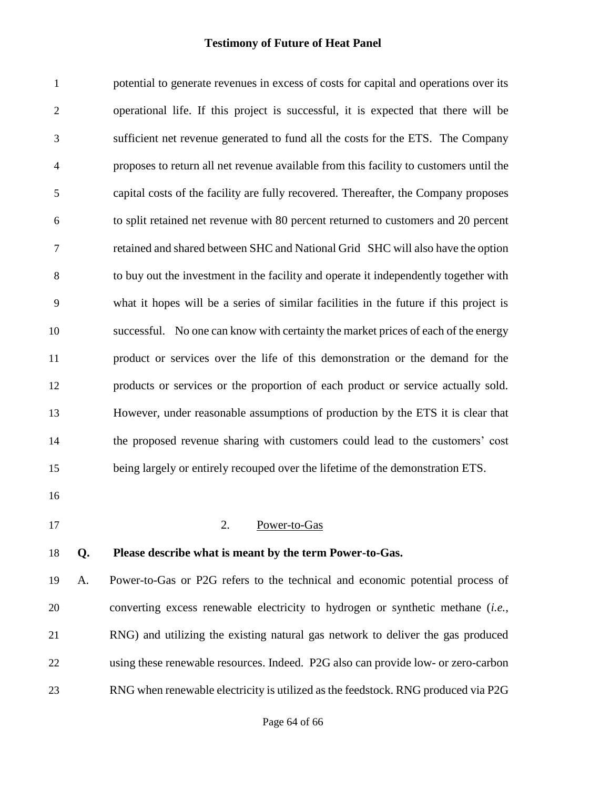potential to generate revenues in excess of costs for capital and operations over its operational life. If this project is successful, it is expected that there will be sufficient net revenue generated to fund all the costs for the ETS. The Company proposes to return all net revenue available from this facility to customers until the capital costs of the facility are fully recovered. Thereafter, the Company proposes to split retained net revenue with 80 percent returned to customers and 20 percent retained and shared between SHC and National Grid SHC will also have the option to buy out the investment in the facility and operate it independently together with what it hopes will be a series of similar facilities in the future if this project is successful. No one can know with certainty the market prices of each of the energy product or services over the life of this demonstration or the demand for the products or services or the proportion of each product or service actually sold. However, under reasonable assumptions of production by the ETS it is clear that the proposed revenue sharing with customers could lead to the customers' cost being largely or entirely recouped over the lifetime of the demonstration ETS. 2. Power-to-Gas **Q. Please describe what is meant by the term Power-to-Gas.** A. Power-to-Gas or P2G refers to the technical and economic potential process of

 converting excess renewable electricity to hydrogen or synthetic methane (*i.e.*, RNG) and utilizing the existing natural gas network to deliver the gas produced using these renewable resources. Indeed. P2G also can provide low- or zero-carbon RNG when renewable electricity is utilized as the feedstock. RNG produced via P2G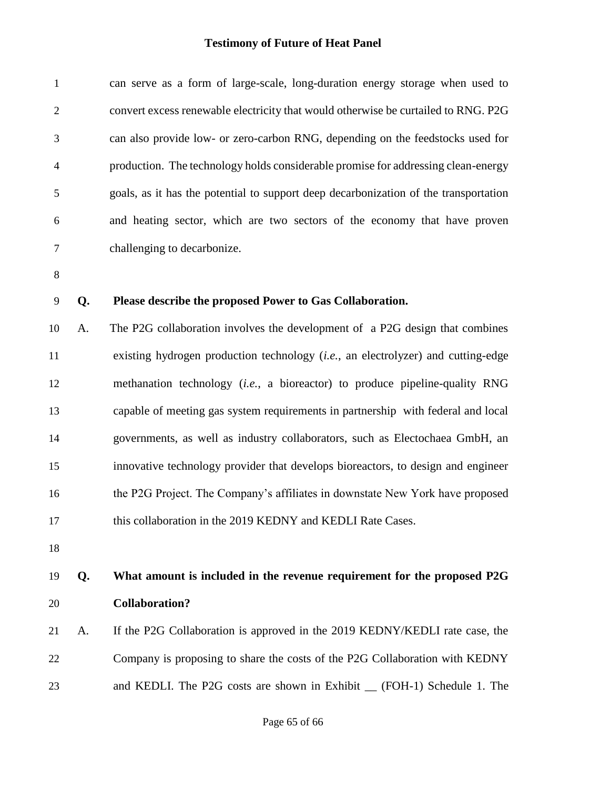| $\mathbf{1}$             |    | can serve as a form of large-scale, long-duration energy storage when used to             |
|--------------------------|----|-------------------------------------------------------------------------------------------|
| $\mathfrak{2}$           |    | convert excess renewable electricity that would otherwise be curtailed to RNG. P2G        |
| 3                        |    | can also provide low- or zero-carbon RNG, depending on the feedstocks used for            |
| $\overline{\mathcal{A}}$ |    | production. The technology holds considerable promise for addressing clean-energy         |
| 5                        |    | goals, as it has the potential to support deep decarbonization of the transportation      |
| 6                        |    | and heating sector, which are two sectors of the economy that have proven                 |
| 7                        |    | challenging to decarbonize.                                                               |
| $8\,$                    |    |                                                                                           |
| 9                        | Q. | Please describe the proposed Power to Gas Collaboration.                                  |
| 10                       | A. | The P2G collaboration involves the development of a P2G design that combines              |
| 11                       |    | existing hydrogen production technology ( <i>i.e.</i> , an electrolyzer) and cutting-edge |
| 12                       |    | methanation technology (i.e., a bioreactor) to produce pipeline-quality RNG               |
| 13                       |    | capable of meeting gas system requirements in partnership with federal and local          |
| 14                       |    | governments, as well as industry collaborators, such as Electochaea GmbH, an              |
| 15                       |    | innovative technology provider that develops bioreactors, to design and engineer          |
| 16                       |    | the P2G Project. The Company's affiliates in downstate New York have proposed             |
| 17                       |    | this collaboration in the 2019 KEDNY and KEDLI Rate Cases.                                |
| 18                       |    |                                                                                           |
| 19                       | Q. | What amount is included in the revenue requirement for the proposed P2G                   |
| 20                       |    | <b>Collaboration?</b>                                                                     |
| 21                       | A. | If the P2G Collaboration is approved in the 2019 KEDNY/KEDLI rate case, the               |
| 22                       |    | Company is proposing to share the costs of the P2G Collaboration with KEDNY               |
| 23                       |    | and KEDLI. The P2G costs are shown in Exhibit _ (FOH-1) Schedule 1. The                   |
|                          |    |                                                                                           |